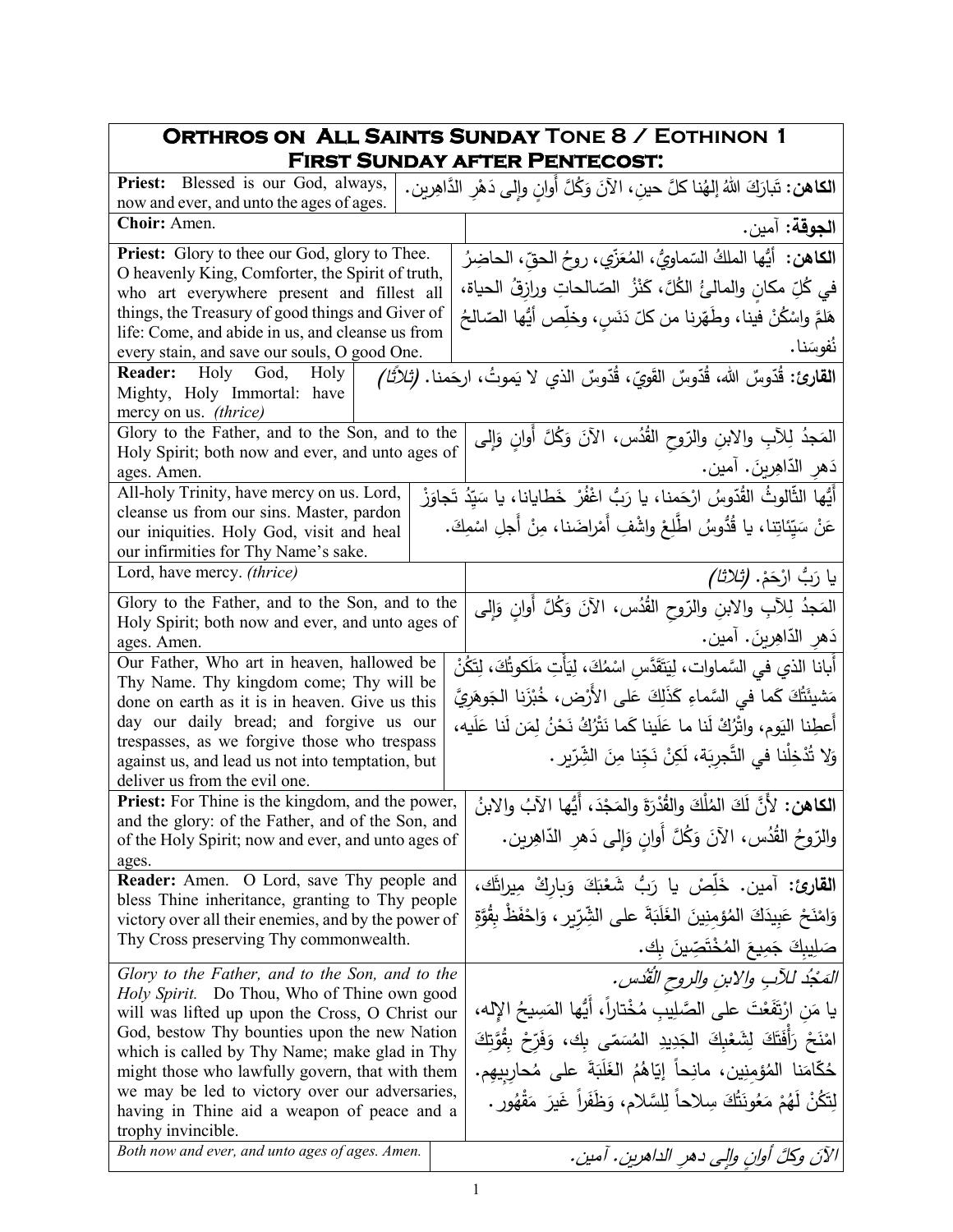| <b>ORTHROS ON ALL SAINTS SUNDAY TONE 8 / EOTHINON 1</b><br>FIRST SUNDAY AFTER PENTECOST:                                          |  |                                                                                                 |
|-----------------------------------------------------------------------------------------------------------------------------------|--|-------------------------------------------------------------------------------------------------|
| Priest: Blessed is our God, always,<br>now and ever, and unto the ages of ages.                                                   |  | ا <b>لكاهن:</b> تَبارَكَ اللهُ إلهُنا كلَّ حينِ، الآنَ وَكُلَّ أوانِ وإِلى دَهْرِ الدَّاهِرين.  |
| Choir: Amen.                                                                                                                      |  | ا <b>لجوقة:</b> آمين.                                                                           |
| <b>Priest:</b> Glory to thee our God, glory to Thee.<br>O heavenly King, Comforter, the Spirit of truth,                          |  | الكاهن: أَيُّها الملكُ السّماويُّ، المُعَزِّي، روحُ الحقِّ، الحاضِرُ                            |
| who art everywhere present and fillest all<br>things, the Treasury of good things and Giver of                                    |  | في كُلِّ مكانِ والمالئُ الكُلَّ، كَنْزُ الصّالحاتِ ورازِقُ الحياة،                              |
| life: Come, and abide in us, and cleanse us from                                                                                  |  | هَلمَّ واسْكُنْ فينا، وطَهّرنا من كلّ دَنَسٍ، وخلِّص أيُّها الصّالحُ                            |
| every stain, and save our souls, O good One.                                                                                      |  | نُفوسَنا.                                                                                       |
| <b>Reader:</b> Holy God,<br>Holy<br>Mighty, Holy Immortal: have<br>mercy on us. <i>(thrice)</i>                                   |  | ا <b>لقارئ:</b> قُدّوسٌ الله، قُدّوسٌ القَويّ، قُدّوسٌ الذي لا يَموتُ، ارحَمنا. <i>(ثلاثًا)</i> |
| Glory to the Father, and to the Son, and to the<br>Holy Spirit; both now and ever, and unto ages of                               |  | المَجدُ لِلأَبِ والابنِ والرّوحِ القُدُس، الآنَ وَكُلَّ أُوانِ وَإِلَى                          |
| ages. Amen.                                                                                                                       |  | دَهرِ الدّاهِرينَ. آمين.                                                                        |
| All-holy Trinity, have mercy on us. Lord,<br>cleanse us from our sins. Master, pardon                                             |  | أَيُّها الثَّالوثُ القُدّوسُ ارْحَمنا، يا رَبُّ اغْفُرْ خَطايانا، يا سَيِّدُ تَجاوَزْ           |
| our iniquities. Holy God, visit and heal<br>our infirmities for Thy Name's sake.                                                  |  | عَنْ سَيِّئاتِنا، يا قُدُّوسُ اطَّلِعْ واشْفِ أَمْراضَنا، مِنْ أَجلِ اسْمِكَ.                   |
| Lord, have mercy. (thrice)                                                                                                        |  | يا رَبُّ ارْحَمْ. <i>(ثلاثا)</i>                                                                |
| Glory to the Father, and to the Son, and to the                                                                                   |  | المَجدُ لِلأَبِ والابنِ والرّوحِ القُدُس، الآنَ وَكُلَّ أُوانِ وَإِلَى                          |
| Holy Spirit; both now and ever, and unto ages of<br>ages. Amen.                                                                   |  | دَهرِ الدّاهِرينَ. آمين.                                                                        |
| Our Father, Who art in heaven, hallowed be                                                                                        |  | أَبانا الذي في السَّماوات، لِيَتَقَدَّس اسْمُكَ، لِيَأْتِ مَلَكوتُكَ، لِتَكُنْ                  |
| Thy Name. Thy kingdom come; Thy will be<br>done on earth as it is in heaven. Give us this                                         |  | مَشْيئَتُكَ كَما في السَّماءِ كَذَلِكَ عَلى الأَرْضِ، خُبْزَنا الْجَوهَرِيَّ                    |
| day our daily bread; and forgive us our                                                                                           |  | أُعطِنا اليَومِ، واتْرُكْ لَنا ما عَلَينا كَما نَتْرُكُ نَحْنُ لِمَن لَنا عَلَيه،               |
| trespasses, as we forgive those who trespass<br>against us, and lead us not into temptation, but<br>deliver us from the evil one. |  | وَلا تُدْخِلْنا في النَّجرِيَة، لَكِنْ نَجِّنا مِنَ الشِّرِّيرِ .                               |
| Priest: For Thine is the kingdom, and the power,                                                                                  |  | ا <b>لكاهن:</b> لأَنَّ لَكَ المُلْكَ والقُدْرَةَ والمَجْدَ، أَيُّها الآبُ والابنُ               |
| and the glory: of the Father, and of the Son, and<br>of the Holy Spirit; now and ever, and unto ages of<br>ages.                  |  | والرّوحُ القُدُس، الآنَ وَكُلَّ أُوانٍ وَإِلَى دَهْرِ الدّاهِرِينِ.                             |
| <b>Reader:</b> Amen. O Lord, save Thy people and                                                                                  |  | القارئ: آمين. خَلِّصْ يا رَبُّ شَعْبَكَ وَبارِكْ مِيراثَك،                                      |
| bless Thine inheritance, granting to Thy people<br>victory over all their enemies, and by the power of                            |  | وَامْنَحْ عَبِيدَكَ الْمُؤْمِنِينَ الْغَلَبَةَ على الشِّرِّيرِ ، وَاحْفَظْ بِقُوَّةِ            |
| Thy Cross preserving Thy commonwealth.                                                                                            |  | صَلِيبِكَ جَمِيعَ الْمُخْتَصِّينَ بِك.                                                          |
| Glory to the Father, and to the Son, and to the                                                                                   |  | المَجْدُ للآبِ والابنِ والروحِ الْقُدْسِ.                                                       |
| Holy Spirit. Do Thou, Who of Thine own good<br>will was lifted up upon the Cross, O Christ our                                    |  | يا مَن ارْتَفَعْتَ على الصَّلِيبِ مُخْتاراً، أَيُّها المَسِيحُ الإله،                           |
| God, bestow Thy bounties upon the new Nation                                                                                      |  | امْنَحْ رَأَفَتَكَ لِشَعْبِكَ الْجَدِيدِ الْمُسَمّى بِك، وَفَرّحْ بِقُوَّتِكَ                   |
| which is called by Thy Name; make glad in Thy<br>might those who lawfully govern, that with them                                  |  | حُكَّامَنا المُؤمِنِين، مانِحاً إيّاهُمُ الغَلَبَةَ على مُحاربِيهِم.                            |
| we may be led to victory over our adversaries,<br>having in Thine aid a weapon of peace and a                                     |  | لِتَكُنْ لَهُمْ مَعُونَتُكَ سِلاحاً لِلسَّلامِ، وَظَفَراً غَيرَ مَقْهُورٍ .                     |
| trophy invincible.<br>Both now and ever, and unto ages of ages. Amen.                                                             |  | الآنَ وكلَّ أوان والى دهر الداهرينِ. آمينِ.                                                     |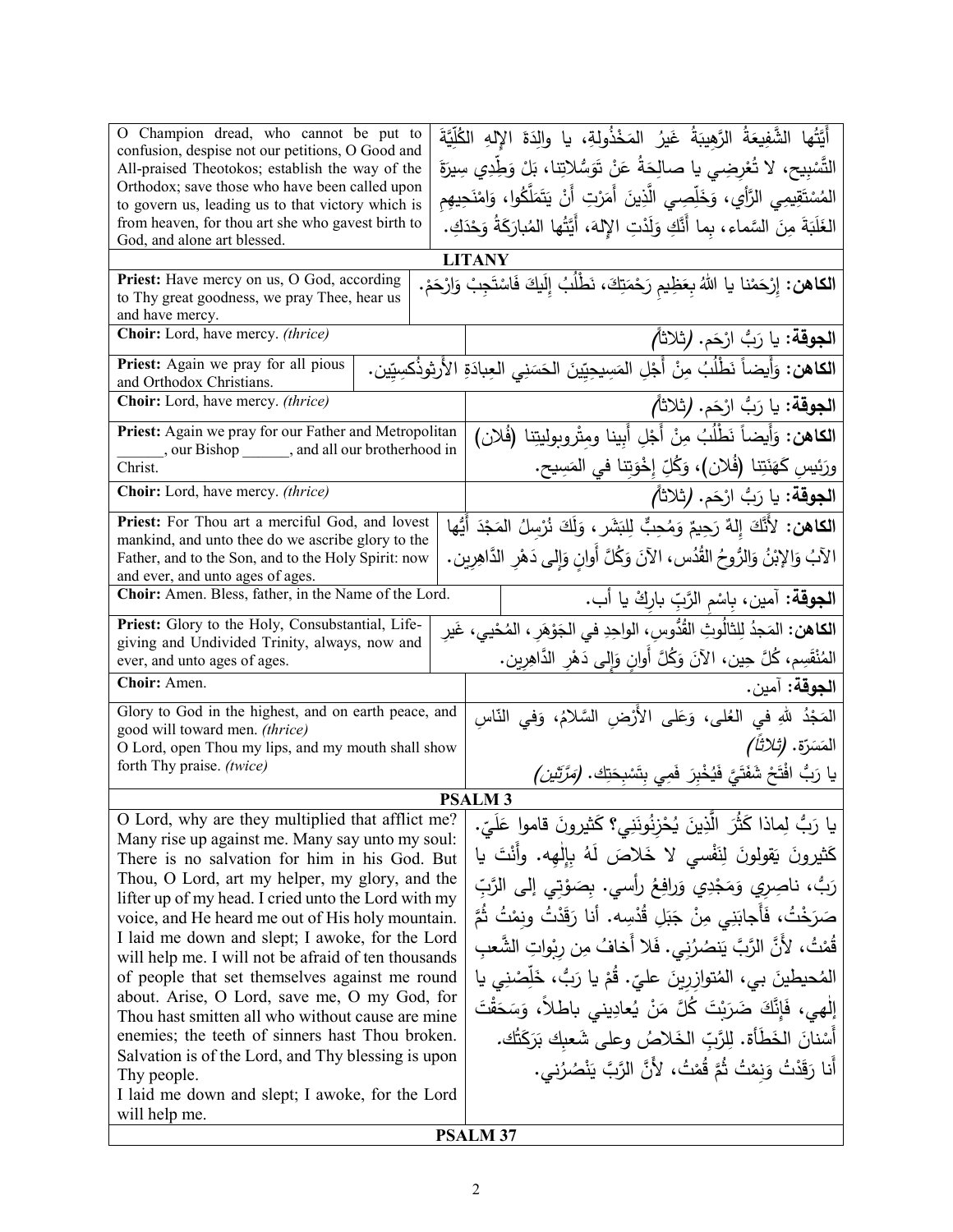| O Champion dread, who cannot be put to                                                                 | أَيَّتُها الشَّفِيعَةُ الرَّهِيبَةُ غَيرُ المَخْذُولةِ، يا والِدَةَ الإِلهِ الكُلِّيَّةَ              |
|--------------------------------------------------------------------------------------------------------|-------------------------------------------------------------------------------------------------------|
| confusion, despise not our petitions, O Good and                                                       |                                                                                                       |
| All-praised Theotokos; establish the way of the                                                        | التَّسْبِيح، لا تُعْرضِي يا صالِحَةُ عَنْ تَوَسُّلاتِنا، بَلْ وَطِّدِي سِيرَةَ                        |
| Orthodox; save those who have been called upon<br>to govern us, leading us to that victory which is    | المُسْتَقِيمِي الرَّأيِ، وَخَلِّصِي الَّذِينَ أَمَرْتِ أَنْ يَتَمَلَّكُوا، وَامْنَحِيهِم              |
| from heaven, for thou art she who gavest birth to                                                      | الغَلَبَةَ مِنَ السَّماء، بِما أَنَّكِ وَلَدْتِ الإِلهَ، أَيَّتُها المُبارَكَةُ وَحْدَكِ.             |
| God, and alone art blessed.                                                                            |                                                                                                       |
|                                                                                                        | <b>LITANY</b>                                                                                         |
| Priest: Have mercy on us, O God, according<br>to Thy great goodness, we pray Thee, hear us             | ا <b>لكاهن:</b> إِرْحَمْنا يا اللهُ بِعَظِيمِ رَحْمَتِكَ، نَطْلُبُ إِلَيكَ فَاسْتَجِبْ وَارْحَمْ.     |
| and have mercy.                                                                                        |                                                                                                       |
| Choir: Lord, have mercy. (thrice)                                                                      | ا <b>لجوقة:</b> يا رَبُّ ارْحَم. (ثلاثاً <i>)</i>                                                     |
| Priest: Again we pray for all pious                                                                    | ا <b>لكاهن:</b> وَأَيضاً نَطْلُبُ مِنْ أَجْلِ المَسِيحِيِّينَ الحَسَنِي العِبادَةِ الأُرثوذُكسِيِّين. |
| and Orthodox Christians.                                                                               |                                                                                                       |
| Choir: Lord, have mercy. (thrice)                                                                      | ا <b>لجوقة:</b> يا رَبُّ ارْحَم. <b>(</b> ثلاثاً <i>)</i>                                             |
| Priest: Again we pray for our Father and Metropolitan                                                  | الكاهن: وَأَيضاً نَطْلُبُ مِنْ أَجْلِ أَبِينا ومِتْروبوليتِنا (فُلان)                                 |
| ______, our Bishop _______, and all our brotherhood in<br>Christ.                                      | ورَئِيسِ كَهَنَتِنا (فُلان)، وَكُلِّ إِخْوَتِنا في المَسِيحِ.                                         |
| Choir: Lord, have mercy. (thrice)                                                                      | ا <b>لجوقة:</b> يا رَبُّ ارْحَم. (ثلاثاً <i>)</i>                                                     |
| <b>Priest:</b> For Thou art a merciful God, and lovest                                                 | ا <b>لكاهن:</b> لأَنَّكَ إِلهٌ رَحِيمٌ وَمُحِبٌّ لِلبَشَرِ ، وَلَكَ نُرْسِلُ المَجْدَ أَيُّها         |
| mankind, and unto thee do we ascribe glory to the                                                      |                                                                                                       |
| Father, and to the Son, and to the Holy Spirit: now<br>and ever, and unto ages of ages.                | الآبُ وَالإِبْنُ وَالرُّوحُ الْقُدُسِ، الآنَ وَكُلَّ أُوانِ وَإِلَى دَهْرِ الدَّاهِرِينِ.             |
| Choir: Amen. Bless, father, in the Name of the Lord.                                                   | ا <b>لجوقة</b> : آمين، بِاسْمِ الرَّبِّ باركْ يا أب.                                                  |
| Priest: Glory to the Holy, Consubstantial, Life-                                                       | ا <b>لكاهن:</b> المَجدُ لِلثالُوثِ القُدُّوسِ، الواحِدِ في الجَوْهَرِ ، المُحْيي، غَيرِ               |
| giving and Undivided Trinity, always, now and                                                          |                                                                                                       |
| ever, and unto ages of ages.                                                                           | المُنْقَسِم، كُلَّ حِين، الآنَ وَكُلَّ أُوانٍ وَإِلى دَهْرِ الدَّاهِرِين.                             |
| Choir: Amen.                                                                                           | ا <b>لجوقة:</b> آمين.                                                                                 |
| Glory to God in the highest, and on earth peace, and                                                   | المَجْدُ للهِ في العُلى، وَعَلى الأَرْضِ السَّلامُ، وَفي النَّاسِ                                     |
| good will toward men. (thrice)<br>O Lord, open Thou my lips, and my mouth shall show                   | المَسَرّة. <i>(ثلاثاً)</i>                                                                            |
| forth Thy praise. (twice)                                                                              |                                                                                                       |
|                                                                                                        | يا رَبُّ ا <del>فْتَحْ شَفَتَ</del> يَّ فَيُخْبِرَ فَمِي بِتَسْبِحَتِك. <i>(مَرَّتَيْن)</i>           |
| O Lord, why are they multiplied that afflict me?                                                       | <b>PSALM3</b>                                                                                         |
| Many rise up against me. Many say unto my soul:                                                        | يا رَبُّ لِماذا كَثُرَ الَّذِينَ يُحْزِنُونَنِي؟ كَثَيرونَ قاموا عَلَيّ.                              |
| There is no salvation for him in his God. But                                                          | كَثيرونَ يَقولونَ لِنَفْسي لا خَلاصَ لَهُ بِإِلٰهِه. وأَنْتَ يا                                       |
| Thou, O Lord, art my helper, my glory, and the                                                         | رَبُّ، ناصِرِي وَمَجْدِي وَرافِعُ رأسي. بِصَوْتِي إِلَى الرَّبِّ                                      |
| lifter up of my head. I cried unto the Lord with my                                                    |                                                                                                       |
| voice, and He heard me out of His holy mountain.                                                       | صَرَخْتُ، فَأَجابَنِي مِنْ جَبَلِ قُدْسِه. أنا رَقَدْتُ ونِمْتُ ثُمَّ                                 |
| I laid me down and slept; I awoke, for the Lord<br>will help me. I will not be afraid of ten thousands | قُمْتُ، لأَنَّ الرَّبَّ يَنصُرُني. فَلا أخافُ مِن رِبْواتِ الشَّعبِ                                   |
| of people that set themselves against me round                                                         | المُحيطينَ بي، المُتوازربِنَ عليّ. قُمْ يا رَبُّ، خَلِّصْنِي يا                                       |
| about. Arise, O Lord, save me, O my God, for                                                           |                                                                                                       |
| Thou hast smitten all who without cause are mine                                                       | إِلْهِي، فَإِنَّكَ ضَرَبْتَ كُلَّ مَنْ يُعادِينِي باطْلاً، وَسَحَقْتَ                                 |
| enemies; the teeth of sinners hast Thou broken.                                                        | أَسْنانَ الخَطَأَة. لِلرَّبِّ الخَلاصُ وعلى شَعبِك بَرَكَتُك.                                         |
| Salvation is of the Lord, and Thy blessing is upon<br>Thy people.                                      | أَنا رَقَدْتُ وَنِمْتُ ثُمَّ قُمْتُ، لأَنَّ الرَّبَّ يَنْصُرُني.                                      |
| I laid me down and slept; I awoke, for the Lord                                                        |                                                                                                       |
| will help me.                                                                                          |                                                                                                       |
|                                                                                                        | <b>PSALM 37</b>                                                                                       |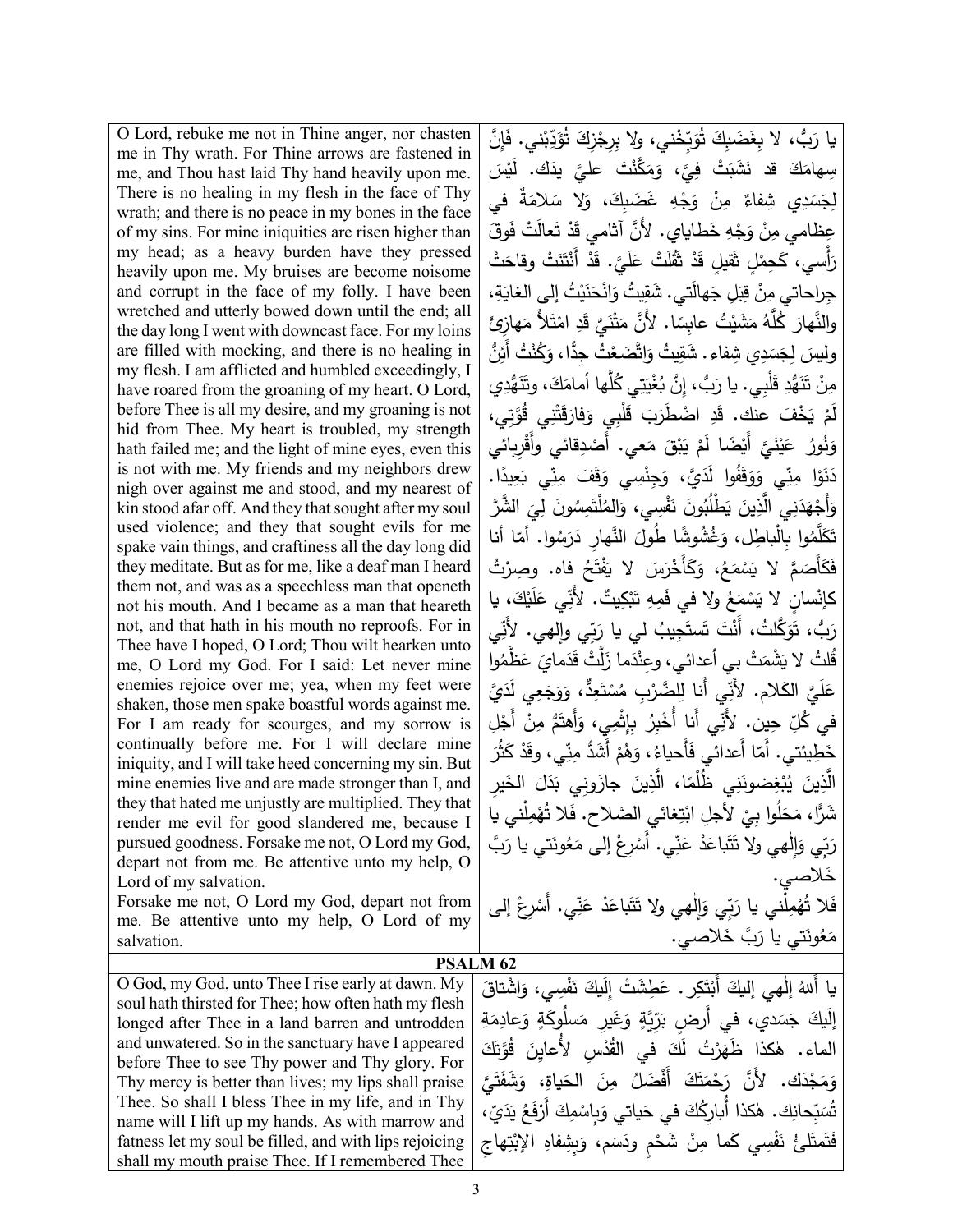| O Lord, rebuke me not in Thine anger, nor chasten<br>me in Thy wrath. For Thine arrows are fastened in<br>me, and Thou hast laid Thy hand heavily upon me.<br>There is no healing in my flesh in the face of Thy<br>wrath; and there is no peace in my bones in the face<br>of my sins. For mine iniquities are risen higher than<br>my head; as a heavy burden have they pressed<br>heavily upon me. My bruises are become noisome<br>and corrupt in the face of my folly. I have been<br>wretched and utterly bowed down until the end; all<br>the day long I went with downcast face. For my loins<br>are filled with mocking, and there is no healing in<br>my flesh. I am afflicted and humbled exceedingly, I<br>have roared from the groaning of my heart. O Lord,<br>before Thee is all my desire, and my groaning is not<br>hid from Thee. My heart is troubled, my strength<br>hath failed me; and the light of mine eyes, even this<br>is not with me. My friends and my neighbors drew<br>nigh over against me and stood, and my nearest of<br>kin stood afar off. And they that sought after my soul<br>used violence; and they that sought evils for me<br>spake vain things, and craftiness all the day long did<br>they meditate. But as for me, like a deaf man I heard<br>them not, and was as a speechless man that openeth<br>not his mouth. And I became as a man that heareth<br>not, and that hath in his mouth no reproofs. For in<br>Thee have I hoped, O Lord; Thou wilt hearken unto<br>me, O Lord my God. For I said: Let never mine<br>enemies rejoice over me; yea, when my feet were<br>shaken, those men spake boastful words against me.<br>For I am ready for scourges, and my sorrow is<br>continually before me. For I will declare mine<br>iniquity, and I will take heed concerning my sin. But<br>mine enemies live and are made stronger than I, and<br>they that hated me unjustly are multiplied. They that<br>render me evil for good slandered me, because I<br>pursued goodness. Forsake me not, O Lord my God,<br>depart not from me. Be attentive unto my help, O<br>Lord of my salvation.<br>Forsake me not, O Lord my God, depart not from | يا رَبُّ، لا بِغَضَبِكَ تُوَبِّخْني، ولا بِرِجْزِكَ تُؤَدِّبْني. فَإِنَّ<br>سِهامَكَ قد نَشَبَتْ فِيَّ، وَمَكَّنْتَ عليَّ يدَك. لَيْسَ<br>لِجَسَدِي شِفاءٌ مِنْ وَجْهِ غَضَبِكَ، وَلا سَلامَةً في<br>عِظامي مِنْ وَجْهِ خَطايايِ. لأَنَّ آثامي قَدْ تَعالَتْ فَوقَ<br>رَأْسي، كَحِمْلِ ثَقيلِ قَدْ ثَقُلَتْ عَلَيَّ. قَدْ أَنْتَنَتْ وقاحَتْ<br>جِراحاتي مِنْ قِبَلِ جَهالَتي. شَقِيتُ وَانْحَنَيْتُ إِلَى الغايَةِ،<br>والنَّهارَ كُلَّهُ مَشَيْتُ عابِسًا. لأَنَّ مَتْنَىَّ قَدِ امْتَلاً مَهازِئَ<br>ولِيسَ لِجَسَدِي شِفاء . شَقِيتُ وَاتَّضَعْتُ جِدًّا، وَكُنْتُ أَئِنُّ<br>مِنْ تَنَهُّدِ قَلْبِي. يا رَبُّ، إِنَّ بُغْيَتِي كُلَّها أمامَكَ، وتَنَهُّدِي<br>لَمْ يَخْفَ عنك. قَدِ اضْطَرَبَ قَلْبِي وَفارَقَتْنِي قُوَّتِي،<br>وَنُورُ عَيْنَيَّ أَيْضًا لَمْ يَبْقَ مَعي. أَصْدِقائي وأَقْرِبِائي<br>دَنَوْا مِنِّي وَوَقَفُوا لَدَيَّ، وَجِنْسِي وَقَفَ مِنِّي بَعِيدًا.<br>وَأَجْهَدَنِى الَّذِينَ يَطْلَبُونَ نَفْسِي، وَالمُلْتَمِسُونَ لِيَ الشَّرَّ<br>تَكَلَّمُوا بِالْباطِل، وَغُشُوشًا طُولَ النَّهار دَرَسُوا. أَمّا أنا<br>فَكَأْصَمَّ لا يَسْمَعُ، وَكَأَخْرَسَ لا يَفْتَحُ فاه. وصِرْتُ<br>كَإِنْسانِ لا يَسْمَعُ ولا في فَمِهِ تَبْكِيتٌ. لأنِّي عَلَيْكَ، يا<br>رَبُّ، تَوَكَّلتُ، أَنْتَ تَستَجِيبُ لي يا رَبِّي وإِلهي. لأنِّي<br>قُلتُ لا يَشْمَتْ بي أعدائي، وعِنْدَما زَلَتْ قَدَمايَ عَظَمُوا<br>عَلَيَّ الكَلامِ. لأَنِّي أَنا لِلضَّرْبِ مُسْتَعِدٌّ، وَوَجَعِي لَدَيَّ<br>في كُلِّ حِين. لأَنِّي أنا أُخْبِرُ بِإِثْمِي، وَأَهتَمُّ مِنْ أَجْلِ<br>خَطِيئتي. أمّا أعدائي فَأَحياءُ، وَهُمْ أَشَدُّ مِنِّي، وقَدْ كَثُرَ<br>الَّذِينَ يُبْغِضونَنِي ظُلِّمًا، الَّذِينَ جازَونِي بَدَلَ الْخَيرِ<br>شَرًّا، مَحَلُوا بِيْ لأجلِ ابْتِغائي الصَّلاحِ. فَلا تُهْمِلْني يا<br>رَبِّي وَإِلٰهي ولا تَتَباعَدْ عَنِّي. أَسْرِعْ إلى مَعُونَتي يا رَبَّ<br>خَلاصى. |
|---------------------------------------------------------------------------------------------------------------------------------------------------------------------------------------------------------------------------------------------------------------------------------------------------------------------------------------------------------------------------------------------------------------------------------------------------------------------------------------------------------------------------------------------------------------------------------------------------------------------------------------------------------------------------------------------------------------------------------------------------------------------------------------------------------------------------------------------------------------------------------------------------------------------------------------------------------------------------------------------------------------------------------------------------------------------------------------------------------------------------------------------------------------------------------------------------------------------------------------------------------------------------------------------------------------------------------------------------------------------------------------------------------------------------------------------------------------------------------------------------------------------------------------------------------------------------------------------------------------------------------------------------------------------------------------------------------------------------------------------------------------------------------------------------------------------------------------------------------------------------------------------------------------------------------------------------------------------------------------------------------------------------------------------------------------------------------------------------------------------------------------------------------------------------------------------|----------------------------------------------------------------------------------------------------------------------------------------------------------------------------------------------------------------------------------------------------------------------------------------------------------------------------------------------------------------------------------------------------------------------------------------------------------------------------------------------------------------------------------------------------------------------------------------------------------------------------------------------------------------------------------------------------------------------------------------------------------------------------------------------------------------------------------------------------------------------------------------------------------------------------------------------------------------------------------------------------------------------------------------------------------------------------------------------------------------------------------------------------------------------------------------------------------------------------------------------------------------------------------------------------------------------------------------------------------------------------------------------------------------------------------------------------------------------------------------------------------------------------------------------------------------------------------------------------------------------------------------------------------------------------------------------------------------------------------------------------------------------------------------------|
| me. Be attentive unto my help, O Lord of my<br>salvation.                                                                                                                                                                                                                                                                                                                                                                                                                                                                                                                                                                                                                                                                                                                                                                                                                                                                                                                                                                                                                                                                                                                                                                                                                                                                                                                                                                                                                                                                                                                                                                                                                                                                                                                                                                                                                                                                                                                                                                                                                                                                                                                                   | فَلا تُهْمِلْني يا رَبِّي وَإِلٰهي ولا تَتَباعَدْ عَنِّي. أَسْرِعْ إلى<br>مَعُونَتي يا رَبَّ خَلاصي.                                                                                                                                                                                                                                                                                                                                                                                                                                                                                                                                                                                                                                                                                                                                                                                                                                                                                                                                                                                                                                                                                                                                                                                                                                                                                                                                                                                                                                                                                                                                                                                                                                                                                         |
| <b>PSALM 62</b>                                                                                                                                                                                                                                                                                                                                                                                                                                                                                                                                                                                                                                                                                                                                                                                                                                                                                                                                                                                                                                                                                                                                                                                                                                                                                                                                                                                                                                                                                                                                                                                                                                                                                                                                                                                                                                                                                                                                                                                                                                                                                                                                                                             |                                                                                                                                                                                                                                                                                                                                                                                                                                                                                                                                                                                                                                                                                                                                                                                                                                                                                                                                                                                                                                                                                                                                                                                                                                                                                                                                                                                                                                                                                                                                                                                                                                                                                                                                                                                              |
| O God, my God, unto Thee I rise early at dawn. My                                                                                                                                                                                                                                                                                                                                                                                                                                                                                                                                                                                                                                                                                                                                                                                                                                                                                                                                                                                                                                                                                                                                                                                                                                                                                                                                                                                                                                                                                                                                                                                                                                                                                                                                                                                                                                                                                                                                                                                                                                                                                                                                           | يا أَللهُ إِلْهِي إِلَيْكَ أَبْتَكِرٍ . عَطِشَتْ إِلَيْكَ نَفْسِي، وَاشْتَاقَ                                                                                                                                                                                                                                                                                                                                                                                                                                                                                                                                                                                                                                                                                                                                                                                                                                                                                                                                                                                                                                                                                                                                                                                                                                                                                                                                                                                                                                                                                                                                                                                                                                                                                                                |
| soul hath thirsted for Thee; how often hath my flesh<br>longed after Thee in a land barren and untrodden                                                                                                                                                                                                                                                                                                                                                                                                                                                                                                                                                                                                                                                                                                                                                                                                                                                                                                                                                                                                                                                                                                                                                                                                                                                                                                                                                                                                                                                                                                                                                                                                                                                                                                                                                                                                                                                                                                                                                                                                                                                                                    | إِلَيْكَ جَسَدي، في أَرضِ بَرِّيَّةٍ وَغَيرِ مَسلَوكَةٍ وَعادِمَةِ                                                                                                                                                                                                                                                                                                                                                                                                                                                                                                                                                                                                                                                                                                                                                                                                                                                                                                                                                                                                                                                                                                                                                                                                                                                                                                                                                                                                                                                                                                                                                                                                                                                                                                                           |
| and unwatered. So in the sanctuary have I appeared                                                                                                                                                                                                                                                                                                                                                                                                                                                                                                                                                                                                                                                                                                                                                                                                                                                                                                                                                                                                                                                                                                                                                                                                                                                                                                                                                                                                                                                                                                                                                                                                                                                                                                                                                                                                                                                                                                                                                                                                                                                                                                                                          | الماء. هٰكذا ظَهَرْتُ لَكَ في القُدْسِ لأَعايِنَ قُوَّتَكَ                                                                                                                                                                                                                                                                                                                                                                                                                                                                                                                                                                                                                                                                                                                                                                                                                                                                                                                                                                                                                                                                                                                                                                                                                                                                                                                                                                                                                                                                                                                                                                                                                                                                                                                                   |
| before Thee to see Thy power and Thy glory. For                                                                                                                                                                                                                                                                                                                                                                                                                                                                                                                                                                                                                                                                                                                                                                                                                                                                                                                                                                                                                                                                                                                                                                                                                                                                                                                                                                                                                                                                                                                                                                                                                                                                                                                                                                                                                                                                                                                                                                                                                                                                                                                                             |                                                                                                                                                                                                                                                                                                                                                                                                                                                                                                                                                                                                                                                                                                                                                                                                                                                                                                                                                                                                                                                                                                                                                                                                                                                                                                                                                                                                                                                                                                                                                                                                                                                                                                                                                                                              |
| Thy mercy is better than lives; my lips shall praise                                                                                                                                                                                                                                                                                                                                                                                                                                                                                                                                                                                                                                                                                                                                                                                                                                                                                                                                                                                                                                                                                                                                                                                                                                                                                                                                                                                                                                                                                                                                                                                                                                                                                                                                                                                                                                                                                                                                                                                                                                                                                                                                        | وَمَجْدَك. لأَنَّ رَحْمَتَكَ أَفْضَلُ مِنَ الْحَياةِ، وَشَفَتَيَّ                                                                                                                                                                                                                                                                                                                                                                                                                                                                                                                                                                                                                                                                                                                                                                                                                                                                                                                                                                                                                                                                                                                                                                                                                                                                                                                                                                                                                                                                                                                                                                                                                                                                                                                            |
| Thee. So shall I bless Thee in my life, and in Thy<br>name will I lift up my hands. As with marrow and                                                                                                                                                                                                                                                                                                                                                                                                                                                                                                                                                                                                                                                                                                                                                                                                                                                                                                                                                                                                                                                                                                                                                                                                                                                                                                                                                                                                                                                                                                                                                                                                                                                                                                                                                                                                                                                                                                                                                                                                                                                                                      | تُسَبِّحانِك. هٰكذا أبارِكُكَ في حَياتي وَبِاسْمِكَ أَرْفَعُ يَدَيِّ،                                                                                                                                                                                                                                                                                                                                                                                                                                                                                                                                                                                                                                                                                                                                                                                                                                                                                                                                                                                                                                                                                                                                                                                                                                                                                                                                                                                                                                                                                                                                                                                                                                                                                                                        |
| fatness let my soul be filled, and with lips rejoicing                                                                                                                                                                                                                                                                                                                                                                                                                                                                                                                                                                                                                                                                                                                                                                                                                                                                                                                                                                                                                                                                                                                                                                                                                                                                                                                                                                                                                                                                                                                                                                                                                                                                                                                                                                                                                                                                                                                                                                                                                                                                                                                                      | فَتَمتَلئُ نَفْسِي كَما مِنْ شَحْمٍ ودَسَم، وَبِشِفاهِ الإِبْتِهاجِ                                                                                                                                                                                                                                                                                                                                                                                                                                                                                                                                                                                                                                                                                                                                                                                                                                                                                                                                                                                                                                                                                                                                                                                                                                                                                                                                                                                                                                                                                                                                                                                                                                                                                                                          |
| shall my mouth praise Thee. If I remembered Thee                                                                                                                                                                                                                                                                                                                                                                                                                                                                                                                                                                                                                                                                                                                                                                                                                                                                                                                                                                                                                                                                                                                                                                                                                                                                                                                                                                                                                                                                                                                                                                                                                                                                                                                                                                                                                                                                                                                                                                                                                                                                                                                                            |                                                                                                                                                                                                                                                                                                                                                                                                                                                                                                                                                                                                                                                                                                                                                                                                                                                                                                                                                                                                                                                                                                                                                                                                                                                                                                                                                                                                                                                                                                                                                                                                                                                                                                                                                                                              |
|                                                                                                                                                                                                                                                                                                                                                                                                                                                                                                                                                                                                                                                                                                                                                                                                                                                                                                                                                                                                                                                                                                                                                                                                                                                                                                                                                                                                                                                                                                                                                                                                                                                                                                                                                                                                                                                                                                                                                                                                                                                                                                                                                                                             |                                                                                                                                                                                                                                                                                                                                                                                                                                                                                                                                                                                                                                                                                                                                                                                                                                                                                                                                                                                                                                                                                                                                                                                                                                                                                                                                                                                                                                                                                                                                                                                                                                                                                                                                                                                              |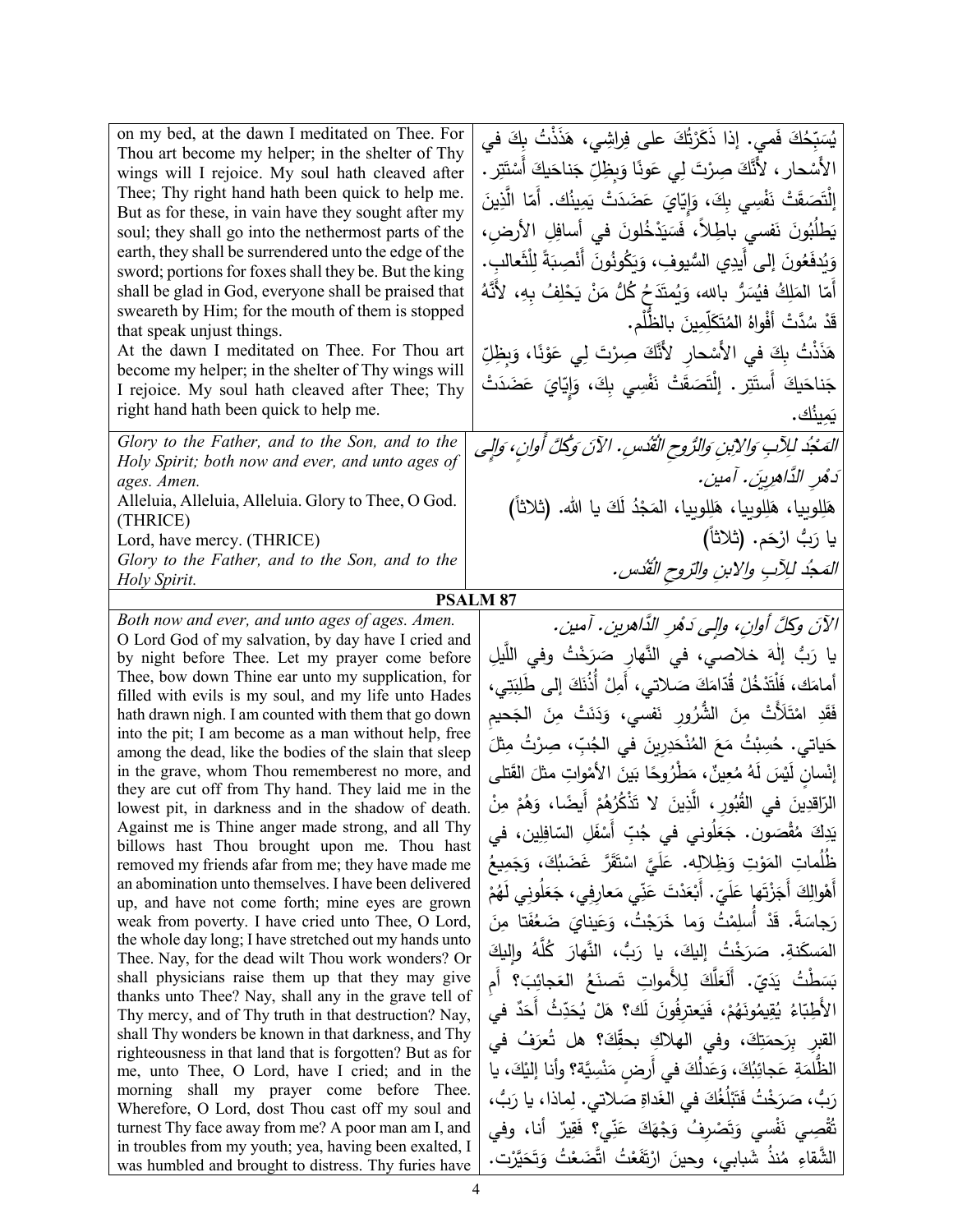| on my bed, at the dawn I meditated on Thee. For<br>Thou art become my helper; in the shelter of Thy<br>wings will I rejoice. My soul hath cleaved after<br>Thee; Thy right hand hath been quick to help me.<br>But as for these, in vain have they sought after my<br>soul; they shall go into the nethermost parts of the<br>earth, they shall be surrendered unto the edge of the<br>sword; portions for foxes shall they be. But the king<br>shall be glad in God, everyone shall be praised that<br>sweareth by Him; for the mouth of them is stopped<br>that speak unjust things.<br>At the dawn I meditated on Thee. For Thou art<br>become my helper; in the shelter of Thy wings will<br>I rejoice. My soul hath cleaved after Thee; Thy<br>right hand hath been quick to help me.<br>Glory to the Father, and to the Son, and to the<br>Holy Spirit; both now and ever, and unto ages of<br>ages. Amen. | يُسَبِّحُكَ فَمـى. إذا ذَكَرْتُكَ على فِراشِي، هَذَذْتُ بِكَ فـى<br>الأَسْحارِ ، لأَنَّكَ صِرْتَ لِى عَونًا وَبِظِلِّ جَناحَيكَ أَسْتَتِرٍ .<br>إِلْتَصَقَتْ نَفْسِي بِكَ، وَإِيّايَ عَضَدَتْ يَمِينُك. أَمّا الَّذِينَ<br>يَطْلُبُونَ نَفسى باطِلاً، فَسَيَدْخُلونَ في أسافِلِ الأرضِ،<br>وَيُدفَعُونَ إِلَى أَيدِي السُّيوفِ، وَيَكُونُونَ أَنْصِبَةً لِلْثَعالبِ.<br>أَمّا المَلِكُ فيُسَرُّ بالله، وَيُمتَدَحُ كُلُّ مَنْ يَحْلِفُ بِهِ، لأَنَّهُ<br>قَدْ سُدَّتْ أَفْواهُ الْمُتَكَلِّمِينَ بِالظَّلْمِ.<br>هَذَذْتُ بِكَ في الأَسْحارِ ۖ لأَنَّكَ صِرْتَ لِي عَوْنًا، وَبِظِلِّ<br>جَناحَيكَ أَستَتِر . إلْتَصَقَتْ نَفْسِي بِكَ، وَإِيّايَ عَضَدَتْ<br>يَمِينُك .<br>المَجْدُ للِآبِ وَالِإِبْنِ وَالزُوحِ الْقُدْسِ. الآنَ وَكُلَّ أُوانِ، وَالِي<br>دَهُرِ الدَّاهِرِينَ. آمين. |
|------------------------------------------------------------------------------------------------------------------------------------------------------------------------------------------------------------------------------------------------------------------------------------------------------------------------------------------------------------------------------------------------------------------------------------------------------------------------------------------------------------------------------------------------------------------------------------------------------------------------------------------------------------------------------------------------------------------------------------------------------------------------------------------------------------------------------------------------------------------------------------------------------------------|------------------------------------------------------------------------------------------------------------------------------------------------------------------------------------------------------------------------------------------------------------------------------------------------------------------------------------------------------------------------------------------------------------------------------------------------------------------------------------------------------------------------------------------------------------------------------------------------------------------------------------------------------------------------------------------------------------------------------------------------------------------------------------------|
| Alleluia, Alleluia, Alleluia. Glory to Thee, O God.                                                                                                                                                                                                                                                                                                                                                                                                                                                                                                                                                                                                                                                                                                                                                                                                                                                              | هَلِلوبِيا، هَلِلوبِيا، هَلِلوبِيا، المَجْدُ لَكَ يا الله. (ثلاثاً)                                                                                                                                                                                                                                                                                                                                                                                                                                                                                                                                                                                                                                                                                                                      |
| (THRICE)<br>Lord, have mercy. (THRICE)                                                                                                                                                                                                                                                                                                                                                                                                                                                                                                                                                                                                                                                                                                                                                                                                                                                                           | يا رَبُّ ارْحَم. (ثلاثاً)                                                                                                                                                                                                                                                                                                                                                                                                                                                                                                                                                                                                                                                                                                                                                                |
| Glory to the Father, and to the Son, and to the                                                                                                                                                                                                                                                                                                                                                                                                                                                                                                                                                                                                                                                                                                                                                                                                                                                                  | المَحِدُ للِأَبِ والابنِ والرّوحِ الْقُدْسِ.                                                                                                                                                                                                                                                                                                                                                                                                                                                                                                                                                                                                                                                                                                                                             |
| Holy Spirit.                                                                                                                                                                                                                                                                                                                                                                                                                                                                                                                                                                                                                                                                                                                                                                                                                                                                                                     | <b>PSALM 87</b>                                                                                                                                                                                                                                                                                                                                                                                                                                                                                                                                                                                                                                                                                                                                                                          |
| Both now and ever, and unto ages of ages. Amen.                                                                                                                                                                                                                                                                                                                                                                                                                                                                                                                                                                                                                                                                                                                                                                                                                                                                  |                                                                                                                                                                                                                                                                                                                                                                                                                                                                                                                                                                                                                                                                                                                                                                                          |
| O Lord God of my salvation, by day have I cried and                                                                                                                                                                                                                                                                                                                                                                                                                                                                                                                                                                                                                                                                                                                                                                                                                                                              | الآنَ وكلَّ أوانِ، وإلى دَهْرِ الدَّاهرينِ. آمين.<br>يا رَبُّ إِلٰهَ خلاصي، في النَّهارِ صَرَخْتُ وفي اللَّيلِ                                                                                                                                                                                                                                                                                                                                                                                                                                                                                                                                                                                                                                                                           |
| by night before Thee. Let my prayer come before<br>Thee, bow down Thine ear unto my supplication, for                                                                                                                                                                                                                                                                                                                                                                                                                                                                                                                                                                                                                                                                                                                                                                                                            |                                                                                                                                                                                                                                                                                                                                                                                                                                                                                                                                                                                                                                                                                                                                                                                          |
| filled with evils is my soul, and my life unto Hades                                                                                                                                                                                                                                                                                                                                                                                                                                                                                                                                                                                                                                                                                                                                                                                                                                                             | أمامَك، فَلْتَدْخُلْ قُدّامَكَ صَلاتي، أَمِلْ أَذُنَكَ إِلَى طَلِبَتِي،                                                                                                                                                                                                                                                                                                                                                                                                                                                                                                                                                                                                                                                                                                                  |
| hath drawn nigh. I am counted with them that go down                                                                                                                                                                                                                                                                                                                                                                                                                                                                                                                                                                                                                                                                                                                                                                                                                                                             | فَقَدِ امْتَلَأَتْ مِنَ الشُّرُورِ نَفسي، وَذَنَتْ مِنَ الْجَحيم                                                                                                                                                                                                                                                                                                                                                                                                                                                                                                                                                                                                                                                                                                                         |
| into the pit; I am become as a man without help, free<br>among the dead, like the bodies of the slain that sleep                                                                                                                                                                                                                                                                                                                                                                                                                                                                                                                                                                                                                                                                                                                                                                                                 | حَياتي. حُسِبْتُ مَعَ المُنْحَدِرِينَ في الجُبِّ، صِرْتُ مِثْلَ                                                                                                                                                                                                                                                                                                                                                                                                                                                                                                                                                                                                                                                                                                                          |
| in the grave, whom Thou rememberest no more, and                                                                                                                                                                                                                                                                                                                                                                                                                                                                                                                                                                                                                                                                                                                                                                                                                                                                 | إِنْسانِ لَيْسَ لَهُ مُعِينٌ، مَطْرُوحًا بَينَ الأَمْواتِ مثلَ القَتلى                                                                                                                                                                                                                                                                                                                                                                                                                                                                                                                                                                                                                                                                                                                   |
| they are cut off from Thy hand. They laid me in the<br>lowest pit, in darkness and in the shadow of death.                                                                                                                                                                                                                                                                                                                                                                                                                                                                                                                                                                                                                                                                                                                                                                                                       | الرّاقدِينَ في القُبُورِ ، الَّذِينَ لا تَذْكُرُهُمْ أيضًا، وَهُمْ مِنْ                                                                                                                                                                                                                                                                                                                                                                                                                                                                                                                                                                                                                                                                                                                  |
| Against me is Thine anger made strong, and all Thy                                                                                                                                                                                                                                                                                                                                                                                                                                                                                                                                                                                                                                                                                                                                                                                                                                                               | يَدِكَ مُقْصَون. جَعَلُوني في جُبِّ أَسْفَلِ السّافِلِين، في                                                                                                                                                                                                                                                                                                                                                                                                                                                                                                                                                                                                                                                                                                                             |
| billows hast Thou brought upon me. Thou hast                                                                                                                                                                                                                                                                                                                                                                                                                                                                                                                                                                                                                                                                                                                                                                                                                                                                     |                                                                                                                                                                                                                                                                                                                                                                                                                                                                                                                                                                                                                                                                                                                                                                                          |
| removed my friends afar from me; they have made me<br>an abomination unto themselves. I have been delivered                                                                                                                                                                                                                                                                                                                                                                                                                                                                                                                                                                                                                                                                                                                                                                                                      | ظُلُماتِ المَوْتِ وَظِلالِه. عَلَيَّ اسْتَقَرَّ غَضَبُكَ، وَجَمِيعُ                                                                                                                                                                                                                                                                                                                                                                                                                                                                                                                                                                                                                                                                                                                      |
| up, and have not come forth; mine eyes are grown                                                                                                                                                                                                                                                                                                                                                                                                                                                                                                                                                                                                                                                                                                                                                                                                                                                                 | أَهْوِالِكَ أَجَزْتَها عَلَيّ. أَبْعَدْتَ عَنِّي مَعارفي، جَعَلُوني لَهُمْ                                                                                                                                                                                                                                                                                                                                                                                                                                                                                                                                                                                                                                                                                                               |
| weak from poverty. I have cried unto Thee, O Lord,                                                                                                                                                                                                                                                                                                                                                                                                                                                                                                                                                                                                                                                                                                                                                                                                                                                               | رَجاسَةً. قَدْ أَسلِمْتُ وَما خَرَجْتُ، وَعَينايَ ضَعُفَتا مِنَ                                                                                                                                                                                                                                                                                                                                                                                                                                                                                                                                                                                                                                                                                                                          |
| the whole day long; I have stretched out my hands unto<br>Thee. Nay, for the dead wilt Thou work wonders? Or                                                                                                                                                                                                                                                                                                                                                                                                                                                                                                                                                                                                                                                                                                                                                                                                     | المَسكَنةِ. صَرَخْتُ إِليكَ، يا رَبُّ، النَّهارَ كُلُّهُ واليكَ                                                                                                                                                                                                                                                                                                                                                                                                                                                                                                                                                                                                                                                                                                                          |
| shall physicians raise them up that they may give                                                                                                                                                                                                                                                                                                                                                                                                                                                                                                                                                                                                                                                                                                                                                                                                                                                                | بَسَطْتُ يَدَيِّ. أَلَعَلَّكَ لِلأَمواتِ تَصنَعُ العَجائِبَ؟ أَم                                                                                                                                                                                                                                                                                                                                                                                                                                                                                                                                                                                                                                                                                                                         |
| thanks unto Thee? Nay, shall any in the grave tell of                                                                                                                                                                                                                                                                                                                                                                                                                                                                                                                                                                                                                                                                                                                                                                                                                                                            | الأَطِبّاءُ يُقِيمُونَهُمْ، فَيَعترفُونَ لَك؟ هَلْ يُحَدِّثُ أَحَدٌ في                                                                                                                                                                                                                                                                                                                                                                                                                                                                                                                                                                                                                                                                                                                   |
| Thy mercy, and of Thy truth in that destruction? Nay,<br>shall Thy wonders be known in that darkness, and Thy                                                                                                                                                                                                                                                                                                                                                                                                                                                                                                                                                                                                                                                                                                                                                                                                    |                                                                                                                                                                                                                                                                                                                                                                                                                                                                                                                                                                                                                                                                                                                                                                                          |
| righteousness in that land that is forgotten? But as for                                                                                                                                                                                                                                                                                                                                                                                                                                                                                                                                                                                                                                                                                                                                                                                                                                                         | القبر بِرَحمَتِكَ، وفي الهلاكِ بحقِّكَ؟ هل تُعرَفُ في                                                                                                                                                                                                                                                                                                                                                                                                                                                                                                                                                                                                                                                                                                                                    |
| me, unto Thee, O Lord, have I cried; and in the                                                                                                                                                                                                                                                                                                                                                                                                                                                                                                                                                                                                                                                                                                                                                                                                                                                                  | الظُّلمَةِ عَجائِبُكَ، وَعَدلُكَ في أرضِ مَنْسِيَّة؟ وأنا إليْكَ، يا                                                                                                                                                                                                                                                                                                                                                                                                                                                                                                                                                                                                                                                                                                                     |
| morning shall my prayer come before Thee.<br>Wherefore, O Lord, dost Thou cast off my soul and                                                                                                                                                                                                                                                                                                                                                                                                                                                                                                                                                                                                                                                                                                                                                                                                                   | رَبُّ، صَرَخْتُ فَتَبْلُغُكَ في الغَداةِ صَلاتي. لِماذا، يا رَبُّ،                                                                                                                                                                                                                                                                                                                                                                                                                                                                                                                                                                                                                                                                                                                       |
| turnest Thy face away from me? A poor man am I, and                                                                                                                                                                                                                                                                                                                                                                                                                                                                                                                                                                                                                                                                                                                                                                                                                                                              | تُقْصِى نَفْسى وَتَصْرِفُ وَجْهَكَ عَنِّى؟ فَقِيرٌ أنا، وفى                                                                                                                                                                                                                                                                                                                                                                                                                                                                                                                                                                                                                                                                                                                              |
| in troubles from my youth; yea, having been exalted, I<br>was humbled and brought to distress. Thy furies have                                                                                                                                                                                                                                                                                                                                                                                                                                                                                                                                                                                                                                                                                                                                                                                                   | الشَّقاءِ مُنذُ شَبابي، وحينَ ارْتَفَعْتُ اتَّضَعْتُ وَتَحَيَّرْت.                                                                                                                                                                                                                                                                                                                                                                                                                                                                                                                                                                                                                                                                                                                       |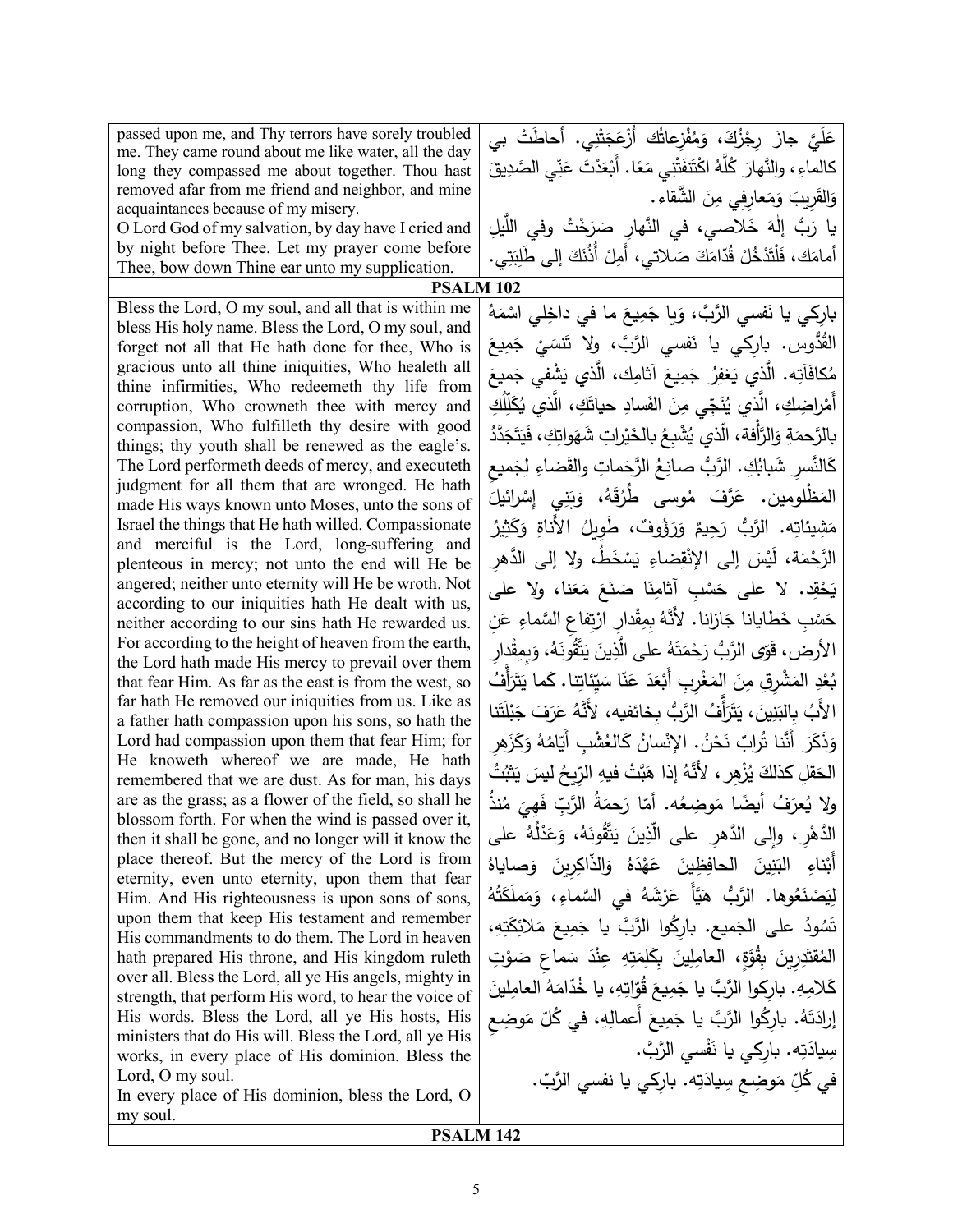| passed upon me, and Thy terrors have sorely troubled                                                            | عَلَيَّ جازَ رِجْزُكَ، وَمُفْزِعاتُك أَزْعَجَتْنِي. أَحاطَتْ بي                |
|-----------------------------------------------------------------------------------------------------------------|--------------------------------------------------------------------------------|
| me. They came round about me like water, all the day                                                            | كالماءِ، والنَّهارَ كُلَّهُ اكْتَنَفَتْنِي مَعًا. أَبْعَدْتَ عَنِّي الصَّدِيقَ |
| long they compassed me about together. Thou hast<br>removed afar from me friend and neighbor, and mine          |                                                                                |
| acquaintances because of my misery.                                                                             | وَالقَرِيبَ وَمَعارِفِي مِنَ الشَّقاءِ.                                        |
| O Lord God of my salvation, by day have I cried and                                                             | يا رَبُّ إِلٰهَ خَلاصي، في النَّهارِ صَرَخْتُ وفي اللَّيلِ                     |
| by night before Thee. Let my prayer come before                                                                 | أمامَك، فَلْتَدْخُلْ قُدّامَكَ صَلاتي، أمِلْ أَذَنَكَ إلى طَلِبَتِي.           |
| Thee, bow down Thine ear unto my supplication.                                                                  |                                                                                |
| PSALM <sub>102</sub>                                                                                            |                                                                                |
| Bless the Lord, O my soul, and all that is within me<br>bless His holy name. Bless the Lord, O my soul, and     | بارِكي يا نَفسي الرَّبَّ، وَيا جَمِيعَ ما في داخِلي اسْمَهُ                    |
| forget not all that He hath done for thee, Who is                                                               | القُدُوس. باركي يا نَفسي الرَّبَّ، ولا تَنسَىْ جَمِيعَ                         |
| gracious unto all thine iniquities, Who healeth all                                                             |                                                                                |
| thine infirmities, Who redeemeth thy life from                                                                  | مُكافَأَتِه. الَّذي يَغفِرُ جَمِيعَ أثامِكَ، الَّذي يَشْفي جَميعَ              |
| corruption, Who crowneth thee with mercy and                                                                    | أَمْراضِكِ، الَّذي يُنَجِّى مِنَ الفَسادِ حياتَكِ، الَّذي يُكَلِّلُكِ          |
| compassion, Who fulfilleth thy desire with good<br>things; thy youth shall be renewed as the eagle's.           | بالرَّحمَةِ وَالرَّأفة، الَّذي يُشْبِعُ بالخَيْراتِ شَهَواتِكِ، فَيَتَجَدَّدُ  |
| The Lord performeth deeds of mercy, and executeth                                                               | كَالنَّسرِ شَبابُكِ. الرَّبُّ صانِعُ الرَّحَماتِ والقَضاءِ لِجَميع             |
| judgment for all them that are wronged. He hath<br>made His ways known unto Moses, unto the sons of             | المَظْلُومين. عَرَّفَ مُوسى طَرُقَهُ، وَبَنِي إِسْرائيلَ                       |
| Israel the things that He hath willed. Compassionate<br>and merciful is the Lord, long-suffering and            | مَشِيئاتِه. الرَّبُّ رَحِيمٌ وَرَؤُوفٌ، طُوِيلُ الأَناةِ وَكَثِيرُ             |
| plenteous in mercy; not unto the end will He be                                                                 | الرَّحْمَة، لَيْسَ إِلَى الإِنْقِضاءِ يَسْخَطُ، ولا إِلَى الدَّهر              |
| angered; neither unto eternity will He be wroth. Not                                                            | يَحْقِد. لا على حَسْبِ أَثَامِنَا صَنَعَ مَعَنا، ولا على                       |
| according to our iniquities hath He dealt with us,                                                              | حَسْبِ خَطايانا جَازانا. لأنَّهُ بِمِقْدار ارْتِفاعِ السَّماءِ عَن             |
| neither according to our sins hath He rewarded us.<br>For according to the height of heaven from the earth,     |                                                                                |
| the Lord hath made His mercy to prevail over them                                                               | الأرض، قَوّى الرَّبُّ رَحْمَتَهُ على الَّذِينَ يَتَّقُونَهُ، وَبِمِقْدار       |
| that fear Him. As far as the east is from the west, so                                                          | بُعْدِ المَشْرِقِ مِنَ المَغْرِبِ أَبْعَدَ عَنّا سَيِّئاتِنا. كَما يَتَرَأَفُ  |
| far hath He removed our iniquities from us. Like as                                                             | الأَبُ بِالبَنِينَ، يَتَرَأَفُ الرَّبُّ بِخائفيه، لأَنَّهُ عَرَفَ جَبْلَتَنا   |
| a father hath compassion upon his sons, so hath the<br>Lord had compassion upon them that fear Him; for         | وَذَكَرَ أَنَّنا تُرابٌ نَحْنُ. الإِنْسانُ كَالعُشْبِ أَيّامُهُ وَكَزَهر       |
| He knoweth whereof we are made, He hath                                                                         |                                                                                |
| remembered that we are dust. As for man, his days                                                               | الحَقلِ كذلكَ يُزْهِرٍ ، لأَنَّهُ إذا هَبَّتْ فيهِ الرِّيحُ ليسَ يَثبُتُ       |
| are as the grass; as a flower of the field, so shall he<br>blossom forth. For when the wind is passed over it,  | ولا يُعرَفُ أيضًا مَوضِعُه. أمّا رَحمَةُ الرَّبِّ فَهِيَ مُنذُ                 |
| then it shall be gone, and no longer will it know the                                                           | الدَّهْرِ ، وإلى الدَّهرِ على الَّذِينَ يَتَّقُونَهُ، وَعَذْلُهُ على           |
| place thereof. But the mercy of the Lord is from                                                                | أَبْناءِ البَنِينَ الحافِظِينَ عَهْدَهُ وَالذَّاكِرِينَ وَصاياهُ               |
| eternity, even unto eternity, upon them that fear<br>Him. And His righteousness is upon sons of sons,           | لِيَصْنَعُوها. الرَّبُّ هَيَّأَ عَرْشَهُ في السَّماءِ، وَمَملَكَتُهُ           |
| upon them that keep His testament and remember                                                                  | تَسُودُ على الجَميع. باركُوا الرَّبَّ يا جَمِيعَ مَلائِكَتِهِ،                 |
| His commandments to do them. The Lord in heaven                                                                 |                                                                                |
| hath prepared His throne, and His kingdom ruleth                                                                | المُقتَدِرِينَ بِقُوَّةٍ، العامِلِينَ بِكَلِمَتِهِ عِنْدَ سَماعٍ صَوْتِ        |
| over all. Bless the Lord, all ye His angels, mighty in<br>strength, that perform His word, to hear the voice of | كَلامِهِ. باركوا الرَّبَّ يا جَمِيعَ قُوّاتِهِ، يا خُدّامَهُ العامِلِينَ       |
| His words. Bless the Lord, all ye His hosts, His                                                                | إرادَتَهُ. باركُوا الرَّبَّ يا جَمِيعَ أعمالِهِ، في كُلّ مَوضِع                |
| ministers that do His will. Bless the Lord, all ye His                                                          |                                                                                |
| works, in every place of His dominion. Bless the                                                                | سِيادَتِه. باركي يا نَفْسى الرَّبَّ.                                           |
| Lord, O my soul.                                                                                                | في كُلِّ مَوضِعٍ سِيادَتِه. بارِكِي يا نفسي الرَّبّ.                           |
| In every place of His dominion, bless the Lord, O<br>my soul.                                                   |                                                                                |
| PSALM <sub>142</sub>                                                                                            |                                                                                |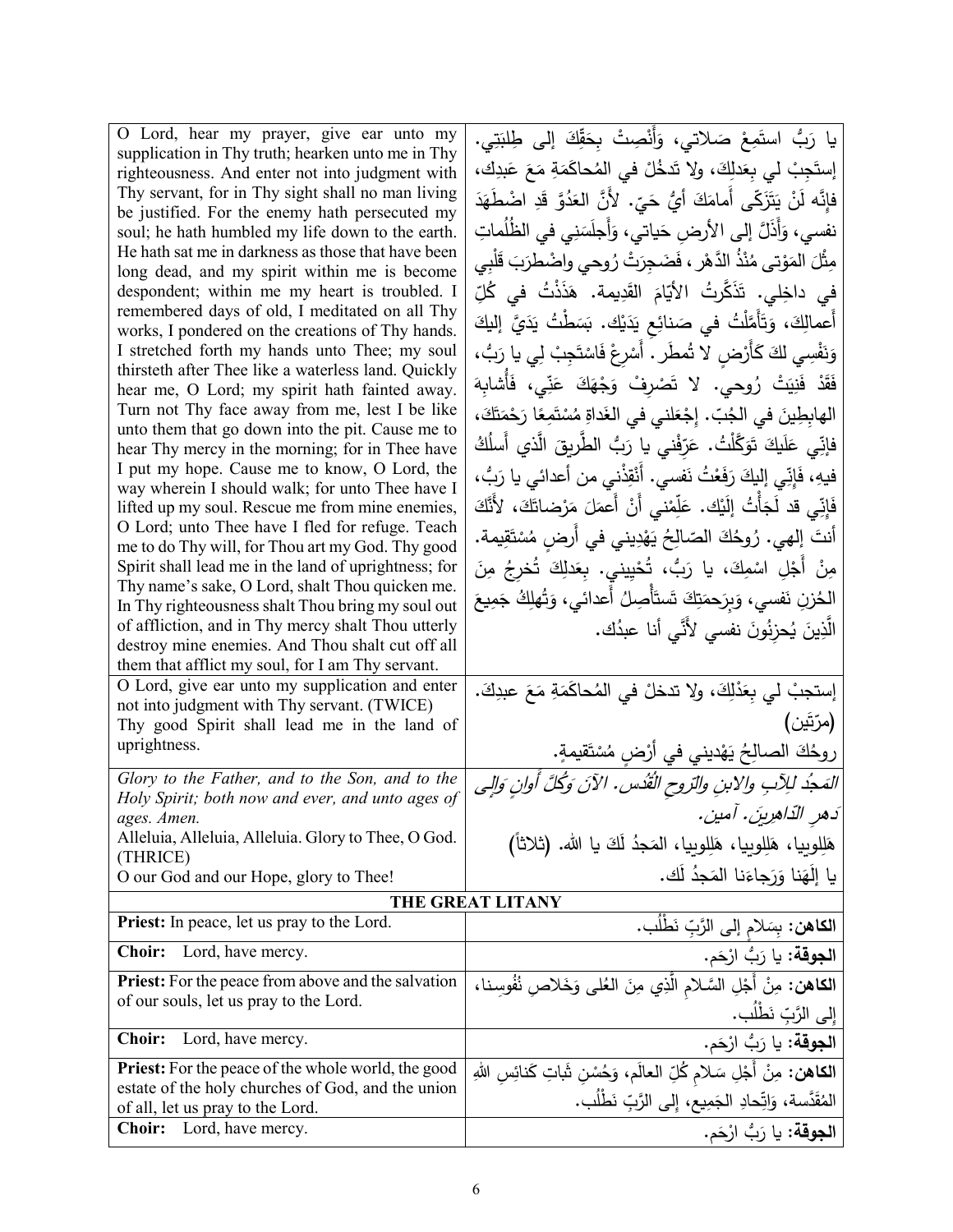| O Lord, hear my prayer, give ear unto my<br>supplication in Thy truth; hearken unto me in Thy<br>righteousness. And enter not into judgment with<br>Thy servant, for in Thy sight shall no man living<br>be justified. For the enemy hath persecuted my<br>soul; he hath humbled my life down to the earth.<br>He hath sat me in darkness as those that have been<br>long dead, and my spirit within me is become<br>despondent; within me my heart is troubled. I<br>remembered days of old, I meditated on all Thy<br>works, I pondered on the creations of Thy hands.<br>I stretched forth my hands unto Thee; my soul<br>thirsteth after Thee like a waterless land. Quickly<br>hear me, O Lord; my spirit hath fainted away.<br>Turn not Thy face away from me, lest I be like<br>unto them that go down into the pit. Cause me to<br>hear Thy mercy in the morning; for in Thee have<br>I put my hope. Cause me to know, O Lord, the<br>way wherein I should walk; for unto Thee have I<br>lifted up my soul. Rescue me from mine enemies,<br>O Lord; unto Thee have I fled for refuge. Teach<br>me to do Thy will, for Thou art my God. Thy good<br>Spirit shall lead me in the land of uprightness; for | يا رَبُّ استَمِعْ صَلاتي، وَأَنْصِتْ بِحَقِّكَ إلى طِلبَتِي.<br>إِستَجِبْ لَى بِعَدلِكَ، ولا تَدَخُلْ في المُحاكَمَةِ مَعَ عَبِدِكَ،<br>فإِنَّه لَنْ يَتَزَكَّى أَمامَكَ أَيُّ حَيّ. لأَنَّ الْعَدُوَّ قَدِ اضْطَهَدَ<br>نفسي، وَأَذَلَّ إِلَى الأَرض حَياتي، وَأَجلَسَنِي في الظُلُماتِ<br>مِثْلَ المَوْتي مُنْذُ الدَّهْرِ ، فَضَجِرَتْ رُوحي واضْطرَبَ قَلْبِي<br>في داخِلي. تَذَكَّرتُ الأَيّامَ القَدِيمة. هَذَذْتُ في كُلِّ<br>أَعمالِكَ، وَتَأْمَّلْتُ في صَنائِع يَدَيْك. بَسَطْتُ يَدَيَّ إِليكَ<br>وَنَفْسِي لَكَ كَأَرْضٍ لا تُمطَّرٍ . أَسْرِعْ فَاسْتَجِبْ لِي يا رَبُّ ،<br>فَقَدْ فَنِيَتْ رُوحي. لا تَصْرِفْ وَجْهَكَ عَنِّي، فَأَشابِهَ<br>الهابِطِينَ في الجُبِّ. إِجْعَلني في الغَداةِ مُسْتَمِعًا رَحْمَتَكَ،<br>فإنِّي عَلَيكَ تَوَكَّلْتُ. عَرِّفْني يا رَبُّ الطَّرِيقَ الَّذي أسلَكُ<br>فيهِ، فَإِنِّي إِليكَ رَفَعْتُ نَفسي. أَنْقِذْني من أعدائي يا رَبُّ،<br>فَإِنِّي قد لَجَأْتُ إِلَيْك. عَلِّمْني أَنْ أَعمَلَ مَرْضانَكَ، لأَنَّكَ<br>أنتَ إلهي. رُوحُكَ الصّالِحُ يَهْدِيني في أرضِ مُسْتَقِيمة.<br>مِنْ أَجْلِ اسْمِكَ، يا رَبُّ، تُحْيِيني. بِعَدلِكَ تُخرِجُ مِنَ |
|-----------------------------------------------------------------------------------------------------------------------------------------------------------------------------------------------------------------------------------------------------------------------------------------------------------------------------------------------------------------------------------------------------------------------------------------------------------------------------------------------------------------------------------------------------------------------------------------------------------------------------------------------------------------------------------------------------------------------------------------------------------------------------------------------------------------------------------------------------------------------------------------------------------------------------------------------------------------------------------------------------------------------------------------------------------------------------------------------------------------------------------------------------------------------------------------------------------------|------------------------------------------------------------------------------------------------------------------------------------------------------------------------------------------------------------------------------------------------------------------------------------------------------------------------------------------------------------------------------------------------------------------------------------------------------------------------------------------------------------------------------------------------------------------------------------------------------------------------------------------------------------------------------------------------------------------------------------------------------------------------------------------------------------------------------------------------------------------------------------------------------------------------------------------------------------------------------------------------------------------------------------------------------------------------------------------------------|
| Thy name's sake, O Lord, shalt Thou quicken me.<br>In Thy righteousness shalt Thou bring my soul out                                                                                                                                                                                                                                                                                                                                                                                                                                                                                                                                                                                                                                                                                                                                                                                                                                                                                                                                                                                                                                                                                                            | الحُزنِ نَفسي، وَبِرَحمَتِكَ تَستَأْصِلُ أَعدائى، وَتُهلِكُ جَمِيعَ                                                                                                                                                                                                                                                                                                                                                                                                                                                                                                                                                                                                                                                                                                                                                                                                                                                                                                                                                                                                                                  |
| of affliction, and in Thy mercy shalt Thou utterly<br>destroy mine enemies. And Thou shalt cut off all<br>them that afflict my soul, for I am Thy servant.                                                                                                                                                                                                                                                                                                                                                                                                                                                                                                                                                                                                                                                                                                                                                                                                                                                                                                                                                                                                                                                      | الَّذِينَ يُحزِنُونَ نفسي لأَنَّى أنا عبدُك.                                                                                                                                                                                                                                                                                                                                                                                                                                                                                                                                                                                                                                                                                                                                                                                                                                                                                                                                                                                                                                                         |
| O Lord, give ear unto my supplication and enter                                                                                                                                                                                                                                                                                                                                                                                                                                                                                                                                                                                                                                                                                                                                                                                                                                                                                                                                                                                                                                                                                                                                                                 |                                                                                                                                                                                                                                                                                                                                                                                                                                                                                                                                                                                                                                                                                                                                                                                                                                                                                                                                                                                                                                                                                                      |
| not into judgment with Thy servant. (TWICE)<br>Thy good Spirit shall lead me in the land of                                                                                                                                                                                                                                                                                                                                                                                                                                                                                                                                                                                                                                                                                                                                                                                                                                                                                                                                                                                                                                                                                                                     | إستجبْ لي بِعَدْلِكَ، ولا تدخلْ في المُحاكَمَةِ مَعَ عبدِكَ.<br>(مرّتَين)                                                                                                                                                                                                                                                                                                                                                                                                                                                                                                                                                                                                                                                                                                                                                                                                                                                                                                                                                                                                                            |
| uprightness.                                                                                                                                                                                                                                                                                                                                                                                                                                                                                                                                                                                                                                                                                                                                                                                                                                                                                                                                                                                                                                                                                                                                                                                                    | روحُكَ الصالِحُ يَهْديني في أَرْضٍ مُسْتَقيمةٍ.                                                                                                                                                                                                                                                                                                                                                                                                                                                                                                                                                                                                                                                                                                                                                                                                                                                                                                                                                                                                                                                      |
| Glory to the Father, and to the Son, and to the                                                                                                                                                                                                                                                                                                                                                                                                                                                                                                                                                                                                                                                                                                                                                                                                                                                                                                                                                                                                                                                                                                                                                                 | المَجْدُ للِآبِ والابنِ والرّوحِ الْقُدْسِ. الآنَ وَكُلَّ أُوانٍ وَالٍي                                                                                                                                                                                                                                                                                                                                                                                                                                                                                                                                                                                                                                                                                                                                                                                                                                                                                                                                                                                                                              |
| Holy Spirit; both now and ever, and unto ages of<br>ages. Amen.                                                                                                                                                                                                                                                                                                                                                                                                                                                                                                                                                                                                                                                                                                                                                                                                                                                                                                                                                                                                                                                                                                                                                 | دَهر الدّاهِرِينَ. آمين.                                                                                                                                                                                                                                                                                                                                                                                                                                                                                                                                                                                                                                                                                                                                                                                                                                                                                                                                                                                                                                                                             |
| Alleluia, Alleluia, Alleluia. Glory to Thee, O God.<br>(THRICE)                                                                                                                                                                                                                                                                                                                                                                                                                                                                                                                                                                                                                                                                                                                                                                                                                                                                                                                                                                                                                                                                                                                                                 | هَلِلوبِيا، هَلِلوبِيا، هَلِلوبِيا، المَجِدُ لَكَ يا الله. (ثلاثاً)                                                                                                                                                                                                                                                                                                                                                                                                                                                                                                                                                                                                                                                                                                                                                                                                                                                                                                                                                                                                                                  |
| O our God and our Hope, glory to Thee!                                                                                                                                                                                                                                                                                                                                                                                                                                                                                                                                                                                                                                                                                                                                                                                                                                                                                                                                                                                                                                                                                                                                                                          | يا إِلْهَنا وَرَجاءَنا المَجدُ لَك.                                                                                                                                                                                                                                                                                                                                                                                                                                                                                                                                                                                                                                                                                                                                                                                                                                                                                                                                                                                                                                                                  |
|                                                                                                                                                                                                                                                                                                                                                                                                                                                                                                                                                                                                                                                                                                                                                                                                                                                                                                                                                                                                                                                                                                                                                                                                                 | THE GREAT LITANY                                                                                                                                                                                                                                                                                                                                                                                                                                                                                                                                                                                                                                                                                                                                                                                                                                                                                                                                                                                                                                                                                     |
| <b>Priest:</b> In peace, let us pray to the Lord.                                                                                                                                                                                                                                                                                                                                                                                                                                                                                                                                                                                                                                                                                                                                                                                                                                                                                                                                                                                                                                                                                                                                                               | ا <b>لكاهن:</b> بِسَلام إلى الرَّبِّ نَطْلُب.                                                                                                                                                                                                                                                                                                                                                                                                                                                                                                                                                                                                                                                                                                                                                                                                                                                                                                                                                                                                                                                        |
| <b>Choir:</b><br>Lord, have mercy.                                                                                                                                                                                                                                                                                                                                                                                                                                                                                                                                                                                                                                                                                                                                                                                                                                                                                                                                                                                                                                                                                                                                                                              | ا <b>لجوقة:</b> يا رَبُّ ارْحَم.                                                                                                                                                                                                                                                                                                                                                                                                                                                                                                                                                                                                                                                                                                                                                                                                                                                                                                                                                                                                                                                                     |
| <b>Priest:</b> For the peace from above and the salvation<br>of our souls, let us pray to the Lord.                                                                                                                                                                                                                                                                                                                                                                                                                                                                                                                                                                                                                                                                                                                                                                                                                                                                                                                                                                                                                                                                                                             | الكاهن: مِنْ أَجْلِ السَّلامِ الَّذِي مِنَ الْعُلَى وَخَلاصِ نُفُوسِنا،                                                                                                                                                                                                                                                                                                                                                                                                                                                                                                                                                                                                                                                                                                                                                                                                                                                                                                                                                                                                                              |
|                                                                                                                                                                                                                                                                                                                                                                                                                                                                                                                                                                                                                                                                                                                                                                                                                                                                                                                                                                                                                                                                                                                                                                                                                 | إِلَى الرَّبِّ نَطْلُب.                                                                                                                                                                                                                                                                                                                                                                                                                                                                                                                                                                                                                                                                                                                                                                                                                                                                                                                                                                                                                                                                              |
| <b>Choir:</b><br>Lord, have mercy.                                                                                                                                                                                                                                                                                                                                                                                                                                                                                                                                                                                                                                                                                                                                                                                                                                                                                                                                                                                                                                                                                                                                                                              |                                                                                                                                                                                                                                                                                                                                                                                                                                                                                                                                                                                                                                                                                                                                                                                                                                                                                                                                                                                                                                                                                                      |
| <b>Priest:</b> For the peace of the whole world, the good<br>estate of the holy churches of God, and the union                                                                                                                                                                                                                                                                                                                                                                                                                                                                                                                                                                                                                                                                                                                                                                                                                                                                                                                                                                                                                                                                                                  | ا <b>لكاهن:</b> مِنْ أَجْلِ سَلام كُلِّ العالَم، وَحُسْن شَاتِ كَنائِسِ اللهِ                                                                                                                                                                                                                                                                                                                                                                                                                                                                                                                                                                                                                                                                                                                                                                                                                                                                                                                                                                                                                        |
| of all, let us pray to the Lord.                                                                                                                                                                                                                                                                                                                                                                                                                                                                                                                                                                                                                                                                                                                                                                                                                                                                                                                                                                                                                                                                                                                                                                                | المُقَدَّسة، وَاتِّحادِ الجَمِيعِ، إِلى الرَّبِّ نَطْلُب.                                                                                                                                                                                                                                                                                                                                                                                                                                                                                                                                                                                                                                                                                                                                                                                                                                                                                                                                                                                                                                            |
| Choir:<br>Lord, have mercy.                                                                                                                                                                                                                                                                                                                                                                                                                                                                                                                                                                                                                                                                                                                                                                                                                                                                                                                                                                                                                                                                                                                                                                                     | ا <b>لجوقة:</b> يا رَبُّ ارْحَم.                                                                                                                                                                                                                                                                                                                                                                                                                                                                                                                                                                                                                                                                                                                                                                                                                                                                                                                                                                                                                                                                     |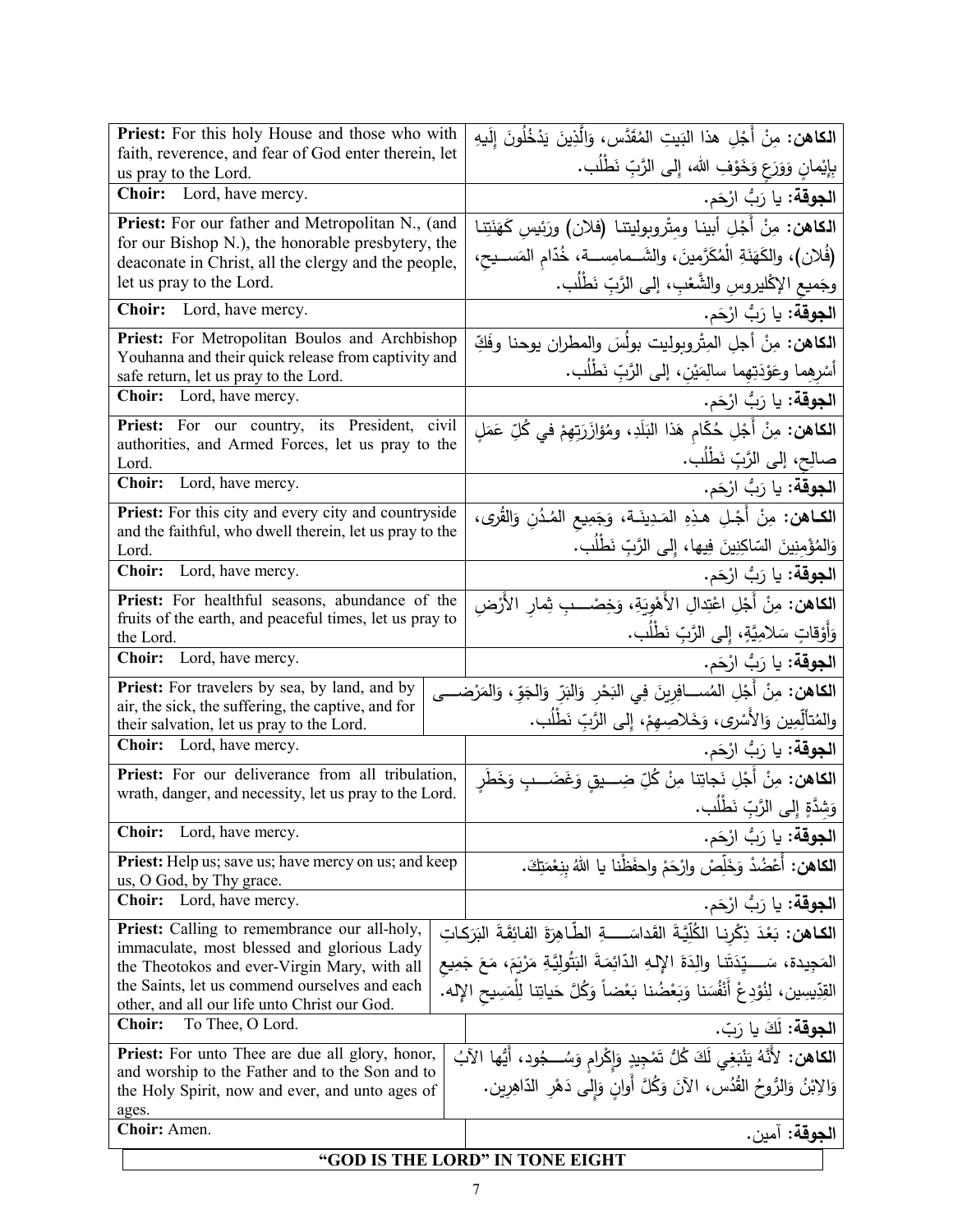| <b>Priest:</b> For this holy House and those who with                                                      | ا <b>لكاهن:</b> مِنْ أَجْلِ هذا البَيتِ المُقَدَّس، وَالَّذِينَ يَدْخُلُونَ إِلَيهِ             |
|------------------------------------------------------------------------------------------------------------|-------------------------------------------------------------------------------------------------|
| faith, reverence, and fear of God enter therein, let<br>us pray to the Lord.                               | بِإِيْمانِ وَوَرَعٍ وَخَوْفِ الله، إِلى الرَّبِّ نَطْلُب.                                       |
| <b>Choir:</b> Lord, have mercy.                                                                            | ا <b>لجوقة:</b> يا رَبُّ ارْحَم.                                                                |
| Priest: For our father and Metropolitan N., (and                                                           | ا <b>لكاهن:</b> مِنْ أَجْلِ أبينا ومِثْروبوليتنا (فلان) ورَئيسِ كَهَنَتِنا                      |
| for our Bishop N.), the honorable presbytery, the                                                          | (فُلان)، والكَهَنَةِ الْمُكَرَّمينَ، والشَــمامِســة، خُدّام المَســيح،                         |
| deaconate in Christ, all the clergy and the people,                                                        |                                                                                                 |
| let us pray to the Lord.                                                                                   | وجَميع الإكْليروسِ والشَّعْبِ، إلى الرَّبِّ نَطْلُب.                                            |
| <b>Choir:</b><br>Lord, have mercy.                                                                         | ا <b>لجوقة:</b> يا رَبُّ ارْحَم.                                                                |
| Priest: For Metropolitan Boulos and Archbishop<br>Youhanna and their quick release from captivity and      | ا <b>لكاهن:</b> مِنْ أجلِ المِتْروبِوليت بولُسَ والمطران يوحنا وفَكِّ                           |
| safe return, let us pray to the Lord.                                                                      | أَسْرِهِما وعَوْدَتِهِما سالِمَيْنِ، إلى الرَّبِّ نَطْلُبٍ.                                     |
| Choir: Lord, have mercy.                                                                                   | ا <b>لجوقة:</b> يا رَبُّ ارْحَم.                                                                |
| Priest: For our country, its President, civil                                                              | ا <b>لكاهن:</b> مِنْ أَجْلِ حُكّامِ هَذا البَلَدِ، ومُؤازَرَتِهِمْ في كُلِّ عَمَلٍ              |
| authorities, and Armed Forces, let us pray to the<br>Lord.                                                 | صالِح، إلى الرَّبِّ نَطْلُب.                                                                    |
| Choir: Lord, have mercy.                                                                                   | ا <b>لجوقة:</b> يا رَبُّ ارْحَم.                                                                |
| Priest: For this city and every city and countryside                                                       | الكاهن: مِنْ أَجْلِ هذِهِ المَدِينَـة، وَجَمِيعِ المُدُنِ وَالقُرى،                             |
| and the faithful, who dwell therein, let us pray to the<br>Lord.                                           | وَالمُؤْمِنِينَ السّاكِنِينَ فِيها، إِلى الرَّبِّ نَطْلُب.                                      |
| Lord, have mercy.<br><b>Choir:</b>                                                                         | ا <b>لجوقة:</b> يا رَبُّ ارْحَم.                                                                |
| Priest: For healthful seasons, abundance of the                                                            | ا <b>لكاهن:</b> مِنْ أَجْلِ اعْتِدالِ الأَهْوِيَةِ، وَخِصْـــبِ ثِمار الأَرْضِ                  |
| fruits of the earth, and peaceful times, let us pray to                                                    | وَأَوْقَاتٍ سَلامِيَّةٍ، إِلَى الرَّبِّ نَطْلُب.                                                |
| the Lord.<br>Choir: Lord, have mercy.                                                                      |                                                                                                 |
|                                                                                                            | ا <b>لجوقة:</b> يا رَبُّ ارْحَم.                                                                |
| <b>Priest:</b> For travelers by sea, by land, and by<br>air, the sick, the suffering, the captive, and for | ا <b>لكاهن:</b> مِنْ أَجْلِ المُســـافِرِينَ فِي النَحْرِ وَالنَرِّ وَالْجَوِّ، وَالمَرْضَــــى |
| their salvation, let us pray to the Lord.                                                                  | والمُتألِّمِين وَالأَسْرِي، وَخَلاصِهِمْ، إِلَى الرَّبِّ نَطْلُب.                               |
| Choir: Lord, have mercy.                                                                                   | ا <b>لجوقة:</b> يا رَبُّ ارْحَم.                                                                |
| Priest: For our deliverance from all tribulation,                                                          | ا <b>لكاهن:</b> مِنْ أَجْلِ نَجاتِنا مِنْ كُلِّ ضِــــيق وَغَضَـــبِ وَخَطَر                    |
| wrath, danger, and necessity, let us pray to the Lord.                                                     | وَشِدَّةٍ إِلَى الرَّبِّ نَطْلُب.                                                               |
| Lord, have mercy.<br><b>Choir:</b>                                                                         | ا <b>لجوقة:</b> يا رَبُّ ارْحَم.                                                                |
| <b>Priest:</b> Help us; save us; have mercy on us; and keep                                                | الكاهن: أَعْضُدْ وَخَلِّصْ وارْحَمْ واحفَظْنا يا اللهُ بِنِعْمَتِكَ.                            |
| us, O God, by Thy grace.<br><b>Choir:</b> Lord, have mercy.                                                | ا <b>لجوقة:</b> يا رَبُّ ارْحَم.                                                                |
| <b>Priest:</b> Calling to remembrance our all-holy,                                                        | الكاهن: بَعْدَ ذِكْرِنا الطُّلِّيَّةَ القَداسَــــةِ الطَّاهِرَةَ الفائِقَةَ البَرَكاتِ         |
| immaculate, most blessed and glorious Lady                                                                 | المَجِيدة، سَـــــيّدَتَنـا والِدَةَ الإِلـهِ الدّائِمَـةَ البَتُولِيَّةِ مَرْيَمَ، مَعَ جَمِيع |
| the Theotokos and ever-Virgin Mary, with all<br>the Saints, let us commend ourselves and each              |                                                                                                 |
| other, and all our life unto Christ our God.                                                               | القِدِّيسِين، لِنُوْدِعْ أَنْفُسَنا وَبَعْضُنا بَعْضاً وَكُلَّ حَياتِنا لِلْمَسِيحِ الإِله.     |
| To Thee, O Lord.<br>Choir:                                                                                 | ا <b>لجوقة:</b> لَكَ يا رَبّ.                                                                   |
| <b>Priest:</b> For unto Thee are due all glory, honor,                                                     | ا <b>لكاهن:</b> لأَنَّهُ يَنْبَغِي لَكَ كُلُّ تَمْجِيدٍ وَإِكْرامٍ وَسُـــجُود، أَيُّها الآبُ   |
| and worship to the Father and to the Son and to<br>the Holy Spirit, now and ever, and unto ages of         | وَالِإِبْنُ وَالرُّوحُ القُدُسِ، الآنَ وَكُلَّ أُوانِ وَإِلَى دَهْرِ الدَّاهِرِينِ.             |
| ages.                                                                                                      |                                                                                                 |
| Choir: Amen.                                                                                               | ا <b>لجوقة:</b> أمين.                                                                           |
|                                                                                                            | "GOD IS THE LORD" IN TONE EIGHT                                                                 |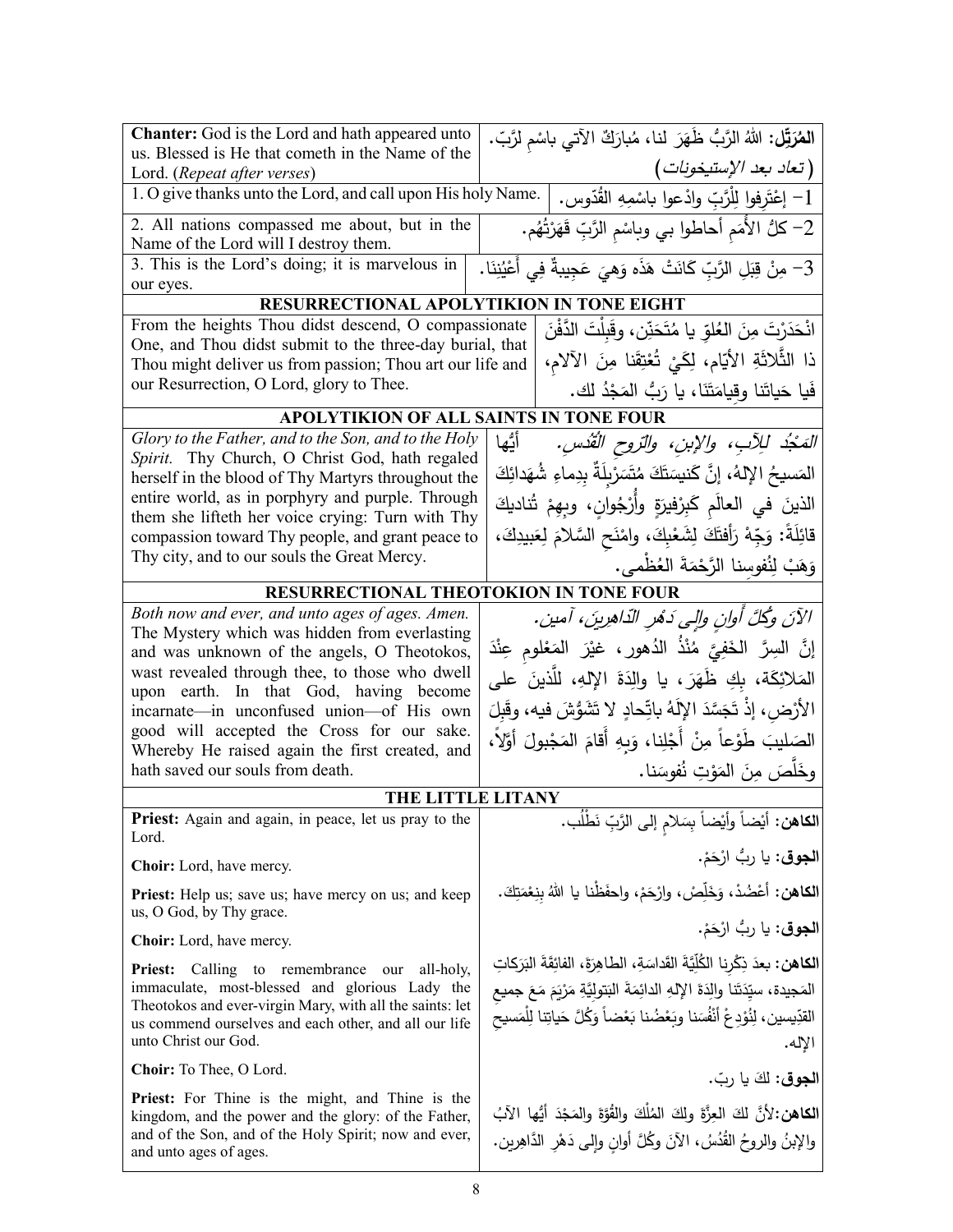| Chanter: God is the Lord and hath appeared unto                                                                       | ا <b>لمُرَتِّل:</b> اللهُ الرَّبُّ ظَهَرَ لنا، مُبارَكٌ الآتي باسْم لرَّبّ.              |
|-----------------------------------------------------------------------------------------------------------------------|------------------------------------------------------------------------------------------|
| us. Blessed is He that cometh in the Name of the                                                                      | (تعاد بعد الإستيخونات)                                                                   |
| Lord. (Repeat after verses)<br>1. O give thanks unto the Lord, and call upon His holy Name.                           |                                                                                          |
|                                                                                                                       | 1– إعْتَرفوا لِلْرَّبِّ وادْعوا باسْمِهِ الْقُدّوس.                                      |
| 2. All nations compassed me about, but in the<br>Name of the Lord will I destroy them.                                | 2– كلُّ الأُمَمِ أَحاطُوا بي وبِاسْمِ الرَّبِّ قَهَرْتُهُم.                              |
| 3. This is the Lord's doing; it is marvelous in                                                                       | 3– مِنْ قِبَلِ الرَّبِّ كَانَتْ هَذَه وَهِيَ عَجِيبةٌ فِي أَعْيُنِنَا.                   |
| our eyes.                                                                                                             |                                                                                          |
| RESURRECTIONAL APOLYTIKION IN TONE EIGHT                                                                              |                                                                                          |
| From the heights Thou didst descend, O compassionate                                                                  | انْحَدَرْتَ مِنَ الْعُلْقِ يا مُتَحَنِّن، وقَبِلْتَ الدَّفْنَ                            |
| One, and Thou didst submit to the three-day burial, that<br>Thou might deliver us from passion; Thou art our life and | ذا الثَّلاثَةِ الأيّام، لِكَيْ تُعْتِقَنا مِنَ الآلامِ،                                  |
| our Resurrection, O Lord, glory to Thee.                                                                              |                                                                                          |
|                                                                                                                       | فَيا حَياتَنا وقيامَتَنَا، يا رَبُّ المَجْدُ لك.                                         |
| APOLYTIKION OF ALL SAINTS IN TONE FOUR                                                                                |                                                                                          |
| Glory to the Father, and to the Son, and to the Holy<br>Spirit. Thy Church, O Christ God, hath regaled                | أَيُّها<br>الْمَجْدُ لِلِأَبِ، والإبنِ، والرّوح الْقُدْسِ.                               |
| herself in the blood of Thy Martyrs throughout the                                                                    | المَسيحُ الإِلهُ، إنَّ كَنيسَتَكَ مُتَسَرْبِلَةً بِدِماءِ شُهَدائِكَ                     |
| entire world, as in porphyry and purple. Through                                                                      |                                                                                          |
| them she lifteth her voice crying: Turn with Thy                                                                      | الذينَ في العالَم كَبِرْفيرَةٍ وأَرْجُوانِ، وبِهِمْ تُناديكَ                             |
| compassion toward Thy people, and grant peace to                                                                      | قَائِلَةً: وَجِّهْ رَأَفتَكَ لِشَعْبِكَ، وامْنَح السَّلامَ لِعَبِيدِكَ،                  |
| Thy city, and to our souls the Great Mercy.                                                                           | وَهَبْ لِنُفوسِنا الرَّحْمَةَ العُظْمى.                                                  |
| RESURRECTIONAL THEOTOKION IN TONE FOUR                                                                                |                                                                                          |
| Both now and ever, and unto ages of ages. Amen.                                                                       |                                                                                          |
| The Mystery which was hidden from everlasting                                                                         | الآنَ وكُلَّ أُوانِ والِي دَهْرِ الذَاهِرِينَ، آمين.                                     |
| and was unknown of the angels, O Theotokos,                                                                           | إِنَّ السِرَّ  الخَفِيَّ مُنْذُ  الدُهورِ ،  غيْرَ  المَعْلومِ  عِنْدَ                   |
| wast revealed through thee, to those who dwell                                                                        | المَلائِكَة، بِكِ ظُهَرَ، يا والِدَةَ الإِلهِ، للَّذينَ على                              |
| upon earth. In that God, having become                                                                                |                                                                                          |
| incarnate—in unconfused union—of His own<br>good will accepted the Cross for our sake.                                | الأَرْض، إِذْ تَجَسَّدَ الإِلَهُ بِاتِّحادٍ لا تَشَوُّشَ فيه، وقَبِلَ                    |
| Whereby He raised again the first created, and                                                                        | الصَليبَ طَوْعاً مِنْ أَجْلِنا، وَبِهِ أَقامَ المَجْبولَ أَوَّلاً،                       |
| hath saved our souls from death.                                                                                      | وخَلَّصَ مِنَ المَوْتِ نُفوسَنا.                                                         |
| THE LITTLE LITANY                                                                                                     |                                                                                          |
| Priest: Again and again, in peace, let us pray to the                                                                 | الكاهن: أيْضاً وأيْضاً بِسَلامِ إلى الرَّبِّ نَطْلُب.                                    |
| Lord.                                                                                                                 |                                                                                          |
| Choir: Lord, have mercy.                                                                                              | ا <b>لجوق</b> : يا ربُ ارْحَمْ.                                                          |
| Priest: Help us; save us; have mercy on us; and keep<br>us, O God, by Thy grace.                                      | الكاهن: أَعْضُدْ، وَخَلِّصْ، وارْحَمْ، واحفَظْنا يا اللهُ بِنِعْمَتِكَ.                  |
| Choir: Lord, have mercy.                                                                                              | ا <b>لجوق</b> : يا ربُّ ارْحَمْ.                                                         |
| <b>Priest:</b><br>Calling to remembrance our<br>all-holy,                                                             | ا <b>لكاهن:</b> بعدَ ذِكْرِنا الكُلِّيَّةَ القَداسَةِ، الطاهِرَةَ، الفائِقَةَ البَرَكاتِ |
| immaculate, most-blessed and glorious Lady the                                                                        | المَجيدة، سيِّدَتَنا والِدَةَ الإِلهِ الدائِمَةَ البَتوليَّةِ مَرْيَمَ مَعَ جميع         |
| Theotokos and ever-virgin Mary, with all the saints: let                                                              | القدِّيسين، لِنُوْدِعْ أَنْفُسَنا وبَعْضُنا بَعْضاً وَكُلَّ حَياتِنا لِلْمَسيح           |
| us commend ourselves and each other, and all our life<br>unto Christ our God.                                         | الإله.                                                                                   |
| Choir: To Thee, O Lord.                                                                                               | ا <b>لجوق:</b> لكَ يا ربّ.                                                               |
| <b>Priest:</b> For Thine is the might, and Thine is the                                                               |                                                                                          |
| kingdom, and the power and the glory: of the Father,                                                                  | الكاهن:لأنَّ لكَ العِزَّةَ ولكَ المُلْكَ والقُوَّةَ والمَجْدَ أَيُّها الآبُ              |
| and of the Son, and of the Holy Spirit; now and ever,                                                                 | والإبنُ والروحُ القُدُسُ، الآنَ وكُلَّ أوانِ وإلى دَهْرِ الدَّاهِرين.                    |
| and unto ages of ages.                                                                                                |                                                                                          |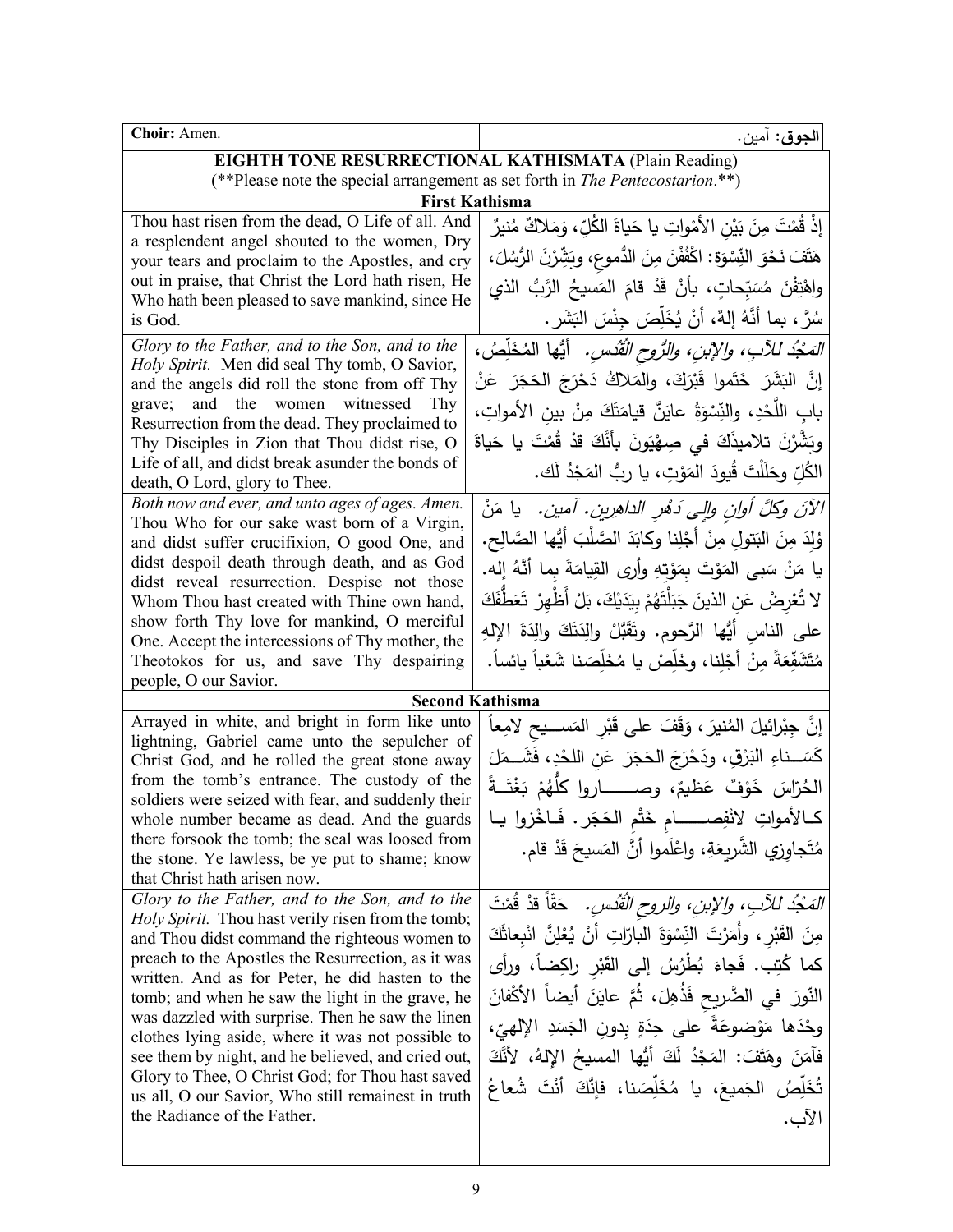| Choir: Amen.                                                                                          | ا <b>لجوق</b> : آمين.                                                      |  |
|-------------------------------------------------------------------------------------------------------|----------------------------------------------------------------------------|--|
|                                                                                                       | EIGHTH TONE RESURRECTIONAL KATHISMATA (Plain Reading)                      |  |
| (**Please note the special arrangement as set forth in <i>The Pentecostarion</i> .**)                 |                                                                            |  |
|                                                                                                       | <b>First Kathisma</b>                                                      |  |
| Thou hast risen from the dead, O Life of all. And<br>a resplendent angel shouted to the women, Dry    | إِذْ قُمْتَ مِنَ بَيْنِ الأَمْواتِ يا حَياةَ الكُلِّ، وَمَلاكٌ مُنيرٌ      |  |
| your tears and proclaim to the Apostles, and cry                                                      | هَنَّفَ نَحْوَ النِّسْوَة: اكْفُفْنَ مِنَ الدُّموعِ، وبَشِّرْنَ الرُّسُلَ، |  |
| out in praise, that Christ the Lord hath risen, He                                                    | واهْتِفْنَ مُسَبِّحاتٍ، بأَنْ قَدْ قامَ المَسيحُ الرَّبُّ الذي             |  |
| Who hath been pleased to save mankind, since He                                                       |                                                                            |  |
| is God.                                                                                               | سُرً ، بما أنَّهُ إِلهٌ، أَنْ يُخَلِّصَ جِنْسَ النَشَرِ .                  |  |
| Glory to the Father, and to the Son, and to the                                                       | المَجْدُ للآبِ، والإبنِ، والرَّوح الْقُدْسِ. ۖ أَيُّها المُخَلِّصُ،        |  |
| Holy Spirit. Men did seal Thy tomb, O Savior,<br>and the angels did roll the stone from off Thy       | إِنَّ البَشَرَ خَتَموا قَبْرَكَ، والمَلاكُ دَحْرَجَ الحَجَرَ عَنْ          |  |
| grave; and the women witnessed<br>Thy                                                                 |                                                                            |  |
| Resurrection from the dead. They proclaimed to                                                        | بابِ اللَّحْدِ، والنِّسْوَةُ عايَنَّ قيامَتَكَ مِنْ بينِ الأمواتِ،         |  |
| Thy Disciples in Zion that Thou didst rise, O                                                         | وبَشَّرْنَ تلاميذَكَ في صِهْيَونَ بِأَنَّكَ قدْ قُمْتَ يا حَياةَ           |  |
| Life of all, and didst break asunder the bonds of                                                     | الكُلِّ وِحَلَلْتَ قُيودَ المَوْتِ، يا رِبُّ المَجْدُ لَك.                 |  |
| death, O Lord, glory to Thee.<br>Both now and ever, and unto ages of ages. Amen.                      |                                                                            |  |
| Thou Who for our sake wast born of a Virgin,                                                          | الآنَ وكلَّ أُوانِ وإلى دَهْرِ الداهِرِينِ. آمين.  يا مَنْ                 |  |
| and didst suffer crucifixion, O good One, and                                                         | وُلِدَ مِنَ البَتولِ مِنْ أَجْلِنا وكابَدَ الصَّلْبَ أَيُّها الصَّالِحِ.   |  |
| didst despoil death through death, and as God                                                         | يا مَنْ سَبِي الْمَوْتَ بِمَوْتِهِ وأَرِي الْقِيامَةَ بِما أَنَّهُ إله.    |  |
| didst reveal resurrection. Despise not those<br>Whom Thou hast created with Thine own hand,           | لا تُعْرِضْ عَنِ الذينَ جَبَلْتَهُمْ بِيَدَيْكَ، بَلْ أَظْهِرْ تَعَطَّفَكَ |  |
| show forth Thy love for mankind, O merciful                                                           |                                                                            |  |
| One. Accept the intercessions of Thy mother, the                                                      | على الناسِ أيُّها الرَّحوم. وتَقَبَّلْ والِدَتَكَ والِدَةَ الإلهِ          |  |
| Theotokos for us, and save Thy despairing                                                             | مُتَشَفِّعَةً مِنْ أَجْلِنا، وخَلِّصْ يا مُخَلِّصَنا شَعْباً يائساً.       |  |
| people, O our Savior.                                                                                 | <b>Second Kathisma</b>                                                     |  |
| Arrayed in white, and bright in form like unto                                                        |                                                                            |  |
| lightning, Gabriel came unto the sepulcher of                                                         | إِنَّ جِبْرِائِيلَ الْمُنيرَ ، وَقَفَ على قَبْرِ المَســـيح لامِعاً        |  |
| Christ God, and he rolled the great stone away                                                        | كَسَــناءِ البَرْقِ، ودَحْرَجَ الحَجَرَ  عَنِ اللَّحْدِ، فَشَــمَلَ        |  |
| from the tomb's entrance. The custody of the                                                          | الحُرّاسَ خَوْفٌ عَظيمٌ، وصــــــاروا كلُّهُمْ بَغْتَــةً                  |  |
| soldiers were seized with fear, and suddenly their<br>whole number became as dead. And the guards     | كـالأمواتِ لانْفِصـــــام خَتْمِ الْحَجَرِ . فَـاخْزوا يـا                 |  |
| there forsook the tomb; the seal was loosed from                                                      |                                                                            |  |
| the stone. Ye lawless, be ye put to shame; know                                                       | مُتَجاوزِي الشَّرِيعَةِ، واعْلَموا أَنَّ المَسيحَ قَدْ قام.                |  |
| that Christ hath arisen now.                                                                          |                                                                            |  |
| Glory to the Father, and to the Son, and to the<br>Holy Spirit. Thou hast verily risen from the tomb; | المَجْد للآبِ، والإبنِ، والروح القُدُسِ. ۚ حَقًّا قَدْ قُمْتَ              |  |
| and Thou didst command the righteous women to                                                         | مِنَ القَبْرِ ، وأَمَرْتَ النِّسْوَةَ البارّاتِ أَنْ يُعْلِنَّ انْبِعاثَكَ |  |
| preach to the Apostles the Resurrection, as it was                                                    | كما كُتِب. فَجاءَ بُطْرُسُ إلى القَبْرِ راكِضاً، ورأى                      |  |
| written. And as for Peter, he did hasten to the                                                       |                                                                            |  |
| tomb; and when he saw the light in the grave, he                                                      | النَّورَ  في الضَّريح فَذَهِلَ، ثُمَّ عايَنَ أيضاً الأكْفانَ               |  |
| was dazzled with surprise. Then he saw the linen<br>clothes lying aside, where it was not possible to | وحْدَها مَوْضوعَةً على حِدَةٍ بِدونِ الْجَسَدِ الإِلْهِيِّ،                |  |
| see them by night, and he believed, and cried out,                                                    | فَأَمَنَ وهَتَفَ: المَجْدُ لَكَ أَيُّها المسيحُ الإِلهُ، لأَنَّكَ          |  |
| Glory to Thee, O Christ God; for Thou hast saved                                                      | تُخَلِّصُ الْجَمِيعَ، يا مُخَلِّصَنا، فإنَّكَ أَنْتَ شُعاعُ                |  |
| us all, O our Savior, Who still remainest in truth                                                    |                                                                            |  |
| the Radiance of the Father.                                                                           | الأب.                                                                      |  |
|                                                                                                       |                                                                            |  |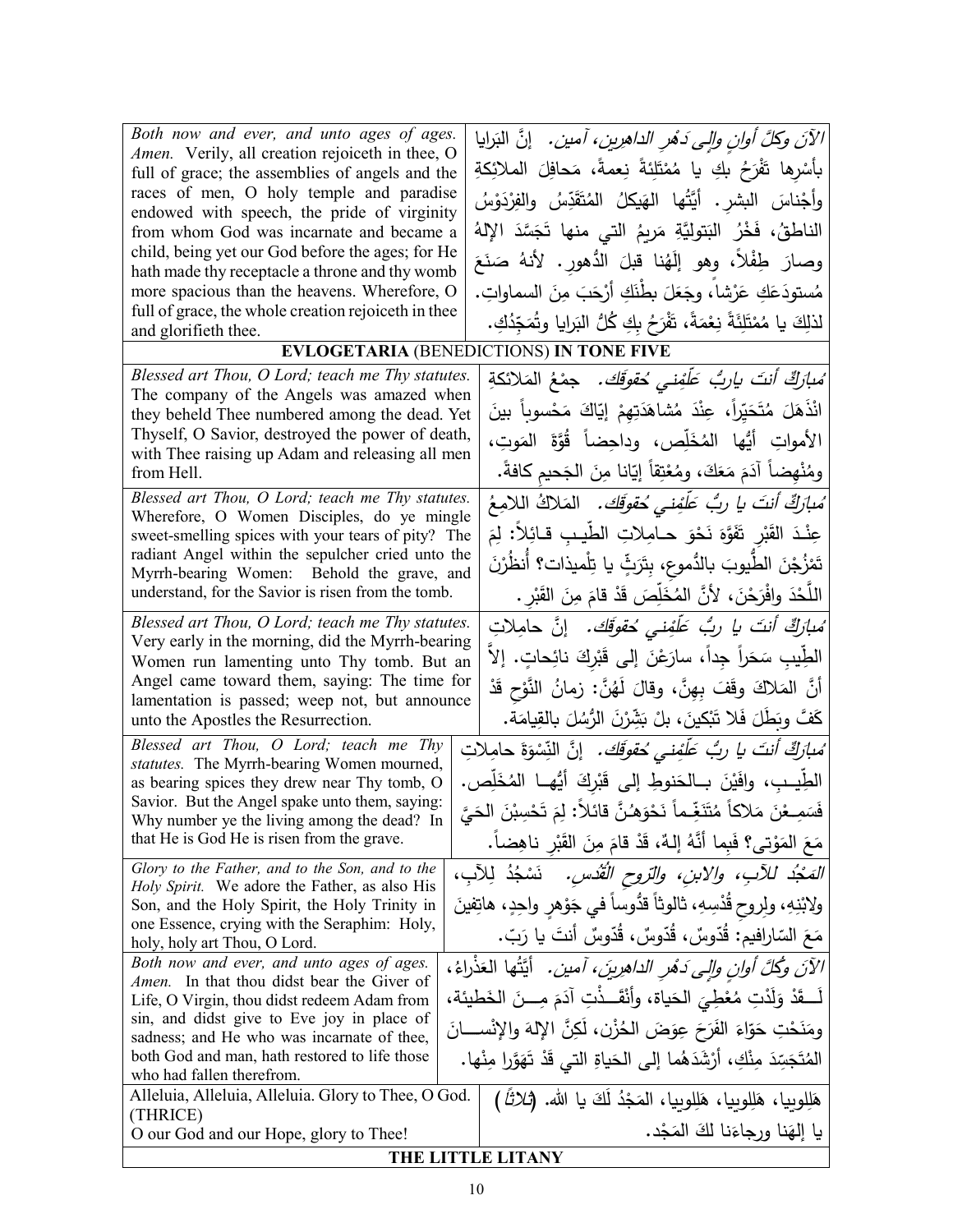| Both now and ever, and unto ages of ages.                                                               |  | الآنَ وكُلَّ أُولِنِ وإِلَى دَهُرِ الدَاهِرِينِ، آمينِ. ﴿ إِنَّ الْبَرَايَا        |
|---------------------------------------------------------------------------------------------------------|--|------------------------------------------------------------------------------------|
| Amen. Verily, all creation rejoiceth in thee, O                                                         |  |                                                                                    |
| full of grace; the assemblies of angels and the                                                         |  | بأَسْرِها تَفْرَحُ بكِ يا مُمْتَلِئَةً نِعمةً، مَحافِلَ الملائِكةِ                 |
| races of men, O holy temple and paradise                                                                |  | وأَجْناسَ النشرِ . أَيَّتُها الهَيكلُ المُتَقَدِّسُ والفِرْدَوْسُ                  |
| endowed with speech, the pride of virginity                                                             |  |                                                                                    |
| from whom God was incarnate and became a                                                                |  | الناطقُ، فَخْرُ  البَتوليَّةِ  مَريمُ  التي  منها  تَجَسَّدَ  الإِلهُ              |
| child, being yet our God before the ages; for He<br>hath made thy receptacle a throne and thy womb      |  | وصارَ طِفْلاً، وهو إِلَهُنا قَبلَ الدُّهورِ . لأنهُ صَنَعَ                         |
| more spacious than the heavens. Wherefore, O                                                            |  | مُستودَعَكِ عَرْشا، وجَعَلَ بطَنَكِ أَرْجَبَ مِنَ السماواتِ.                       |
| full of grace, the whole creation rejoiceth in thee                                                     |  |                                                                                    |
| and glorifieth thee.                                                                                    |  | لذلِكَ يا مُمْتَلِئَةً نِعْمَةً، تَفْرَحُ بِكِ كُلُّ البَرايا وتُمَجِّدُكِ.        |
|                                                                                                         |  | EVLOGETARIA (BENEDICTIONS) IN TONE FIVE                                            |
| Blessed art Thou, O Lord; teach me Thy statutes.                                                        |  | ُ <i>مبارَكٌ أنتَ ياربُ عَلَّفِنى حُقوقَك.</i> جمْعُ المَلائكةِ                    |
| The company of the Angels was amazed when                                                               |  |                                                                                    |
| they beheld Thee numbered among the dead. Yet                                                           |  | انْذَهَلَ مُتَحَيِّراً، عِنْدَ مُشاهَدَتِهِمْ إِيّاكَ مَحْسوباً بينَ               |
| Thyself, O Savior, destroyed the power of death,<br>with Thee raising up Adam and releasing all men     |  | الأمواتِ أيُّها المُخَلِّص، وداحِضاً قُوَّةَ المَوتِ،                              |
| from Hell.                                                                                              |  | ومُنْهِضاً آدَمَ مَعَكَ، ومُعْتِقاً إيّانا مِنَ الْجَحيم كافةً.                    |
| Blessed art Thou, O Lord; teach me Thy statutes.                                                        |  | مُ <i>بارَكٌ أنتَ يا ربُّ عَلَّفِنى حُقوقَك.</i> المَلاكُ اللامِعُ                 |
| Wherefore, O Women Disciples, do ye mingle                                                              |  |                                                                                    |
| sweet-smelling spices with your tears of pity? The<br>radiant Angel within the sepulcher cried unto the |  | عِنْدَ القَبْرِ تَفَوَّهَ نَحْوَ حـامِلاتِ الطَّيـبِ قـائِلاً: لِمَ                |
| Myrrh-bearing Women: Behold the grave, and                                                              |  | تَمْزُجْنَ الطّيوبَ بالدُّموعِ، بِتَرَثٍّ يا تِلْميذات؟ أَنظُرْنَ                  |
| understand, for the Savior is risen from the tomb.                                                      |  | اللَّحْدَ وافْرَحْنَ، لأَنَّ المُخَلِّصَ قَدْ قامَ مِنَ الْقَبْرِ .                |
| Blessed art Thou, O Lord; teach me Thy statutes.                                                        |  | مُ <i>بازڭ أنتَ يا ربُّ عَلَّفِنى حُقوقَك.</i> إنَّ حامِلاتِ                       |
| Very early in the morning, did the Myrrh-bearing                                                        |  |                                                                                    |
| Women run lamenting unto Thy tomb. But an                                                               |  | الطِّيبِ سَحَراً جِداً، سارَعْنَ إلى قَبْرِكَ نائِحاتٍ. إلاّ                       |
| Angel came toward them, saying: The time for                                                            |  | أَنَّ المَلاكَ وقَفَ بِهِنَّ، وقالَ لَهُنَّ: زمانُ النَّوْحِ قَدْ                  |
| lamentation is passed; weep not, but announce                                                           |  |                                                                                    |
| unto the Apostles the Resurrection.                                                                     |  | كَفَّ وبَطَلَ فَلا تَبْكينَ، بلْ بَشِّرْنَ الرُّسُلَ بالقِيامَة.                   |
| Blessed art Thou, O Lord; teach me Thy<br>statutes. The Myrrh-bearing Women mourned,                    |  | ُ <i>مبارَكٌ أنتَ يا ربُ عَلَّفِنى كغَوقَك.</i> إنَّ النِّسْوَةَ حامِلاتِ          |
| as bearing spices they drew near Thy tomb, O                                                            |  | الطِّيبِ، وافَيْنَ بِـالْحَنوطِ إِلَى قَبْرِكَ أَيُّهِــا الْمُخَلِّص.             |
| Savior. But the Angel spake unto them, saying:                                                          |  | فَسَمِـعْنَ مَلاكاً مُتَنَغِّـماً نَحْوَهُـنَّ قائلاً: لِمَ تَحْسِبْنَ الْحَيَّ    |
| Why number ye the living among the dead? In                                                             |  |                                                                                    |
| that He is God He is risen from the grave.                                                              |  | مَعَ المَوْتِي؟ فَبِما أَنَّهُ إِلَٰهٌ، قَدْ قَامَ مِنَ الْقَبْرِ ناهِضاً.         |
| Glory to the Father, and to the Son, and to the<br><i>Holy Spirit.</i> We adore the Father, as also His |  | الصَجُد للأبِ، والابنِ، والتروح القُدْسِ.  نَسْجُدُ لِلأَبِ،                       |
| Son, and the Holy Spirit, the Holy Trinity in                                                           |  | ولابْنِهِ، ولروح قُدْسِهِ، ثالوثاً قدُّوساً في جَوْهر واحِدٍ، هاتِفينَ             |
| one Essence, crying with the Seraphim: Holy,<br>holy, holy art Thou, O Lord.                            |  | مَعَ السّارافيم: قُدّوسٌ، قُدّوسٌ، قُدّوسٌ أنتَ يا رَبّ.                           |
| Both now and ever, and unto ages of ages.                                                               |  |                                                                                    |
| <i>Amen</i> . In that thou didst bear the Giver of                                                      |  | الآنَ وَكُلَّ أُوانِ وَإِلَى دَهْرِ الدَاهِرِينَ، آمين. ۖ أَيَّتُهَا الْعَذْرَاءُ، |
| Life, O Virgin, thou didst redeem Adam from                                                             |  | لَــقَدْ وَلَدْتِ مُعْطِيَ الْحَياة، وأَنْقَــذْتِ آدَمَ مِـــنَ الخَطْيئة،        |
| sin, and didst give to Eve joy in place of                                                              |  | ومَنَحْتِ حَوّاءَ الفَرَحَ عِوَضَ الْحُزْنِ، لَكِنَّ الإِلهَ والإِنْســـانَ        |
| sadness; and He who was incarnate of thee,                                                              |  |                                                                                    |
| both God and man, hath restored to life those<br>who had fallen therefrom.                              |  | المُتَجَسِّدَ مِنْكِ، أَرْشَدَهُما إلى الحَياةِ التي قَدْ تَهَوَّرا مِنْها.        |
| Alleluia, Alleluia, Alleluia. Glory to Thee, O God.                                                     |  | هَلِلوبِيا، هَلِلوبِيا، هَلِلوبِيا، المَجْدُ لَكَ يا الله. (ثلاثًا)                |
| (THRICE)                                                                                                |  |                                                                                    |
| O our God and our Hope, glory to Thee!                                                                  |  | يا إلهَنا ورجاءَنا لكَ المَجْد.                                                    |
|                                                                                                         |  | <b>THE LITTLE LITANY</b>                                                           |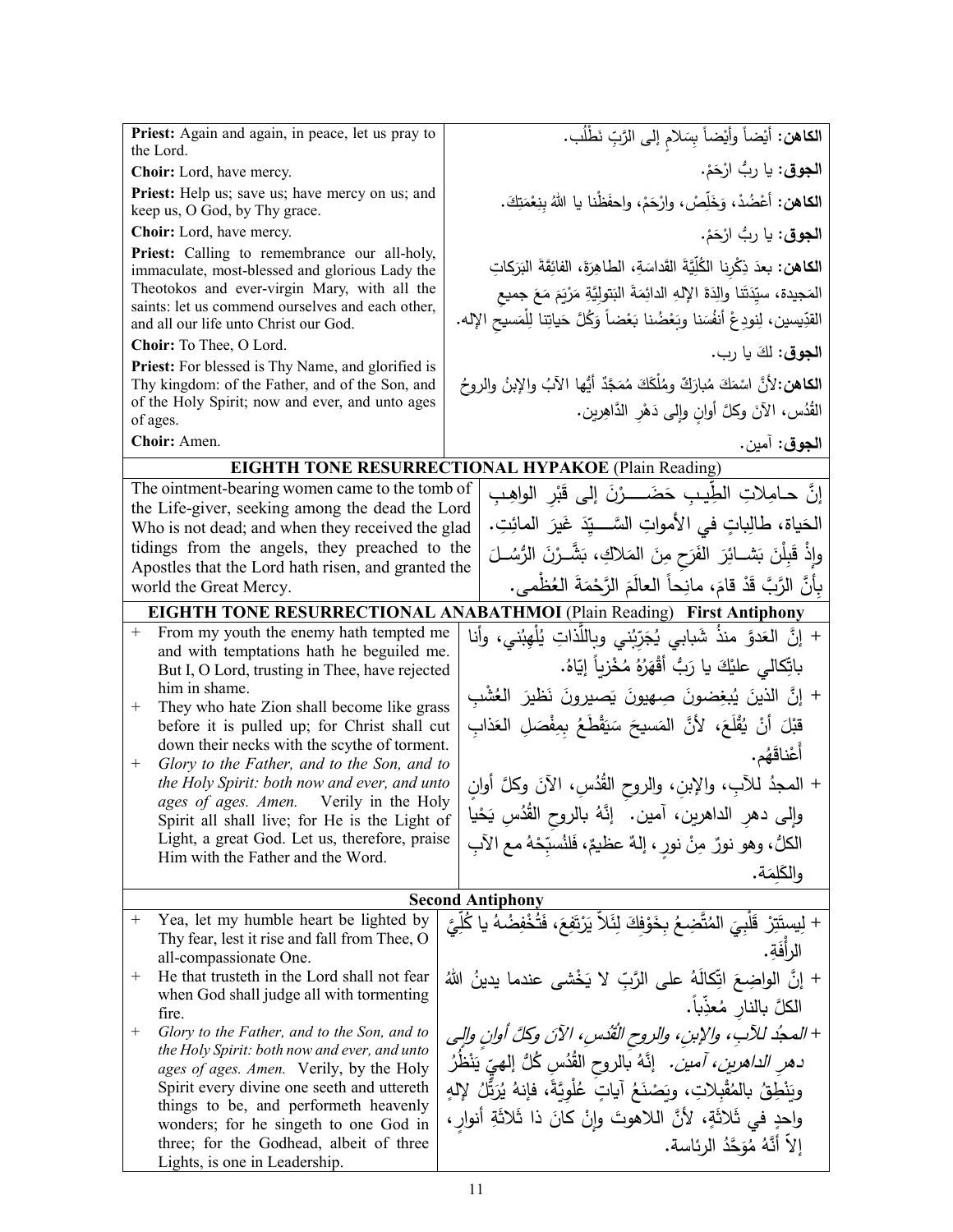| ا <b>لجوق</b> : يا ربُ ارْحَمْ.<br>Choir: Lord, have mercy.<br>Priest: Help us; save us; have mercy on us; and<br>ا <b>لكاهن:</b> أعْضُدْ، وَخَلِّصْ، وارْحَمْ، واحفَظْنا يا اللهُ بِنِعْمَتِكَ.<br>keep us, O God, by Thy grace.<br>Choir: Lord, have mercy.<br>ا <b>لجوق</b> : يا ربُّ ارْحَمْ.<br>Priest: Calling to remembrance our all-holy,<br>ا <b>لكاهن:</b> بعدَ ذِكْرِنا الكُلِّيَّةَ القَداسَةِ، الطاهِرَةَ، الفائِقَةَ البَرَكاتِ<br>immaculate, most-blessed and glorious Lady the<br>Theotokos and ever-virgin Mary, with all the<br>المَجيدة، سيِّدَتَنا والِدَةَ الإِلهِ الدائِمَةَ البَتولِيَّةِ مَرْيَمَ مَعَ جميع<br>saints: let us commend ourselves and each other,<br>القدِّيسين، لِنودِعْ أنفُسَنا وبَعْضُنا بَعْضاً وَكُلَّ حَياتِنا لِلْمَسيحِ الإله.<br>and all our life unto Christ our God.<br>Choir: To Thee, O Lord.<br>ا <b>لجوق</b> : لكَ يا رب.<br>Priest: For blessed is Thy Name, and glorified is<br>الكاهن:لأنَّ اسْمَكَ مُبارَكٌ ومُلْكَكَ مُمَجَّدٌ أَيُّها الآبُ والإبنُ والروحُ<br>Thy kingdom: of the Father, and of the Son, and<br>of the Holy Spirit; now and ever, and unto ages<br>القُدُس، الآنَ وكلَّ أوانِ وإلى دَهْرِ الدَّاهِرِينِ.<br>of ages.<br>Choir: Amen.<br>ا <b>لجوق</b> : آمين.<br><b>EIGHTH TONE RESURRECTIONAL HYPAKOE (Plain Reading)</b><br>The ointment-bearing women came to the tomb of<br>إنَّ حـامِلاتِ الطِّيبِ حَضَــــرْنَ إلى قَبْرِ الواهِبِ<br>the Life-giver, seeking among the dead the Lord<br>الْحَياة، طَالِباتٍ في الأَمواتِ السَّــــيِّدَ غَيرَ الْمائِتِ.<br>Who is not dead; and when they received the glad<br>tidings from the angels, they preached to the<br>وإِذْ قَبِلْنَ بَشــائِرَ الفَرَحِ مِنَ المَلاكِ، بَشَّـرْنَ الرُّسُــلَ<br>Apostles that the Lord hath risen, and granted the<br>بِأَنَّ الرَّبَّ قَدْ قَامَ، مانِحاً العالَمَ الرَّحْمَةَ العُظْمي.<br>world the Great Mercy.<br>EIGHTH TONE RESURRECTIONAL ANABATHMOI (Plain Reading) First Antiphony<br>$+$<br>From my youth the enemy hath tempted me<br>+ إنَّ العَدوَّ منذَ شَبابي يُجَرِّبُني وباللَّذاتِ يُلْهِبُني، وأنا<br>and with temptations hath he beguiled me.<br>باتِّكالى عليْكَ يا رَبُّ أَقْهَرُهُ مُخْزِياً إِيّاهُ.<br>But I, O Lord, trusting in Thee, have rejected<br>him in shame.<br>+ إنَّ الذينَ يُبغِضونَ صِهيونَ يَصيرونَ نَظيرَ العُشْبِ<br>They who hate Zion shall become like grass<br>$^+$<br>قَبْلَ أَنْ يُقْلَعَ، لأَنَّ الْمَسيحَ سَيَقْطَعُ بِمِفْصَلِ الْعَذَابِ<br>before it is pulled up; for Christ shall cut<br>down their necks with the scythe of torment.<br>أَعْناقَهُم.<br>Glory to the Father, and to the Son, and to<br>$^{+}$<br>+ الممجدُ للأبِ، والإبنِ، والروح القُدُسِ، الأنَ وكلَّ أوانِ<br>the Holy Spirit: both now and ever, and unto<br>ages of ages. Amen. Verily in the Holy<br>وإلى دهرِ الداهرين، آمين. إنَّهُ بالروحِ القُدُسِ يَحْيا<br>Spirit all shall live; for He is the Light of<br>Light, a great God. Let us, therefore, praise<br>الكلُّ، وهو نورٌ مِنْ نورٍ ، إلهٌ عظيمٌ، فَلنُسبِّحْهُ مع الآبِ<br>Him with the Father and the Word.<br>والكَلمَة.<br><b>Second Antiphony</b><br>+ لِيستَتِرْ  قَلْبِيَ المُتَّضِعُ بِخَوْفِكَ لِئَلاَّ يَرْتَفِعَ، فَتُخْفِضُهُ يا كُلِّيَّ<br>Yea, let my humble heart be lighted by<br>$^+$<br>Thy fear, lest it rise and fall from Thee, O<br>الرأفَةِ.<br>all-compassionate One.<br>He that trusteth in the Lord shall not fear<br>+ إنَّ الواضِعَ اتِّكالَهُ على الرَّبِّ لا يَخْشى عندما يدينُ اللهُ<br>$^{+}$<br>when God shall judge all with tormenting<br>الكلَّ بالنار مُعذِّباً.<br>fire.<br>+ المجدُ للآبِ، والإبنِ، والروحِ القُدْسِ، الآنَ وكلَّ أوانِ والِي<br>Glory to the Father, and to the Son, and to<br>$^+$<br>the Holy Spirit: both now and ever, and unto<br><i>دهرِ الداهرين، آمين.</i> إنَّهُ بالروح القُدُسِ كُلُّ إلهيّ يَنْظُرُ<br><i>ages of ages. Amen.</i> Verily, by the Holy | Priest: Again and again, in peace, let us pray to<br>the Lord. | ا <b>لكاهن:</b> أيْضاً وأيْضاً بِسَلامِ إلى الرَّبِّ نَطْلُب.                   |
|----------------------------------------------------------------------------------------------------------------------------------------------------------------------------------------------------------------------------------------------------------------------------------------------------------------------------------------------------------------------------------------------------------------------------------------------------------------------------------------------------------------------------------------------------------------------------------------------------------------------------------------------------------------------------------------------------------------------------------------------------------------------------------------------------------------------------------------------------------------------------------------------------------------------------------------------------------------------------------------------------------------------------------------------------------------------------------------------------------------------------------------------------------------------------------------------------------------------------------------------------------------------------------------------------------------------------------------------------------------------------------------------------------------------------------------------------------------------------------------------------------------------------------------------------------------------------------------------------------------------------------------------------------------------------------------------------------------------------------------------------------------------------------------------------------------------------------------------------------------------------------------------------------------------------------------------------------------------------------------------------------------------------------------------------------------------------------------------------------------------------------------------------------------------------------------------------------------------------------------------------------------------------------------------------------------------------------------------------------------------------------------------------------------------------------------------------------------------------------------------------------------------------------------------------------------------------------------------------------------------------------------------------------------------------------------------------------------------------------------------------------------------------------------------------------------------------------------------------------------------------------------------------------------------------------------------------------------------------------------------------------------------------------------------------------------------------------------------------------------------------------------------------------------------------------------------------------------------------------------------------------------------------------------------------------------------------------------------------------------------------------------------------------------------------------------------------------------------------------------------------------------------------------------------------------------------------------------------------------------------------------------------------------------------------------------------------------------------------------------------------------------------------------------------------------------------------------------------------------------------------------------|----------------------------------------------------------------|---------------------------------------------------------------------------------|
|                                                                                                                                                                                                                                                                                                                                                                                                                                                                                                                                                                                                                                                                                                                                                                                                                                                                                                                                                                                                                                                                                                                                                                                                                                                                                                                                                                                                                                                                                                                                                                                                                                                                                                                                                                                                                                                                                                                                                                                                                                                                                                                                                                                                                                                                                                                                                                                                                                                                                                                                                                                                                                                                                                                                                                                                                                                                                                                                                                                                                                                                                                                                                                                                                                                                                                                                                                                                                                                                                                                                                                                                                                                                                                                                                                                                                                                                                        |                                                                |                                                                                 |
|                                                                                                                                                                                                                                                                                                                                                                                                                                                                                                                                                                                                                                                                                                                                                                                                                                                                                                                                                                                                                                                                                                                                                                                                                                                                                                                                                                                                                                                                                                                                                                                                                                                                                                                                                                                                                                                                                                                                                                                                                                                                                                                                                                                                                                                                                                                                                                                                                                                                                                                                                                                                                                                                                                                                                                                                                                                                                                                                                                                                                                                                                                                                                                                                                                                                                                                                                                                                                                                                                                                                                                                                                                                                                                                                                                                                                                                                                        |                                                                |                                                                                 |
|                                                                                                                                                                                                                                                                                                                                                                                                                                                                                                                                                                                                                                                                                                                                                                                                                                                                                                                                                                                                                                                                                                                                                                                                                                                                                                                                                                                                                                                                                                                                                                                                                                                                                                                                                                                                                                                                                                                                                                                                                                                                                                                                                                                                                                                                                                                                                                                                                                                                                                                                                                                                                                                                                                                                                                                                                                                                                                                                                                                                                                                                                                                                                                                                                                                                                                                                                                                                                                                                                                                                                                                                                                                                                                                                                                                                                                                                                        |                                                                |                                                                                 |
|                                                                                                                                                                                                                                                                                                                                                                                                                                                                                                                                                                                                                                                                                                                                                                                                                                                                                                                                                                                                                                                                                                                                                                                                                                                                                                                                                                                                                                                                                                                                                                                                                                                                                                                                                                                                                                                                                                                                                                                                                                                                                                                                                                                                                                                                                                                                                                                                                                                                                                                                                                                                                                                                                                                                                                                                                                                                                                                                                                                                                                                                                                                                                                                                                                                                                                                                                                                                                                                                                                                                                                                                                                                                                                                                                                                                                                                                                        |                                                                |                                                                                 |
|                                                                                                                                                                                                                                                                                                                                                                                                                                                                                                                                                                                                                                                                                                                                                                                                                                                                                                                                                                                                                                                                                                                                                                                                                                                                                                                                                                                                                                                                                                                                                                                                                                                                                                                                                                                                                                                                                                                                                                                                                                                                                                                                                                                                                                                                                                                                                                                                                                                                                                                                                                                                                                                                                                                                                                                                                                                                                                                                                                                                                                                                                                                                                                                                                                                                                                                                                                                                                                                                                                                                                                                                                                                                                                                                                                                                                                                                                        |                                                                |                                                                                 |
|                                                                                                                                                                                                                                                                                                                                                                                                                                                                                                                                                                                                                                                                                                                                                                                                                                                                                                                                                                                                                                                                                                                                                                                                                                                                                                                                                                                                                                                                                                                                                                                                                                                                                                                                                                                                                                                                                                                                                                                                                                                                                                                                                                                                                                                                                                                                                                                                                                                                                                                                                                                                                                                                                                                                                                                                                                                                                                                                                                                                                                                                                                                                                                                                                                                                                                                                                                                                                                                                                                                                                                                                                                                                                                                                                                                                                                                                                        |                                                                |                                                                                 |
|                                                                                                                                                                                                                                                                                                                                                                                                                                                                                                                                                                                                                                                                                                                                                                                                                                                                                                                                                                                                                                                                                                                                                                                                                                                                                                                                                                                                                                                                                                                                                                                                                                                                                                                                                                                                                                                                                                                                                                                                                                                                                                                                                                                                                                                                                                                                                                                                                                                                                                                                                                                                                                                                                                                                                                                                                                                                                                                                                                                                                                                                                                                                                                                                                                                                                                                                                                                                                                                                                                                                                                                                                                                                                                                                                                                                                                                                                        |                                                                |                                                                                 |
|                                                                                                                                                                                                                                                                                                                                                                                                                                                                                                                                                                                                                                                                                                                                                                                                                                                                                                                                                                                                                                                                                                                                                                                                                                                                                                                                                                                                                                                                                                                                                                                                                                                                                                                                                                                                                                                                                                                                                                                                                                                                                                                                                                                                                                                                                                                                                                                                                                                                                                                                                                                                                                                                                                                                                                                                                                                                                                                                                                                                                                                                                                                                                                                                                                                                                                                                                                                                                                                                                                                                                                                                                                                                                                                                                                                                                                                                                        |                                                                |                                                                                 |
|                                                                                                                                                                                                                                                                                                                                                                                                                                                                                                                                                                                                                                                                                                                                                                                                                                                                                                                                                                                                                                                                                                                                                                                                                                                                                                                                                                                                                                                                                                                                                                                                                                                                                                                                                                                                                                                                                                                                                                                                                                                                                                                                                                                                                                                                                                                                                                                                                                                                                                                                                                                                                                                                                                                                                                                                                                                                                                                                                                                                                                                                                                                                                                                                                                                                                                                                                                                                                                                                                                                                                                                                                                                                                                                                                                                                                                                                                        |                                                                |                                                                                 |
|                                                                                                                                                                                                                                                                                                                                                                                                                                                                                                                                                                                                                                                                                                                                                                                                                                                                                                                                                                                                                                                                                                                                                                                                                                                                                                                                                                                                                                                                                                                                                                                                                                                                                                                                                                                                                                                                                                                                                                                                                                                                                                                                                                                                                                                                                                                                                                                                                                                                                                                                                                                                                                                                                                                                                                                                                                                                                                                                                                                                                                                                                                                                                                                                                                                                                                                                                                                                                                                                                                                                                                                                                                                                                                                                                                                                                                                                                        |                                                                |                                                                                 |
|                                                                                                                                                                                                                                                                                                                                                                                                                                                                                                                                                                                                                                                                                                                                                                                                                                                                                                                                                                                                                                                                                                                                                                                                                                                                                                                                                                                                                                                                                                                                                                                                                                                                                                                                                                                                                                                                                                                                                                                                                                                                                                                                                                                                                                                                                                                                                                                                                                                                                                                                                                                                                                                                                                                                                                                                                                                                                                                                                                                                                                                                                                                                                                                                                                                                                                                                                                                                                                                                                                                                                                                                                                                                                                                                                                                                                                                                                        |                                                                |                                                                                 |
|                                                                                                                                                                                                                                                                                                                                                                                                                                                                                                                                                                                                                                                                                                                                                                                                                                                                                                                                                                                                                                                                                                                                                                                                                                                                                                                                                                                                                                                                                                                                                                                                                                                                                                                                                                                                                                                                                                                                                                                                                                                                                                                                                                                                                                                                                                                                                                                                                                                                                                                                                                                                                                                                                                                                                                                                                                                                                                                                                                                                                                                                                                                                                                                                                                                                                                                                                                                                                                                                                                                                                                                                                                                                                                                                                                                                                                                                                        |                                                                |                                                                                 |
|                                                                                                                                                                                                                                                                                                                                                                                                                                                                                                                                                                                                                                                                                                                                                                                                                                                                                                                                                                                                                                                                                                                                                                                                                                                                                                                                                                                                                                                                                                                                                                                                                                                                                                                                                                                                                                                                                                                                                                                                                                                                                                                                                                                                                                                                                                                                                                                                                                                                                                                                                                                                                                                                                                                                                                                                                                                                                                                                                                                                                                                                                                                                                                                                                                                                                                                                                                                                                                                                                                                                                                                                                                                                                                                                                                                                                                                                                        |                                                                |                                                                                 |
|                                                                                                                                                                                                                                                                                                                                                                                                                                                                                                                                                                                                                                                                                                                                                                                                                                                                                                                                                                                                                                                                                                                                                                                                                                                                                                                                                                                                                                                                                                                                                                                                                                                                                                                                                                                                                                                                                                                                                                                                                                                                                                                                                                                                                                                                                                                                                                                                                                                                                                                                                                                                                                                                                                                                                                                                                                                                                                                                                                                                                                                                                                                                                                                                                                                                                                                                                                                                                                                                                                                                                                                                                                                                                                                                                                                                                                                                                        |                                                                |                                                                                 |
|                                                                                                                                                                                                                                                                                                                                                                                                                                                                                                                                                                                                                                                                                                                                                                                                                                                                                                                                                                                                                                                                                                                                                                                                                                                                                                                                                                                                                                                                                                                                                                                                                                                                                                                                                                                                                                                                                                                                                                                                                                                                                                                                                                                                                                                                                                                                                                                                                                                                                                                                                                                                                                                                                                                                                                                                                                                                                                                                                                                                                                                                                                                                                                                                                                                                                                                                                                                                                                                                                                                                                                                                                                                                                                                                                                                                                                                                                        |                                                                |                                                                                 |
|                                                                                                                                                                                                                                                                                                                                                                                                                                                                                                                                                                                                                                                                                                                                                                                                                                                                                                                                                                                                                                                                                                                                                                                                                                                                                                                                                                                                                                                                                                                                                                                                                                                                                                                                                                                                                                                                                                                                                                                                                                                                                                                                                                                                                                                                                                                                                                                                                                                                                                                                                                                                                                                                                                                                                                                                                                                                                                                                                                                                                                                                                                                                                                                                                                                                                                                                                                                                                                                                                                                                                                                                                                                                                                                                                                                                                                                                                        |                                                                |                                                                                 |
|                                                                                                                                                                                                                                                                                                                                                                                                                                                                                                                                                                                                                                                                                                                                                                                                                                                                                                                                                                                                                                                                                                                                                                                                                                                                                                                                                                                                                                                                                                                                                                                                                                                                                                                                                                                                                                                                                                                                                                                                                                                                                                                                                                                                                                                                                                                                                                                                                                                                                                                                                                                                                                                                                                                                                                                                                                                                                                                                                                                                                                                                                                                                                                                                                                                                                                                                                                                                                                                                                                                                                                                                                                                                                                                                                                                                                                                                                        |                                                                |                                                                                 |
|                                                                                                                                                                                                                                                                                                                                                                                                                                                                                                                                                                                                                                                                                                                                                                                                                                                                                                                                                                                                                                                                                                                                                                                                                                                                                                                                                                                                                                                                                                                                                                                                                                                                                                                                                                                                                                                                                                                                                                                                                                                                                                                                                                                                                                                                                                                                                                                                                                                                                                                                                                                                                                                                                                                                                                                                                                                                                                                                                                                                                                                                                                                                                                                                                                                                                                                                                                                                                                                                                                                                                                                                                                                                                                                                                                                                                                                                                        |                                                                |                                                                                 |
|                                                                                                                                                                                                                                                                                                                                                                                                                                                                                                                                                                                                                                                                                                                                                                                                                                                                                                                                                                                                                                                                                                                                                                                                                                                                                                                                                                                                                                                                                                                                                                                                                                                                                                                                                                                                                                                                                                                                                                                                                                                                                                                                                                                                                                                                                                                                                                                                                                                                                                                                                                                                                                                                                                                                                                                                                                                                                                                                                                                                                                                                                                                                                                                                                                                                                                                                                                                                                                                                                                                                                                                                                                                                                                                                                                                                                                                                                        |                                                                |                                                                                 |
|                                                                                                                                                                                                                                                                                                                                                                                                                                                                                                                                                                                                                                                                                                                                                                                                                                                                                                                                                                                                                                                                                                                                                                                                                                                                                                                                                                                                                                                                                                                                                                                                                                                                                                                                                                                                                                                                                                                                                                                                                                                                                                                                                                                                                                                                                                                                                                                                                                                                                                                                                                                                                                                                                                                                                                                                                                                                                                                                                                                                                                                                                                                                                                                                                                                                                                                                                                                                                                                                                                                                                                                                                                                                                                                                                                                                                                                                                        |                                                                |                                                                                 |
|                                                                                                                                                                                                                                                                                                                                                                                                                                                                                                                                                                                                                                                                                                                                                                                                                                                                                                                                                                                                                                                                                                                                                                                                                                                                                                                                                                                                                                                                                                                                                                                                                                                                                                                                                                                                                                                                                                                                                                                                                                                                                                                                                                                                                                                                                                                                                                                                                                                                                                                                                                                                                                                                                                                                                                                                                                                                                                                                                                                                                                                                                                                                                                                                                                                                                                                                                                                                                                                                                                                                                                                                                                                                                                                                                                                                                                                                                        |                                                                |                                                                                 |
|                                                                                                                                                                                                                                                                                                                                                                                                                                                                                                                                                                                                                                                                                                                                                                                                                                                                                                                                                                                                                                                                                                                                                                                                                                                                                                                                                                                                                                                                                                                                                                                                                                                                                                                                                                                                                                                                                                                                                                                                                                                                                                                                                                                                                                                                                                                                                                                                                                                                                                                                                                                                                                                                                                                                                                                                                                                                                                                                                                                                                                                                                                                                                                                                                                                                                                                                                                                                                                                                                                                                                                                                                                                                                                                                                                                                                                                                                        |                                                                |                                                                                 |
|                                                                                                                                                                                                                                                                                                                                                                                                                                                                                                                                                                                                                                                                                                                                                                                                                                                                                                                                                                                                                                                                                                                                                                                                                                                                                                                                                                                                                                                                                                                                                                                                                                                                                                                                                                                                                                                                                                                                                                                                                                                                                                                                                                                                                                                                                                                                                                                                                                                                                                                                                                                                                                                                                                                                                                                                                                                                                                                                                                                                                                                                                                                                                                                                                                                                                                                                                                                                                                                                                                                                                                                                                                                                                                                                                                                                                                                                                        |                                                                |                                                                                 |
|                                                                                                                                                                                                                                                                                                                                                                                                                                                                                                                                                                                                                                                                                                                                                                                                                                                                                                                                                                                                                                                                                                                                                                                                                                                                                                                                                                                                                                                                                                                                                                                                                                                                                                                                                                                                                                                                                                                                                                                                                                                                                                                                                                                                                                                                                                                                                                                                                                                                                                                                                                                                                                                                                                                                                                                                                                                                                                                                                                                                                                                                                                                                                                                                                                                                                                                                                                                                                                                                                                                                                                                                                                                                                                                                                                                                                                                                                        |                                                                |                                                                                 |
|                                                                                                                                                                                                                                                                                                                                                                                                                                                                                                                                                                                                                                                                                                                                                                                                                                                                                                                                                                                                                                                                                                                                                                                                                                                                                                                                                                                                                                                                                                                                                                                                                                                                                                                                                                                                                                                                                                                                                                                                                                                                                                                                                                                                                                                                                                                                                                                                                                                                                                                                                                                                                                                                                                                                                                                                                                                                                                                                                                                                                                                                                                                                                                                                                                                                                                                                                                                                                                                                                                                                                                                                                                                                                                                                                                                                                                                                                        |                                                                |                                                                                 |
|                                                                                                                                                                                                                                                                                                                                                                                                                                                                                                                                                                                                                                                                                                                                                                                                                                                                                                                                                                                                                                                                                                                                                                                                                                                                                                                                                                                                                                                                                                                                                                                                                                                                                                                                                                                                                                                                                                                                                                                                                                                                                                                                                                                                                                                                                                                                                                                                                                                                                                                                                                                                                                                                                                                                                                                                                                                                                                                                                                                                                                                                                                                                                                                                                                                                                                                                                                                                                                                                                                                                                                                                                                                                                                                                                                                                                                                                                        |                                                                |                                                                                 |
|                                                                                                                                                                                                                                                                                                                                                                                                                                                                                                                                                                                                                                                                                                                                                                                                                                                                                                                                                                                                                                                                                                                                                                                                                                                                                                                                                                                                                                                                                                                                                                                                                                                                                                                                                                                                                                                                                                                                                                                                                                                                                                                                                                                                                                                                                                                                                                                                                                                                                                                                                                                                                                                                                                                                                                                                                                                                                                                                                                                                                                                                                                                                                                                                                                                                                                                                                                                                                                                                                                                                                                                                                                                                                                                                                                                                                                                                                        |                                                                |                                                                                 |
|                                                                                                                                                                                                                                                                                                                                                                                                                                                                                                                                                                                                                                                                                                                                                                                                                                                                                                                                                                                                                                                                                                                                                                                                                                                                                                                                                                                                                                                                                                                                                                                                                                                                                                                                                                                                                                                                                                                                                                                                                                                                                                                                                                                                                                                                                                                                                                                                                                                                                                                                                                                                                                                                                                                                                                                                                                                                                                                                                                                                                                                                                                                                                                                                                                                                                                                                                                                                                                                                                                                                                                                                                                                                                                                                                                                                                                                                                        |                                                                |                                                                                 |
|                                                                                                                                                                                                                                                                                                                                                                                                                                                                                                                                                                                                                                                                                                                                                                                                                                                                                                                                                                                                                                                                                                                                                                                                                                                                                                                                                                                                                                                                                                                                                                                                                                                                                                                                                                                                                                                                                                                                                                                                                                                                                                                                                                                                                                                                                                                                                                                                                                                                                                                                                                                                                                                                                                                                                                                                                                                                                                                                                                                                                                                                                                                                                                                                                                                                                                                                                                                                                                                                                                                                                                                                                                                                                                                                                                                                                                                                                        |                                                                |                                                                                 |
|                                                                                                                                                                                                                                                                                                                                                                                                                                                                                                                                                                                                                                                                                                                                                                                                                                                                                                                                                                                                                                                                                                                                                                                                                                                                                                                                                                                                                                                                                                                                                                                                                                                                                                                                                                                                                                                                                                                                                                                                                                                                                                                                                                                                                                                                                                                                                                                                                                                                                                                                                                                                                                                                                                                                                                                                                                                                                                                                                                                                                                                                                                                                                                                                                                                                                                                                                                                                                                                                                                                                                                                                                                                                                                                                                                                                                                                                                        |                                                                |                                                                                 |
|                                                                                                                                                                                                                                                                                                                                                                                                                                                                                                                                                                                                                                                                                                                                                                                                                                                                                                                                                                                                                                                                                                                                                                                                                                                                                                                                                                                                                                                                                                                                                                                                                                                                                                                                                                                                                                                                                                                                                                                                                                                                                                                                                                                                                                                                                                                                                                                                                                                                                                                                                                                                                                                                                                                                                                                                                                                                                                                                                                                                                                                                                                                                                                                                                                                                                                                                                                                                                                                                                                                                                                                                                                                                                                                                                                                                                                                                                        |                                                                |                                                                                 |
|                                                                                                                                                                                                                                                                                                                                                                                                                                                                                                                                                                                                                                                                                                                                                                                                                                                                                                                                                                                                                                                                                                                                                                                                                                                                                                                                                                                                                                                                                                                                                                                                                                                                                                                                                                                                                                                                                                                                                                                                                                                                                                                                                                                                                                                                                                                                                                                                                                                                                                                                                                                                                                                                                                                                                                                                                                                                                                                                                                                                                                                                                                                                                                                                                                                                                                                                                                                                                                                                                                                                                                                                                                                                                                                                                                                                                                                                                        |                                                                |                                                                                 |
|                                                                                                                                                                                                                                                                                                                                                                                                                                                                                                                                                                                                                                                                                                                                                                                                                                                                                                                                                                                                                                                                                                                                                                                                                                                                                                                                                                                                                                                                                                                                                                                                                                                                                                                                                                                                                                                                                                                                                                                                                                                                                                                                                                                                                                                                                                                                                                                                                                                                                                                                                                                                                                                                                                                                                                                                                                                                                                                                                                                                                                                                                                                                                                                                                                                                                                                                                                                                                                                                                                                                                                                                                                                                                                                                                                                                                                                                                        |                                                                |                                                                                 |
|                                                                                                                                                                                                                                                                                                                                                                                                                                                                                                                                                                                                                                                                                                                                                                                                                                                                                                                                                                                                                                                                                                                                                                                                                                                                                                                                                                                                                                                                                                                                                                                                                                                                                                                                                                                                                                                                                                                                                                                                                                                                                                                                                                                                                                                                                                                                                                                                                                                                                                                                                                                                                                                                                                                                                                                                                                                                                                                                                                                                                                                                                                                                                                                                                                                                                                                                                                                                                                                                                                                                                                                                                                                                                                                                                                                                                                                                                        |                                                                |                                                                                 |
|                                                                                                                                                                                                                                                                                                                                                                                                                                                                                                                                                                                                                                                                                                                                                                                                                                                                                                                                                                                                                                                                                                                                                                                                                                                                                                                                                                                                                                                                                                                                                                                                                                                                                                                                                                                                                                                                                                                                                                                                                                                                                                                                                                                                                                                                                                                                                                                                                                                                                                                                                                                                                                                                                                                                                                                                                                                                                                                                                                                                                                                                                                                                                                                                                                                                                                                                                                                                                                                                                                                                                                                                                                                                                                                                                                                                                                                                                        |                                                                |                                                                                 |
|                                                                                                                                                                                                                                                                                                                                                                                                                                                                                                                                                                                                                                                                                                                                                                                                                                                                                                                                                                                                                                                                                                                                                                                                                                                                                                                                                                                                                                                                                                                                                                                                                                                                                                                                                                                                                                                                                                                                                                                                                                                                                                                                                                                                                                                                                                                                                                                                                                                                                                                                                                                                                                                                                                                                                                                                                                                                                                                                                                                                                                                                                                                                                                                                                                                                                                                                                                                                                                                                                                                                                                                                                                                                                                                                                                                                                                                                                        |                                                                |                                                                                 |
|                                                                                                                                                                                                                                                                                                                                                                                                                                                                                                                                                                                                                                                                                                                                                                                                                                                                                                                                                                                                                                                                                                                                                                                                                                                                                                                                                                                                                                                                                                                                                                                                                                                                                                                                                                                                                                                                                                                                                                                                                                                                                                                                                                                                                                                                                                                                                                                                                                                                                                                                                                                                                                                                                                                                                                                                                                                                                                                                                                                                                                                                                                                                                                                                                                                                                                                                                                                                                                                                                                                                                                                                                                                                                                                                                                                                                                                                                        |                                                                |                                                                                 |
|                                                                                                                                                                                                                                                                                                                                                                                                                                                                                                                                                                                                                                                                                                                                                                                                                                                                                                                                                                                                                                                                                                                                                                                                                                                                                                                                                                                                                                                                                                                                                                                                                                                                                                                                                                                                                                                                                                                                                                                                                                                                                                                                                                                                                                                                                                                                                                                                                                                                                                                                                                                                                                                                                                                                                                                                                                                                                                                                                                                                                                                                                                                                                                                                                                                                                                                                                                                                                                                                                                                                                                                                                                                                                                                                                                                                                                                                                        |                                                                |                                                                                 |
|                                                                                                                                                                                                                                                                                                                                                                                                                                                                                                                                                                                                                                                                                                                                                                                                                                                                                                                                                                                                                                                                                                                                                                                                                                                                                                                                                                                                                                                                                                                                                                                                                                                                                                                                                                                                                                                                                                                                                                                                                                                                                                                                                                                                                                                                                                                                                                                                                                                                                                                                                                                                                                                                                                                                                                                                                                                                                                                                                                                                                                                                                                                                                                                                                                                                                                                                                                                                                                                                                                                                                                                                                                                                                                                                                                                                                                                                                        |                                                                |                                                                                 |
|                                                                                                                                                                                                                                                                                                                                                                                                                                                                                                                                                                                                                                                                                                                                                                                                                                                                                                                                                                                                                                                                                                                                                                                                                                                                                                                                                                                                                                                                                                                                                                                                                                                                                                                                                                                                                                                                                                                                                                                                                                                                                                                                                                                                                                                                                                                                                                                                                                                                                                                                                                                                                                                                                                                                                                                                                                                                                                                                                                                                                                                                                                                                                                                                                                                                                                                                                                                                                                                                                                                                                                                                                                                                                                                                                                                                                                                                                        |                                                                |                                                                                 |
|                                                                                                                                                                                                                                                                                                                                                                                                                                                                                                                                                                                                                                                                                                                                                                                                                                                                                                                                                                                                                                                                                                                                                                                                                                                                                                                                                                                                                                                                                                                                                                                                                                                                                                                                                                                                                                                                                                                                                                                                                                                                                                                                                                                                                                                                                                                                                                                                                                                                                                                                                                                                                                                                                                                                                                                                                                                                                                                                                                                                                                                                                                                                                                                                                                                                                                                                                                                                                                                                                                                                                                                                                                                                                                                                                                                                                                                                                        | Spirit every divine one seeth and uttereth                     | وِيَنْطِقُ بِالْمُقْبِلاتِ، ويَصْنَعُ آياتٍ عُلُويَّةً، فإنهُ يُرَتَّلُ لإِلَهٍ |
| things to be, and performeth heavenly                                                                                                                                                                                                                                                                                                                                                                                                                                                                                                                                                                                                                                                                                                                                                                                                                                                                                                                                                                                                                                                                                                                                                                                                                                                                                                                                                                                                                                                                                                                                                                                                                                                                                                                                                                                                                                                                                                                                                                                                                                                                                                                                                                                                                                                                                                                                                                                                                                                                                                                                                                                                                                                                                                                                                                                                                                                                                                                                                                                                                                                                                                                                                                                                                                                                                                                                                                                                                                                                                                                                                                                                                                                                                                                                                                                                                                                  |                                                                |                                                                                 |
| واحدٍ في ثَلاثَةٍ، لأنَّ اللاهوتَ وإنْ كانَ ذا ثَلاثَةِ أنوارِ ،<br>wonders; for he singeth to one God in                                                                                                                                                                                                                                                                                                                                                                                                                                                                                                                                                                                                                                                                                                                                                                                                                                                                                                                                                                                                                                                                                                                                                                                                                                                                                                                                                                                                                                                                                                                                                                                                                                                                                                                                                                                                                                                                                                                                                                                                                                                                                                                                                                                                                                                                                                                                                                                                                                                                                                                                                                                                                                                                                                                                                                                                                                                                                                                                                                                                                                                                                                                                                                                                                                                                                                                                                                                                                                                                                                                                                                                                                                                                                                                                                                              |                                                                |                                                                                 |
| إِلاَّ أَنَّهُ مُوَحَّدُ الرئاسة.<br>three; for the Godhead, albeit of three<br>Lights, is one in Leadership.                                                                                                                                                                                                                                                                                                                                                                                                                                                                                                                                                                                                                                                                                                                                                                                                                                                                                                                                                                                                                                                                                                                                                                                                                                                                                                                                                                                                                                                                                                                                                                                                                                                                                                                                                                                                                                                                                                                                                                                                                                                                                                                                                                                                                                                                                                                                                                                                                                                                                                                                                                                                                                                                                                                                                                                                                                                                                                                                                                                                                                                                                                                                                                                                                                                                                                                                                                                                                                                                                                                                                                                                                                                                                                                                                                          |                                                                |                                                                                 |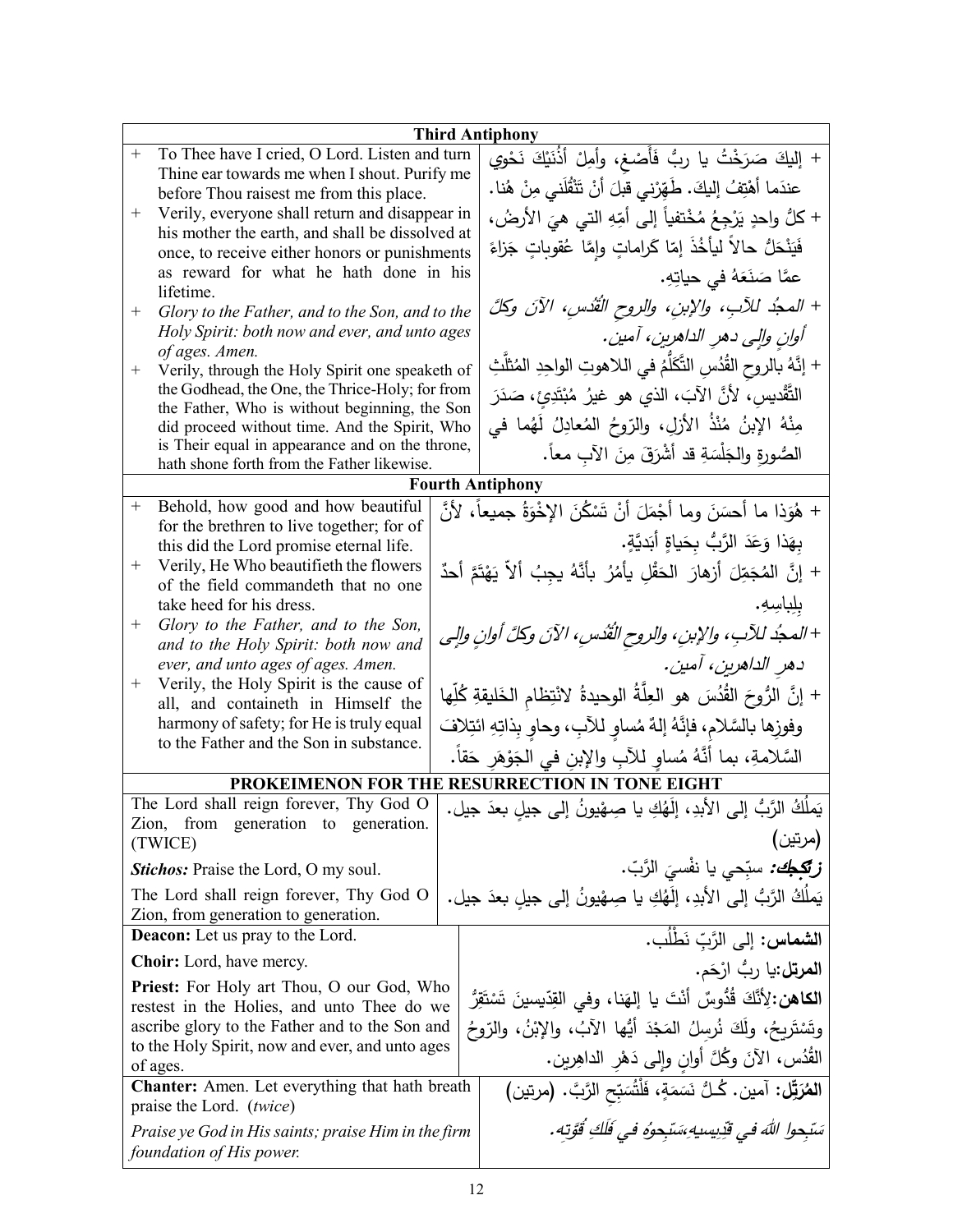|                                                                                         | <b>Third Antiphony</b>                                                                           |                                                                                    |                                                                                  |  |  |
|-----------------------------------------------------------------------------------------|--------------------------------------------------------------------------------------------------|------------------------------------------------------------------------------------|----------------------------------------------------------------------------------|--|--|
| $^{+}$                                                                                  | To Thee have I cried, O Lord. Listen and turn                                                    |                                                                                    | + إليكَ صَرَخْتُ يا ربُّ فَأَصْغ، وأَمِلْ أَذُنَيْكَ نَحْوِي                     |  |  |
| Thine ear towards me when I shout. Purify me<br>before Thou raisest me from this place. |                                                                                                  | عندَما أَهْتِفُ إليكَ. طَهِّرْني قبلَ أنْ تَنْقُلَني مِنْ هُنا.                    |                                                                                  |  |  |
|                                                                                         | Verily, everyone shall return and disappear in                                                   |                                                                                    | + كلُّ واحدٍ يَرْجِعُ مُخْتفياً إلى أُمِّهِ الَّتي هيَ الأرضُ،                   |  |  |
|                                                                                         | his mother the earth, and shall be dissolved at<br>once, to receive either honors or punishments |                                                                                    | فَيَنْحَلُّ حالاً ليأخُذَ إمّا كَراماتٍ وإِمَّا عُقوباتٍ جَزاءً                  |  |  |
|                                                                                         | as reward for what he hath done in his                                                           |                                                                                    | عمَّا صَنَعَهُ في حياتِهِ.                                                       |  |  |
| $^+$                                                                                    | lifetime.<br>Glory to the Father, and to the Son, and to the                                     |                                                                                    | + المجدُ للآبِ، والإبنِ، والروح القُدُسِ، الآنَ وكلَّ                            |  |  |
|                                                                                         | Holy Spirit: both now and ever, and unto ages                                                    |                                                                                    | أوان وإلى دهر الداهرين، آمين.                                                    |  |  |
| $^{+}$                                                                                  | of ages. Amen.<br>Verily, through the Holy Spirit one speaketh of                                |                                                                                    | + إنَّهُ بالروح القُدُسِ التَّكَلَّمُ في اللاهوتِ الواحِدِ المُثلَّثِ            |  |  |
|                                                                                         | the Godhead, the One, the Thrice-Holy; for from                                                  |                                                                                    | التَّقْديسِ، لأنَّ الآبَ، الذي هو غيرُ مُبْتَدِئٍ، صَدَرَ                        |  |  |
|                                                                                         | the Father, Who is without beginning, the Son<br>did proceed without time. And the Spirit, Who   |                                                                                    | مِنْهُ الإِبنُ مُنْذُ الأَزلِ، والرّوحُ المُعادِلُ لَهُما في                     |  |  |
|                                                                                         | is Their equal in appearance and on the throne,                                                  |                                                                                    | الصُّورةِ والجَلْسَةِ قد أشْرَقَ مِنَ الآبِ معاً.                                |  |  |
|                                                                                         | hath shone forth from the Father likewise.                                                       |                                                                                    | <b>Fourth Antiphony</b>                                                          |  |  |
| $+$                                                                                     | Behold, how good and how beautiful                                                               |                                                                                    |                                                                                  |  |  |
|                                                                                         | for the brethren to live together; for of                                                        |                                                                                    | + هُوَذا ما أحسَنَ وما أَجْمَلَ أَنْ تَسْكُنَ الإِخْوَةُ جميعاً، لأَنَّ          |  |  |
|                                                                                         | this did the Lord promise eternal life.                                                          |                                                                                    | بِهَذا وَعَدَ الرَّبُّ بِحَياةٍ أَبَديَّةٍ.                                      |  |  |
| $^+$                                                                                    | Verily, He Who beautifieth the flowers<br>of the field commandeth that no one                    |                                                                                    | + إنَّ المُجَمِّلَ أَرْهارَ  الحَقْلِ يأمُرُ  بأنَّهُ يجِبُ ألاَّ يَهْتَمَّ أحدٌ |  |  |
|                                                                                         | take heed for his dress.                                                                         |                                                                                    | بلِباسِهِ.                                                                       |  |  |
| $^+$                                                                                    | Glory to the Father, and to the Son,                                                             |                                                                                    | + المحدُ للآبِ، والإبنِ، والروحِ الثُّلُاسِ، الآنَ وكلَّ أوانِ والِي             |  |  |
|                                                                                         | and to the Holy Spirit: both now and<br>ever, and unto ages of ages. Amen.                       |                                                                                    | دهر الداهرين، آمين.                                                              |  |  |
| $^+$                                                                                    | Verily, the Holy Spirit is the cause of                                                          |                                                                                    |                                                                                  |  |  |
|                                                                                         | all, and containeth in Himself the<br>harmony of safety; for He is truly equal                   |                                                                                    | + إنَّ الرُّوحَ القُدُسَ هو العِلَّةُ الوحيدةُ لانْتِظامِ الخَليقةِ كُلِّها      |  |  |
| to the Father and the Son in substance.                                                 |                                                                                                  | وفوزِها بالسَّلام، فإنَّهُ إلهٌ مُساوِ للآبِ، وحاوِ بِذاتِهِ ائتِلافَ              |                                                                                  |  |  |
|                                                                                         |                                                                                                  |                                                                                    | السَّلامةِ، بما أنَّهُ مُساوٍ للأبِ والإبنِ في الْجَوْهَرِ حَقاً.                |  |  |
|                                                                                         |                                                                                                  |                                                                                    | PROKEIMENON FOR THE RESURRECTION IN TONE EIGHT                                   |  |  |
|                                                                                         | The Lord shall reign forever, Thy God O<br>from generation to generation.<br>Zion,               |                                                                                    | يَملُكُ الرَّبُّ إلى الأبدِ، إلَهُكِ يا صِهْيونُ إلى جيلٍ بعدَ جيل.              |  |  |
|                                                                                         | (TWICE)                                                                                          |                                                                                    | (مرتين)                                                                          |  |  |
|                                                                                         | <b>Stichos:</b> Praise the Lord, O my soul.                                                      |                                                                                    | زي <b>َّكِي<i>ك:</i> سبَّ</b> حى يا نفْسيَ الرَّبِّ.                             |  |  |
|                                                                                         | The Lord shall reign forever, Thy God O                                                          |                                                                                    | يَملُكُ الرَّبُّ إلى الأبدِ، إلَهُكِ يا صِهْيونُ إلى جيلٍ بعدَ جيل.              |  |  |
|                                                                                         | Zion, from generation to generation.<br><b>Deacon:</b> Let us pray to the Lord.                  |                                                                                    | ا <b>لشماس:</b> إلى الرَّبّ نَطْلُب.                                             |  |  |
| <b>Choir:</b> Lord, have mercy.                                                         |                                                                                                  |                                                                                    |                                                                                  |  |  |
| <b>Priest:</b> For Holy art Thou, O our God, Who                                        |                                                                                                  |                                                                                    | ا <b>لمرتل:</b> يا ربُّ ارْحَم.                                                  |  |  |
| restest in the Holies, and unto Thee do we                                              |                                                                                                  | ا <b>لكاهن:</b> لِأَنَّكَ قُدُّوسٌ أَنْتَ يا إِلهَنا، وفي القِدِّيسينَ تَسْتَقِرُّ |                                                                                  |  |  |
| ascribe glory to the Father and to the Son and                                          |                                                                                                  |                                                                                    | وتَسْتَرِيحُ، ولَكَ نُرِسلُ المَجْدَ أَيُّها الآبُ، والإِبْنُ، والرّوحُ          |  |  |
| to the Holy Spirit, now and ever, and unto ages<br>of ages.                             |                                                                                                  |                                                                                    | الْقُدُس، الآنَ وكُلَّ أُوانٍ وإِلَى دَهْرِ الداهِرينِ.                          |  |  |
|                                                                                         | <b>Chanter:</b> Amen. Let everything that hath breath                                            |                                                                                    | ا <b>لمُرَتِّل:</b> آمين. كُـلُّ نَسَمَةٍ، فَلْشُبَبِّحِ الرَّبَّ. (مرتين)       |  |  |
|                                                                                         | praise the Lord. (twice)                                                                         |                                                                                    |                                                                                  |  |  |
|                                                                                         | Praise ye God in His saints; praise Him in the firm                                              |                                                                                    | سَبْحوا اللهَ في قَدِيسيهِ سَبْحوُهِ في فَلَكِ قُوَّتِه.                         |  |  |
|                                                                                         | foundation of His power.                                                                         |                                                                                    |                                                                                  |  |  |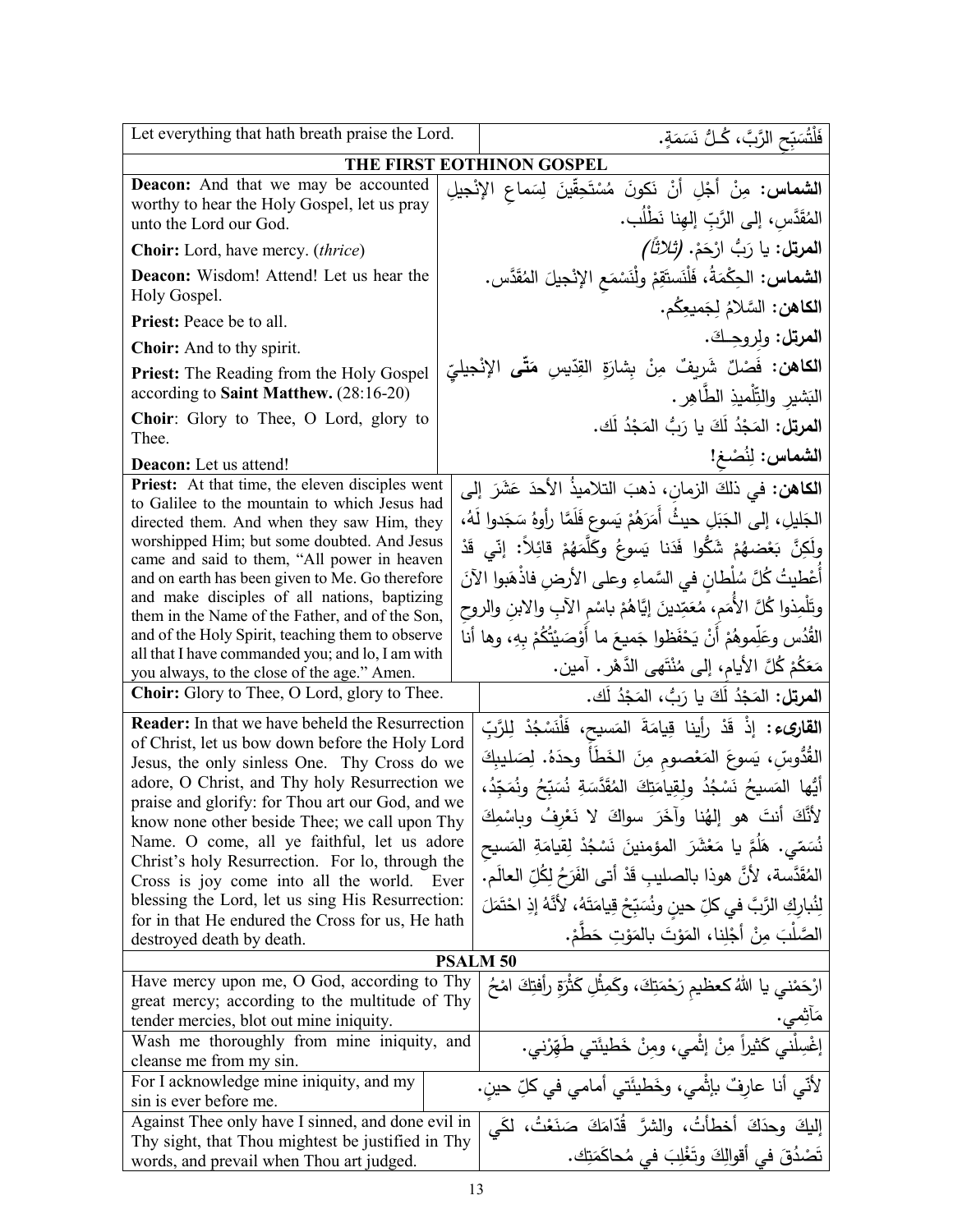| Let everything that hath breath praise the Lord.                                                    |  | فَلْتُسَبِّحِ الرَّبَّ، كُـلُّ نَسَمَةٍ.                                         |
|-----------------------------------------------------------------------------------------------------|--|----------------------------------------------------------------------------------|
| THE FIRST EOTHINON GOSPEL                                                                           |  |                                                                                  |
| Deacon: And that we may be accounted                                                                |  | <b>الشماس:</b> مِنْ أَجْلِ أَنْ نَكونَ مُسْتَحِقّينَ لِسَماعِ الإِنْجيلِ         |
| worthy to hear the Holy Gospel, let us pray<br>unto the Lord our God.                               |  | المُقَدَّسِ، إلى الرَّبِّ إلهِنا نَطْلُب.                                        |
| <b>Choir:</b> Lord, have mercy. (thrice)                                                            |  | ا <b>لمرتل:</b> يا رَبُّ ارْحَمْ. <i>(تْلاثاً)</i>                               |
| Deacon: Wisdom! Attend! Let us hear the                                                             |  | ا <b>لشماس:</b> الحِكْمَةُ، فَلْنَستَقِمْ ولْنَسْمَع الإنْجيلَ المُقَدَّس.       |
| Holy Gospel.                                                                                        |  |                                                                                  |
| Priest: Peace be to all.                                                                            |  | ا <b>لكاهن:</b> السَّلامُ لِجَميعِكُم.                                           |
| Choir: And to thy spirit.                                                                           |  | ا <b>لمرتل:</b> ولروحِكَ.                                                        |
| Priest: The Reading from the Holy Gospel                                                            |  | ا <b>لكاهن:</b> فَصْلٌ شَرِيفٌ مِنْ بِشارَةِ القِدّيسِ <b>مَتّى</b> الإِنْجِيليّ |
| according to Saint Matthew. (28:16-20)                                                              |  | الْبَشْيْرِ وْالتِّلْمِيْذِ الطَّاهِرِ .                                         |
| Choir: Glory to Thee, O Lord, glory to<br>Thee.                                                     |  | ا <b>لمرتل:</b> المَجْدُ لَكَ يا رَبُّ المَجْدُ لَك.                             |
|                                                                                                     |  | الشماس: لِنُصْغ!                                                                 |
| Deacon: Let us attend!<br>Priest: At that time, the eleven disciples went                           |  |                                                                                  |
| to Galilee to the mountain to which Jesus had                                                       |  | ا <b>لكاهن:</b> في ذلكَ الزمان، ذهبَ التلاميذُ الأحدَ عَشَرَ إلى                 |
| directed them. And when they saw Him, they                                                          |  | الْجَلِيلِ، إِلَى الْجَبَلِ حيثُ أَمَرَهُمْ يَسوع فَلَمَّا رأوهُ سَجَدوا لَهُ،   |
| worshipped Him; but some doubted. And Jesus<br>came and said to them, "All power in heaven          |  | وِلَكِنَّ بَعْضهُمْ شَكُّوا فَدَنا يَسوعُ وكَلَّمَهُمْ قائِلاً: إنّي قَدْ        |
| and on earth has been given to Me. Go therefore                                                     |  | أعْطيتُ كُلَّ سُلْطانٍ في السَّماءِ وعلى الأرض فاذْهَبوا الآنَ                   |
| and make disciples of all nations, baptizing                                                        |  | وتَلْمِذُوا كُلَّ الأُمَم، مُعَمِّدينَ إيَّاهُمْ باسْم الآبِ والابن والروح       |
| them in the Name of the Father, and of the Son,<br>and of the Holy Spirit, teaching them to observe |  | الْقُدُس وعَلِّموهُمْ أَنْ يَحْفَظُوا جَميعَ ما أَوْصَيْتُكُمْ بِهِ، وها أَنا    |
| all that I have commanded you; and lo, I am with                                                    |  |                                                                                  |
| you always, to the close of the age." Amen.                                                         |  | مَعَكُمْ كُلَّ الأيام، إلى مُنْتَهي الدَّهْرِ . آمين.                            |
| Choir: Glory to Thee, O Lord, glory to Thee.                                                        |  | ا <b>لمرتل:</b> المَجْدُ لَكَ يا رَبُّ، المَجْدُ لَك.                            |
| Reader: In that we have beheld the Resurrection                                                     |  | ا <b>لقارىء :</b> إذْ قَدْ رأينا قِيامَةَ المَسيح، فَلْنَسْجُدْ لِلرَّبِّ        |
| of Christ, let us bow down before the Holy Lord<br>Jesus, the only sinless One. Thy Cross do we     |  | القُدُّوسِّ، يَسوعَ المَعْصومِ مِنَ الخَطَأَ وحدَهُ. لِصَليبِكَ                  |
| adore, O Christ, and Thy holy Resurrection we                                                       |  | أَيُّها المَسيحُ نَسْجُدُ ولقِيامَتِكَ المُقَدَّسَةِ نُسَبِّحُ ونُمَجِّدُ،       |
| praise and glorify: for Thou art our God, and we                                                    |  |                                                                                  |
| know none other beside Thee; we call upon Thy                                                       |  | لأَنَّكَ أَنتَ هو إلهُنا وآخَرَ سواكَ لا نَعْرِفُ وبِاسْمِكَ                     |
| Name. O come, all ye faithful, let us adore                                                         |  | نُسَمّى. هَلَمَّ يا مَعْشَرَ المؤمنينَ نَسْجُدْ لِقيامَةِ المَسيح                |
| Christ's holy Resurrection. For lo, through the<br>Cross is joy come into all the world. Ever       |  | المُقَدَّسة، لأنَّ هوذا بالصليب قَدْ أتى الفَرَحُ لِكُلِّ العالَمِ.              |
| blessing the Lord, let us sing His Resurrection:                                                    |  | لِنُبارِكِ الرَّبَّ في كلِّ حين ونُسَبِّحْ قِيامَتَهُ، لأَنَّهُ إذِ احْتَمَلَ    |
| for in that He endured the Cross for us, He hath                                                    |  | الصَّلْبَ مِنْ أَجْلِنا، المَوْتَ بالمَوْتِ حَطُّمْ.                             |
| destroyed death by death.                                                                           |  | <b>PSALM 50</b>                                                                  |
| Have mercy upon me, O God, according to Thy                                                         |  |                                                                                  |
| great mercy; according to the multitude of Thy                                                      |  | ارْحَمْني يا اللهُ كعظيم رَحْمَتِكَ، وكَمِثْلِ كَثْرَةِ رأفتِكَ امْحُ            |
| tender mercies, blot out mine iniquity.                                                             |  |                                                                                  |
| Wash me thoroughly from mine iniquity, and                                                          |  | مَأْشِي.<br>إغْسِلْني كَثيراً مِنْ إثْمي، ومِنْ خَطيئَتي طَهِّرْني.              |
| cleanse me from my sin.                                                                             |  |                                                                                  |
| For I acknowledge mine iniquity, and my<br>sin is ever before me.                                   |  | لأنّي أنا عارفٌ بإثْمي، وخَطيئَتي أمامي في كلِّ حين.                             |
| Against Thee only have I sinned, and done evil in                                                   |  | إليكَ وحدَكَ أخطأتُ، والشرَّ قُدّامَكَ صَنَعْتُ، لكَي                            |
| Thy sight, that Thou mightest be justified in Thy                                                   |  |                                                                                  |
| words, and prevail when Thou art judged.                                                            |  | تَصْدُقَ في أقوالِكَ وتَغْلِبَ في مُحاكَمَتِك.                                   |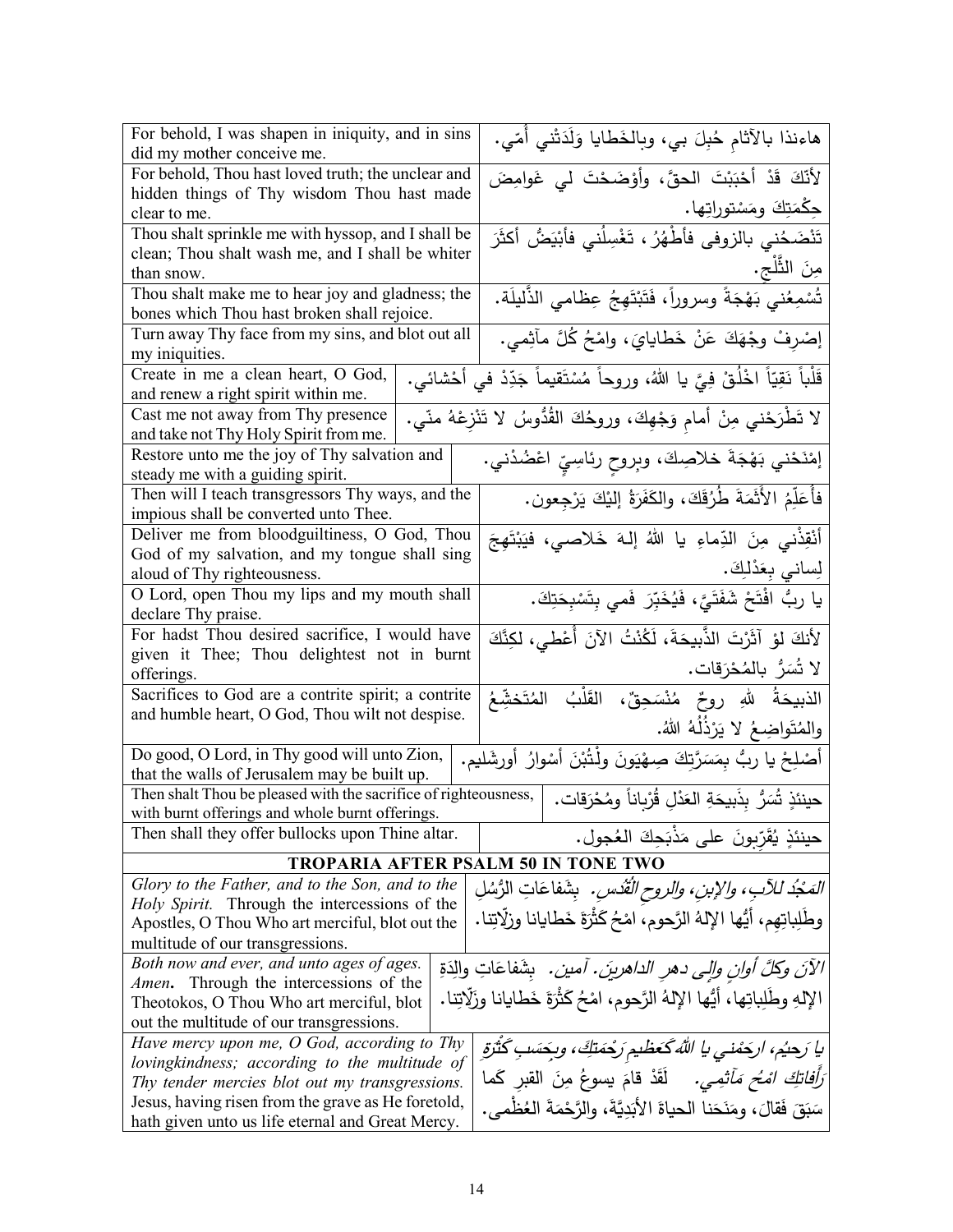| For behold, I was shapen in iniquity, and in sins                                                    | هاءنذا بالآثام حُبِلَ بي، وبالخَطايا وَلَدَتْني أُمّي.                                                                                           |
|------------------------------------------------------------------------------------------------------|--------------------------------------------------------------------------------------------------------------------------------------------------|
| did my mother conceive me.                                                                           |                                                                                                                                                  |
| For behold, Thou hast loved truth; the unclear and                                                   | لِأَنَّكَ قَدْ أَحْبَبْتَ الْحقَّ، وأَوْضَحْتَ لَي غَوامِضَ                                                                                      |
| hidden things of Thy wisdom Thou hast made                                                           |                                                                                                                                                  |
| clear to me.                                                                                         | جِكْمَتِكَ ومَسْتوراتِها.                                                                                                                        |
| Thou shalt sprinkle me with hyssop, and I shall be                                                   | تَنْضَحُني بالزوفى فأطْهُرُ ، تَغْسِلُني فأَبْيَضُ أكثَرَ                                                                                        |
| clean; Thou shalt wash me, and I shall be whiter                                                     |                                                                                                                                                  |
| than snow.                                                                                           | مِنَ الثَّلَجِ.                                                                                                                                  |
| Thou shalt make me to hear joy and gladness; the<br>bones which Thou hast broken shall rejoice.      | تُسْمِعُني بَهْجَةً وسروراً، فَتَبْتَهِجُ عِظامي الذَّليلَة.                                                                                     |
| Turn away Thy face from my sins, and blot out all<br>my iniquities.                                  | إِصْرِفْ وِجْهَكَ عَنْ خَطَايَايَ، وَامْحُ كُلَّ مَأْثِمي.                                                                                       |
| Create in me a clean heart, O God,                                                                   | قَلْباً نَقِيّاً اخْلُقْ فِيَّ يا اللهُ، وروحاً مُسْتَقيماً جَدِّدْ في أَحْشائي.                                                                 |
| and renew a right spirit within me.                                                                  |                                                                                                                                                  |
| Cast me not away from Thy presence                                                                   | لا تَطْرَحْني مِنْ أمام وَجْهِكَ، وروحُكَ القُدُّوسُ لا تَنْزِعْهُ منّي.                                                                         |
| and take not Thy Holy Spirit from me.                                                                |                                                                                                                                                  |
| Restore unto me the joy of Thy salvation and                                                         | إِهْنَحْني بَهْجَةَ خلاصِكَ، وبِروحِ رِئاسِيِّ اعْضُدْني.                                                                                        |
| steady me with a guiding spirit.                                                                     |                                                                                                                                                  |
| Then will I teach transgressors Thy ways, and the                                                    | فأُعَلِّمُ الأَثَمَةَ طُرُقَكَ، والكَفَرَةُ إليْكَ يَرْجِعون.                                                                                    |
| impious shall be converted unto Thee.                                                                |                                                                                                                                                  |
| Deliver me from bloodguiltiness, O God, Thou                                                         | أَنْقِذْني مِنَ الدِّماءِ يا اللهُ إلهَ خَلاصي، فيَبْتَهِجَ                                                                                      |
| God of my salvation, and my tongue shall sing                                                        | لِساني بِعَدْلِكَ.                                                                                                                               |
| aloud of Thy righteousness.                                                                          |                                                                                                                                                  |
| O Lord, open Thou my lips and my mouth shall                                                         | يا ربُّ افْتَحْ شَفَتَيَّ، فَيُخَبِّرَ فَمي بِتَسْبِحَتِكَ.                                                                                      |
| declare Thy praise.                                                                                  |                                                                                                                                                  |
| For hadst Thou desired sacrifice, I would have                                                       | لأَنكَ لؤ آثَرْتَ الذَّبيحَةَ، لَكُنْتُ الآنَ أُعْطي، لكِنَّكَ                                                                                   |
| given it Thee; Thou delightest not in burnt<br>offerings.                                            | لا تُسَرُّ بالمُحْرَقات.                                                                                                                         |
| Sacrifices to God are a contrite spirit; a contrite                                                  | الذبيحَةُ للهِ روحٌ مُنْسَحِقٌ، القَلْبُ المُتَخشِّعُ                                                                                            |
| and humble heart, O God, Thou wilt not despise.                                                      |                                                                                                                                                  |
|                                                                                                      | والمُتَواضِعُ لا يَرْذُلُهُ اللهُ.                                                                                                               |
| Do good, O Lord, in Thy good will unto Zion,                                                         | أَصْلِحْ يا ربُّ بِمَسَرَّتِكَ صِهْيَونَ ولْتُبْنَ أَسْوارُ أُورشَليم.                                                                           |
| that the walls of Jerusalem may be built up.                                                         |                                                                                                                                                  |
| Then shalt Thou be pleased with the sacrifice of righteousness,                                      | حينئذٍ شُبَرٌ بِذَبِيحَةِ العَدْلِ قُرْبِاناً ومُحْرَقات.                                                                                        |
| with burnt offerings and whole burnt offerings.                                                      |                                                                                                                                                  |
| Then shall they offer bullocks upon Thine altar.                                                     | حينئذٍ يُقَرّبونَ على مَذْبَحِكَ العُجولِ.                                                                                                       |
| <b>TROPARIA AFTER PSALM 50 IN TONE TWO</b>                                                           |                                                                                                                                                  |
|                                                                                                      |                                                                                                                                                  |
| Glory to the Father, and to the Son, and to the                                                      |                                                                                                                                                  |
| Holy Spirit. Through the intercessions of the                                                        | <i>المَجْدُ للآبِ، والإبنِ، والروح الْقُدْسِ.</i> بِشَفاعَاتِ الرُّسُلِ                                                                          |
| Apostles, O Thou Who art merciful, blot out the                                                      | وطَٰلِباتِهم، أَيُّها الإِلهُ الرَّحومِ، امْحُ كَثْرَةَ خَطايانا وزِلَاتِنا.                                                                     |
| multitude of our transgressions.                                                                     |                                                                                                                                                  |
| Both now and ever, and unto ages of ages.                                                            |                                                                                                                                                  |
| Amen. Through the intercessions of the                                                               | <i>الآنَ وكلَّ أوانِ وإلى دهرِ الداهرينَ. آمين.</i> بِشَفاعَاتِ والِدَةِ                                                                         |
| Theotokos, O Thou Who art merciful, blot                                                             | الإلهِ وطَلِباتِها، أيُّها الإلهُ الرَّحوم، امْحُ كَثْرَةَ خَطايانا وزَلَّاتِنا.                                                                 |
| out the multitude of our transgressions.                                                             |                                                                                                                                                  |
| Have mercy upon me, O God, according to Thy                                                          | يا رَحيُم، اركِمْني يا اللهُ گَعَظْيمِ رَحْمَتِكَ، وبِكَسَبِ كَثْرَةِ                                                                            |
| lovingkindness; according to the multitude of                                                        |                                                                                                                                                  |
| Thy tender mercies blot out my transgressions.<br>Jesus, having risen from the grave as He foretold, | <i>َرَأَفَاتِكَ امْخُ مَأَثَمِي.</i> لَقَدْ قامَ يسوعُ مِنَ القبر كَما<br>سَبَقَ فَقالَ، ومَنَحَنا الحياةَ الأَبَدِيَّةَ، والرَّحْمَةَ العُظْمى. |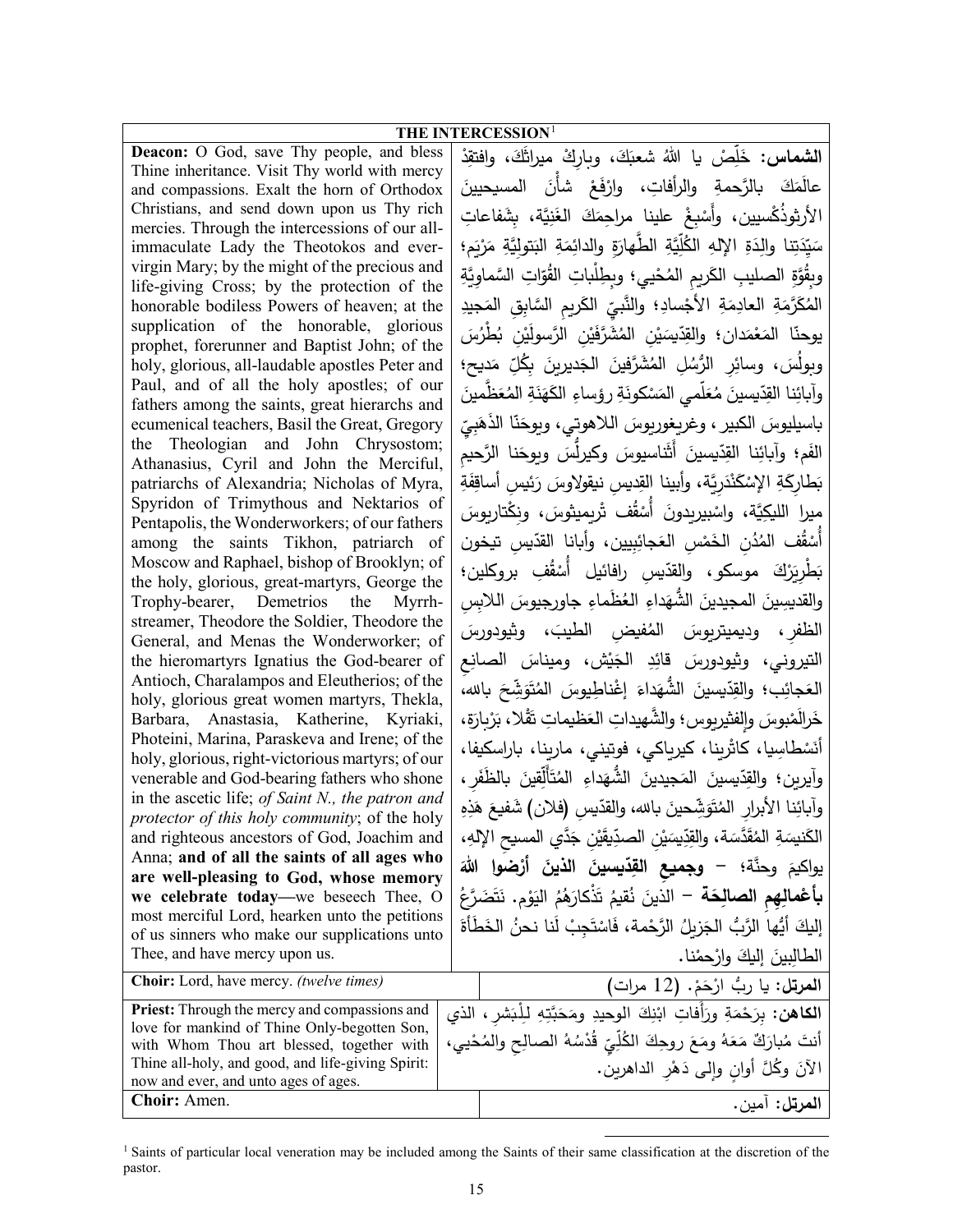| THE INTERCESSION <sup>1</sup>                                                                     |                                                                                         |  |
|---------------------------------------------------------------------------------------------------|-----------------------------------------------------------------------------------------|--|
| Deacon: O God, save Thy people, and bless                                                         | <b>الشماس:</b> خَلِّصْ يا اللهُ شعبَكَ، وباركْ ميراثَكَ، وافتقِدْ                       |  |
| Thine inheritance. Visit Thy world with mercy                                                     |                                                                                         |  |
| and compassions. Exalt the horn of Orthodox                                                       | عالَمَكَ بالرَّحمةِ والرأفاتِ، وارْفَعْ شأنَ المسيحيينَ                                 |  |
| Christians, and send down upon us Thy rich<br>mercies. Through the intercessions of our all-      | الأرثوذُكْسيين، وأُسْبِعْ علينا مراحِمَكَ الغَنِيَّة، بِشَفاعاتِ                        |  |
| immaculate Lady the Theotokos and ever-                                                           | سَيِّدَتِنا والِدَةِ الإِلهِ الكُلِّيَّةِ الطَّهارَةِ والدائِمَةِ البَتوليَّةِ مَرْيَم؛ |  |
| virgin Mary; by the might of the precious and                                                     |                                                                                         |  |
| life-giving Cross; by the protection of the                                                       | وبِقُوَّةِ الصليبِ الكَريمِ المُحْييِ؛ وبطِلْباتِ القُوّاتِ السَّماوِيَّةِ              |  |
| honorable bodiless Powers of heaven; at the                                                       | المُكَرَّمَةِ العادِمَةِ الأَجْسادِ؛ والنَّبيِّ الكَريمِ السَّابِقِ المَجيدِ            |  |
| supplication of the honorable, glorious<br>prophet, forerunner and Baptist John; of the           | يوحنّا المَعْمَدان؛ والقِدّيسَيْن المُشَرَّفَيْن الرَّسولَيْن بُطْرُسَ                  |  |
| holy, glorious, all-laudable apostles Peter and                                                   | وبولُسَ، وسائِر الرُّسُلِ المُشَرَّفينَ الْجَديرينَ بِكُلِّ مَديح؛                      |  |
| Paul, and of all the holy apostles; of our                                                        | وأبائِنا القِدّيسينَ مُعَلَّمي المَسْكونَةِ رؤساءِ الكَهَنَةِ المُعَظَّمينَ             |  |
| fathers among the saints, great hierarchs and                                                     |                                                                                         |  |
| ecumenical teachers, Basil the Great, Gregory<br>the Theologian and John Chrysostom;              | باسيليوسَ الكبير ، وغريغوريوسَ اللاهوتي، ويوحَنّا الذَهَبِيّ                            |  |
| Athanasius, Cyril and John the Merciful,                                                          | الفَم؛ وآبائِنا القِدّيسينَ أثَناسيوسَ وكيرلِّسَ وبِوحَنا الرَّحيم                      |  |
| patriarchs of Alexandria; Nicholas of Myra,                                                       | بَطارِكَةِ الإِسْكَنْدَرِيَّة، وأبينا القِديس نيقولِاوسَ رَئِيس أساقِفَةِ               |  |
| Spyridon of Trimythous and Nektarios of                                                           | ميرا الليكِيَّة، واسْبيريدونَ أَسْقُف تْريميثوسَ، ونكْتاريوسَ                           |  |
| Pentapolis, the Wonderworkers; of our fathers                                                     | أَسْقُف المُدُن الخَمْس العَجائِبِيين، وأبانا القدّيس تيخون                             |  |
| among the saints Tikhon, patriarch of<br>Moscow and Raphael, bishop of Brooklyn; of               |                                                                                         |  |
| the holy, glorious, great-martyrs, George the                                                     | بَطْرِيَرْكَ موسكو، والقدّيسِ رافائيل أَسْقُفِ بروكلين؛                                 |  |
| Trophy-bearer, Demetrios the Myrrh-                                                               | والقديسِينَ المجيدينَ الشَّهَداءِ العُظُماءِ جاورجيوسَ اللابس                           |  |
| streamer, Theodore the Soldier, Theodore the<br>General, and Menas the Wonderworker; of           | الظفر ، وديميتريوسَ المُفيضِ الطيبَ، وثيودورسَ                                          |  |
| the hieromartyrs Ignatius the God-bearer of                                                       | التيروني، وثيودورسَ قائِدِ الجَيْش، وميناسَ الصانِع                                     |  |
| Antioch, Charalampos and Eleutherios; of the                                                      | الْعَجائِب؛ والقِدّيسينَ الشَّهَداءَ إغْناطِيوسَ المُتَوَشِّحَ بالله،                   |  |
| holy, glorious great women martyrs, Thekla,                                                       |                                                                                         |  |
| Barbara, Anastasia, Katherine, Kyriaki,                                                           | خَرالَمْبوسَ والفثيريوس؛ والشَّهيداتِ العَظيماتِ تَقْلا، بَرْبارَة،                     |  |
| Photeini, Marina, Paraskeva and Irene; of the<br>holy, glorious, right-victorious martyrs; of our | أَنَسْطَاسِيا، كَاثْرِينا، كَيْرِياكي، فوتيني، مارينا، باراسكيفا،                       |  |
| venerable and God-bearing fathers who shone                                                       | وآيرين؛ والقِدّيسينَ المَجيدينَ الشُّهَداءِ المُتَأَلِّقينَ بالظَفَرِ،                  |  |
| in the ascetic life; of Saint N., the patron and                                                  | وآبائِنا الأبرار المُتَوَشِّحينَ بالله، والقدّيس (فلان) شَفيعَ هَذِهِ                   |  |
| protector of this holy community; of the holy                                                     |                                                                                         |  |
| and righteous ancestors of God, Joachim and<br>Anna; and of all the saints of all ages who        | الكَنيسَةِ المُقَدَّسَة، والقِدِّيسَيْنِ الصدِّيقَيْنِ جَدَّي المسيحِ الإِلَّهِ،        |  |
| are well-pleasing to God, whose memory                                                            | يواكيمَ وحنَّة؛ – <b>وجميع القِدّيسينَ الذينَ أرْضو</b> ا اللهَ                         |  |
| we celebrate today—we beseech Thee, O                                                             | <b>بأعْمالِهِم الصالِحَة</b> – الذينَ نُقيمُ تَذْكارَهُمُ اليَوْمِ. نَتَضَرَّعُ         |  |
| most merciful Lord, hearken unto the petitions                                                    |                                                                                         |  |
| of us sinners who make our supplications unto                                                     | إليكَ أَيُّها الرَّبُّ الجَزِيلُ الرَّحْمة، فَاسْتَجِبْ لَنا نحنُ الخَطَأَةَ            |  |
| Thee, and have mercy upon us.                                                                     | الطالِبينَ إليكَ وارْحِمْنا.                                                            |  |
| <b>Choir:</b> Lord, have mercy. <i>(twelve times)</i>                                             | المرتل: يا ربُ ارْحَمْ. (12 مرات)                                                       |  |
| <b>Priest:</b> Through the mercy and compassions and                                              | ا <b>لكاهن:</b> برَحْمَةِ ورَأَفاتِ ابْنِكَ الوحيدِ ومَحَبَّتِهِ للْبَشرِ ، الذي        |  |
| love for mankind of Thine Only-begotten Son,                                                      | أنتَ مُبارَكٌ مَعَهُ ومَعَ روحِكَ الكُلِّيِّ قُدْسُهُ الصالِحِ والمُحْييِ،              |  |
| with Whom Thou art blessed, together with<br>Thine all-holy, and good, and life-giving Spirit:    |                                                                                         |  |
| now and ever, and unto ages of ages.                                                              | الآنَ وكُلَّ أُوانِ وإِلَى دَهْرِ الداهريِن.                                            |  |
| Choir: Amen.                                                                                      | المرتل: آمين.                                                                           |  |

<span id="page-14-0"></span><sup>&</sup>lt;sup>1</sup> Saints of particular local veneration may be included among the Saints of their same classification at the discretion of the pastor.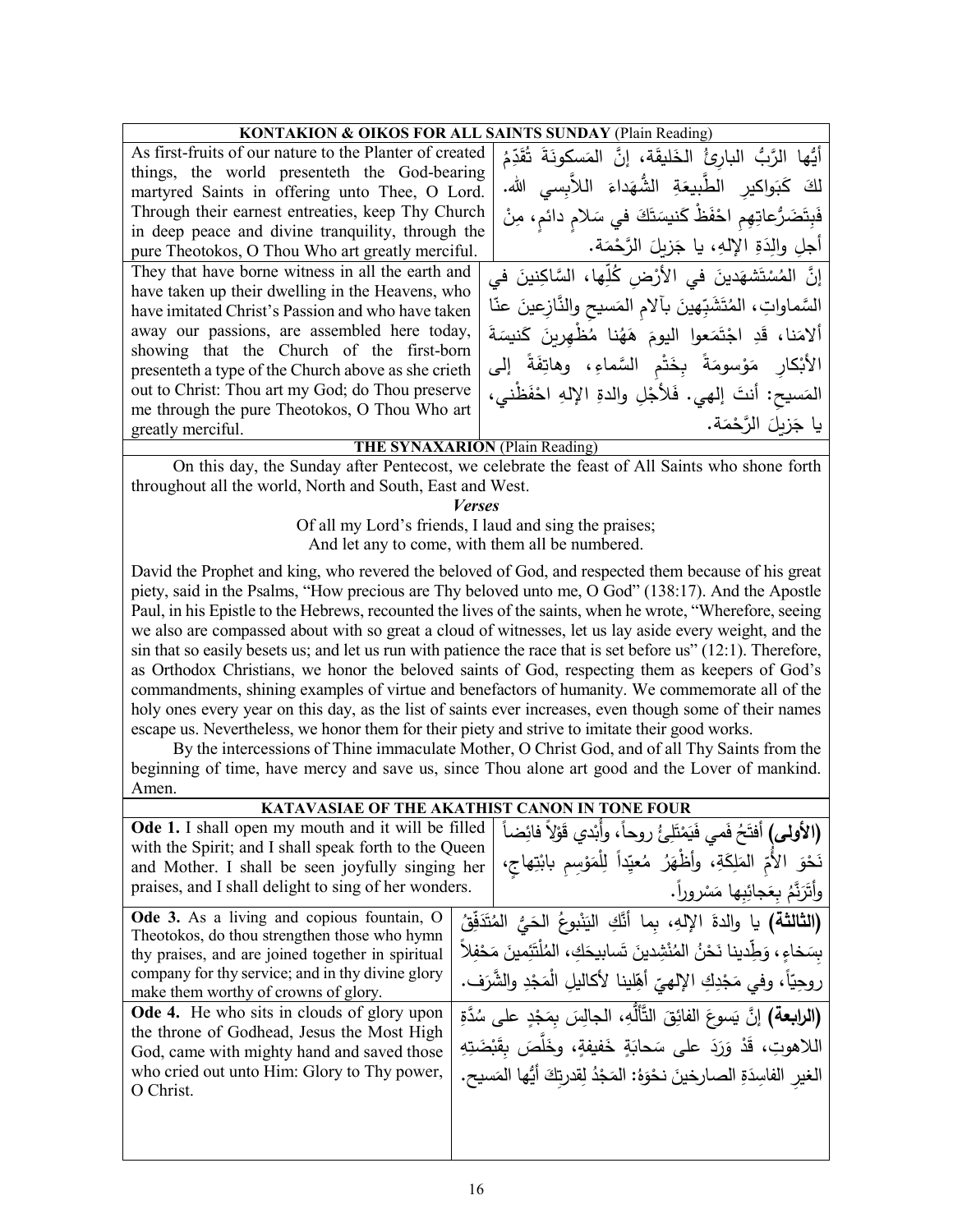| <b>KONTAKION &amp; OIKOS FOR ALL SAINTS SUNDAY (Plain Reading)</b> |                                                                |  |
|--------------------------------------------------------------------|----------------------------------------------------------------|--|
| As first-fruits of our nature to the Planter of created            | أَيُّها الرَّبُّ البارئُ الخَليقَة، إنَّ المَسكونَةَ تُقَدِّمُ |  |
| things, the world presenteth the God-bearing                       |                                                                |  |
| martyred Saints in offering unto Thee, O Lord.                     | لكَ كَبَواكيرِ الطَّبيعَةِ الشُّهَداءَ اللاَّبسى الله.         |  |
| Through their earnest entreaties, keep Thy Church                  | فَبِتَضَرُّعاتِهِم احْفَظْ كَنيسَتَكَ في سَلام دائم، مِنْ      |  |
| in deep peace and divine tranquility, through the                  |                                                                |  |
| pure Theotokos, O Thou Who art greatly merciful.                   | أجلِ والِدَةِ الإِلهِ، يا جَزِيلَ الرَّحْمَة.                  |  |
| They that have borne witness in all the earth and                  | إِنَّ المُسْتَشهَدينَ في الأَرْض كُلِّها، السَّاكِنينَ في      |  |
| have taken up their dwelling in the Heavens, who                   |                                                                |  |
| have imitated Christ's Passion and who have taken                  | السَّماواتِ، المُتَشَبِّهينَ بألام المَسيح والنَّازِعينَ عنّا  |  |
| away our passions, are assembled here today,                       | ألامَنا، قَدِ اجْتَمَعوا اليومَ هَهُنا مُظْهرينَ كَنيسَةَ      |  |
| showing that the Church of the first-born                          |                                                                |  |
| presenteth a type of the Church above as she crieth                | الأَبْكارِ مَوْسومَةً بِخَثْمِ السَّماءِ، وهاتِفَةً إلى        |  |
| out to Christ: Thou art my God; do Thou preserve                   | المَسيح: أنتَ إلهي. فَلأَجْلِ والدةِ الإلهِ احْفَظْني،         |  |
| me through the pure Theotokos, O Thou Who art                      |                                                                |  |
| greatly merciful.                                                  |                                                                |  |
| THE $SVMAVADION(D1D1)$                                             | يا جَزِيلَ الرَّحْمَة.                                         |  |

## **THE SYNAXARION** (Plain Reading)

On this day, the Sunday after Pentecost, we celebrate the feast of All Saints who shone forth throughout all the world, North and South, East and West.

*Verses*

Of all my Lord's friends, I laud and sing the praises; And let any to come, with them all be numbered.

David the Prophet and king, who revered the beloved of God, and respected them because of his great piety, said in the Psalms, "How precious are Thy beloved unto me, O God" (138:17). And the Apostle Paul, in his Epistle to the Hebrews, recounted the lives of the saints, when he wrote, "Wherefore, seeing we also are compassed about with so great a cloud of witnesses, let us lay aside every weight, and the sin that so easily besets us; and let us run with patience the race that is set before us" (12:1). Therefore, as Orthodox Christians, we honor the beloved saints of God, respecting them as keepers of God's commandments, shining examples of virtue and benefactors of humanity. We commemorate all of the holy ones every year on this day, as the list of saints ever increases, even though some of their names escape us. Nevertheless, we honor them for their piety and strive to imitate their good works.

By the intercessions of Thine immaculate Mother, O Christ God, and of all Thy Saints from the beginning of time, have mercy and save us, since Thou alone art good and the Lover of mankind. Amen.

|                                                                                                             | KATAVASIAE OF THE AKATHIST CANON IN TONE FOUR                                     |
|-------------------------------------------------------------------------------------------------------------|-----------------------------------------------------------------------------------|
| Ode 1. I shall open my mouth and it will be filled<br>with the Spirit; and I shall speak forth to the Queen | (الأولى) أفتَحُ فَمي فَيَمْتَلِئُ روحاً، وأَبْدي قَوْلاً فَائِضاً                 |
| and Mother. I shall be seen joyfully singing her<br>praises, and I shall delight to sing of her wonders.    | نَحْوَ الأُمّ المَلِكَةِ، وأظْهَرُ مُعيِّداً لِلْمَوْسِمِ بابْتِهاجِ،             |
|                                                                                                             | وأَتَرَنَّهُ بِعَجائِبِها مَسْروراً.                                              |
| Ode 3. As a living and copious fountain, O<br>Theotokos, do thou strengthen those who hymn                  | (الثالثة) يا والدةَ الإلهِ، بما أنَّكِ اليَنْبوعُ الحَيُّ المُتَدَفِّقُ           |
| thy praises, and are joined together in spiritual                                                           | بِسَخاءِ ، وَطِّدِينا نَحْنُ المُنْشِدينَ تَسابِيحَكِ، المُلْتَئِمينَ مَحْفِلاً   |
| company for thy service; and in thy divine glory<br>make them worthy of crowns of glory.                    | روحِيّاً، وفي مَجْدِكِ اﻹلهيّ أهِّلينا ﻷكاليلِ الْمَجْدِ والشَّرَف.               |
| <b>Ode 4.</b> He who sits in clouds of glory upon<br>the throne of Godhead, Jesus the Most High             | (ا <b>لزابعة)</b> إنَّ يَسوعَ الفائِقَ التَّأَلُّهِ، الجالِسَ بمَجْدِ على سُدَّةِ |
| God, came with mighty hand and saved those                                                                  | اللاهوتِ، قَدْ وَرَدَ على سَحابَةٍ خَفيفةٍ، وخَلَّصَ بقَبْضَتِهِ                  |
| who cried out unto Him: Glory to Thy power,<br>O Christ.                                                    | الغير الفاسِدَةِ الصارخينَ نحْوَهُ: المَجْدُ لِقِدرتِكَ أَيُّها المَسيحِ.         |
|                                                                                                             |                                                                                   |
|                                                                                                             |                                                                                   |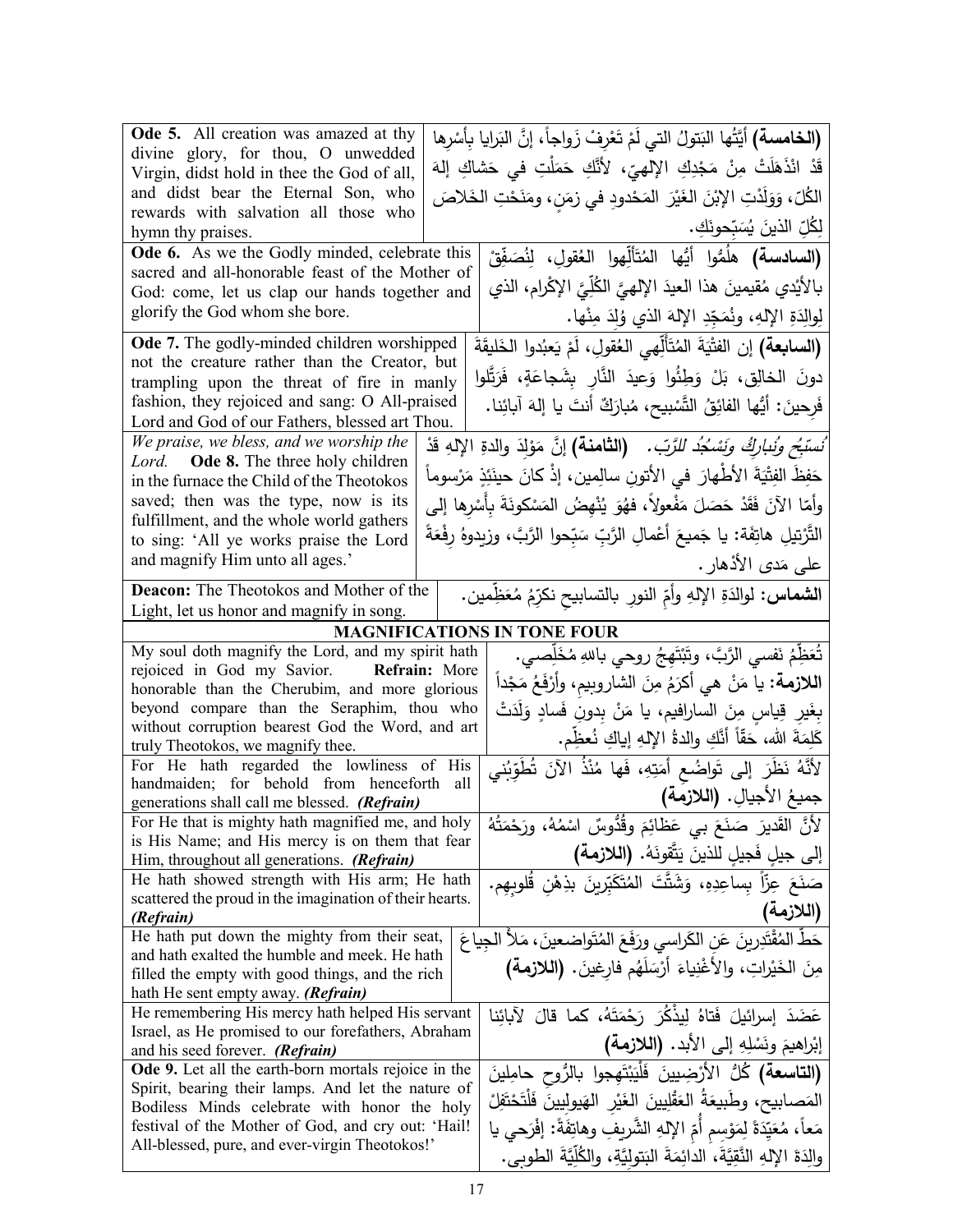| <b>Ode 5.</b> All creation was amazed at thy                                                             |  | (الخامسة) أَيَّتُها البَتولُ التي لَمْ تَعْرفْ زَواجاً، إنَّ البَرايا بِأَسْرِها                     |  |
|----------------------------------------------------------------------------------------------------------|--|------------------------------------------------------------------------------------------------------|--|
| divine glory, for thou, O unwedded                                                                       |  | قَدْ انْذَهَلَتْ مِنْ مَجْدِكِ الإِلهيِّ، لأَنَّكِ حَمَلْتِ في حَشاكِ إِلهَ                          |  |
| Virgin, didst hold in thee the God of all,<br>and didst bear the Eternal Son, who                        |  |                                                                                                      |  |
| rewards with salvation all those who                                                                     |  | الكُلِّ، وَوَلَدْتِ الإِبْنَ الغَيْرَ  المَحْدودِ في زمَنِ، ومَنَحْتِ الخَلاصَ                       |  |
| hymn thy praises.                                                                                        |  | لِكُلِّ الذينَ يُسَبِّحونَكِ.                                                                        |  |
| <b>Ode 6.</b> As we the Godly minded, celebrate this                                                     |  | <b>(السادسة)</b> هلُمُّوا أَيُّها المُتَأَلِّهوا العُقولِ، لِنُصَفِّقْ                               |  |
| sacred and all-honorable feast of the Mother of<br>God: come, let us clap our hands together and         |  | بالأَيْدي مُقيمينَ هذا العيدَ الإِلهيَّ الكُلِّيَّ الإِكْرام، الذي                                   |  |
| glorify the God whom she bore.                                                                           |  | لِوالِدَةِ الإِلَّهِ، ونُمَجِّدِ الإِلَّهَ الذي وُلِدَ مِنْها.                                       |  |
| Ode 7. The godly-minded children worshipped                                                              |  | (السابعة) إن الفتْيَةَ المُتَأَلِّهِي العُقولِ، لَمْ يَعبُدوا الخَليقَةَ                             |  |
| not the creature rather than the Creator, but                                                            |  |                                                                                                      |  |
| trampling upon the threat of fire in manly                                                               |  | دونَ الخالِقِ، بَلْ وَطِئُوا وَعِيدَ النَّارِ بِشَجاعَةٍ، فَرَتَّلوا                                 |  |
| fashion, they rejoiced and sang: O All-praised                                                           |  | فَرحينَ : أَيُّها الفائِقُ التَّسْبِيحِ، مُبارَكٌ أنتَ يا إِلهَ آبائِنا.                             |  |
| Lord and God of our Fathers, blessed art Thou.                                                           |  |                                                                                                      |  |
| We praise, we bless, and we worship the                                                                  |  | ُن <i>ْسِتَبِحْ وَنُناٖركُ وَنَسْكُدُ للرَّبّ.</i> (ال <b>ثامنة)</b> إنَّ مَوْلدَ والدةِ الإلهِ قَدْ |  |
| Lord. Ode 8. The three holy children<br>in the furnace the Child of the Theotokos                        |  | حَفِظُ الفِتْيَةَ الأَطْهارَ في الأتونِ سالِمينِ، إذْ كانَ حينَئِذٍ مَرْسوماً                        |  |
| saved; then was the type, now is its                                                                     |  |                                                                                                      |  |
| fulfillment, and the whole world gathers                                                                 |  | وأمّا الآنَ فَقَدْ حَصَلَ مَفْعولاً، فهُوَ يُنْهِضُ المَسْكونَةَ بِأَسْرِها إلى                      |  |
| to sing: 'All ye works praise the Lord                                                                   |  | التَّرْتيلِ هاتِفَة: يا جَميعَ أَعْمالِ الرَّبِّ سَبِّحوا الرَّبَّ، وزيدوهُ رِفْعَةً                 |  |
| and magnify Him unto all ages.'                                                                          |  | على مَدى الأذْهار .                                                                                  |  |
| Deacon: The Theotokos and Mother of the                                                                  |  | ا <b>لشماس:</b> لوالدَةِ الإلهِ وأمِّ النورِ بالتسابيح نكرِّمُ مُعَظِّمين.                           |  |
| Light, let us honor and magnify in song.                                                                 |  |                                                                                                      |  |
|                                                                                                          |  | <b>MAGNIFICATIONS IN TONE FOUR</b>                                                                   |  |
| My soul doth magnify the Lord, and my spirit hath                                                        |  | تُعَظِّمُ نَفْسي الرَّبَّ، وتَبْتَهِجُ روحي باللهِ مُخَلِّصي.                                        |  |
| rejoiced in God my Savior. Refrain: More                                                                 |  | ا <b>للازمة:</b> يا مَنْ هي أكرَمُ مِنَ الشاروبيم، وأَرْفَعُ مَجْداً                                 |  |
| honorable than the Cherubim, and more glorious<br>beyond compare than the Seraphim, thou who             |  | بِغَيرِ قِياسٍ مِنَ السارافيمِ، يا مَنْ بِدونِ فَسادٍ وَلَدَتْ                                       |  |
| without corruption bearest God the Word, and art                                                         |  |                                                                                                      |  |
| truly Theotokos, we magnify thee.                                                                        |  | كَلِمَةَ الله، حَقّاً أنَّكِ والدةُ الإِلهِ إياكِ نُعظِم.                                            |  |
| For He hath regarded the lowliness of His                                                                |  | لأَنَّهُ نَظَرَ إلى تَواضُعٍ أَمَتِهِ، فَها مُنْذُ الآنَ تُطَوِّبُني                                 |  |
| handmaiden; for behold from henceforth<br>all<br>generations shall call me blessed. (Refrain)            |  | جميعُ الأجيالِ. (اللازمة)                                                                            |  |
| For He that is mighty hath magnified me, and holy                                                        |  | لأَنَّ القَديرَ صَنَعَ بي عَظَائِمَ وقُدُّوسٌ اسْمُهُ، ورَحْمَتُهُ                                   |  |
| is His Name; and His mercy is on them that fear                                                          |  | إلى جيلِ فَجيلِ للذينَ يَتَّقونَهُ. (اللازمة)                                                        |  |
| Him, throughout all generations. (Refrain)                                                               |  |                                                                                                      |  |
| He hath showed strength with His arm; He hath<br>scattered the proud in the imagination of their hearts. |  | صَنَعَ عِزّاً بِساعِدِهِ، وَشَتَّتَ المُتَكَبِّرِينَ بذِهْنِ قُلوبِهِم.                              |  |
| (Refrain)                                                                                                |  | (اللازمة)                                                                                            |  |
| He hath put down the mighty from their seat,                                                             |  | حَطِّ المُقْتَدِرِينَ عَنِ الكَراسي ورَفَعَ المُتَواضعينَ، مَلأَ الجِياعَ                            |  |
| and hath exalted the humble and meek. He hath                                                            |  | مِنَ الْخَيْراتِ، والأَغْنِياءَ أَرْسَلَهُم فَارِغِينَ. (اللازمة)                                    |  |
| filled the empty with good things, and the rich                                                          |  |                                                                                                      |  |
| hath He sent empty away. (Refrain)<br>He remembering His mercy hath helped His servant                   |  |                                                                                                      |  |
| Israel, as He promised to our forefathers, Abraham                                                       |  | عَضَدَ إسرائيلَ فَتاهُ لِيذْكُرَ رَحْمَتَهُ، كما قالَ لآبائِنا                                       |  |
| and his seed forever. (Refrain)                                                                          |  | إبْراهيمَ ونَسْلِهِ إلى الأبد. (اللازمة)                                                             |  |
| Ode 9. Let all the earth-born mortals rejoice in the                                                     |  | (التاسعة) كُلُّ الأَرْضِيينَ فَلْيَبْتَهِجوا بالرُّوحِ حامِلِينَ                                     |  |
| Spirit, bearing their lamps. And let the nature of<br>Bodiless Minds celebrate with honor the holy       |  | المَصابيح، وطَبيعَةُ العَقْلِيينَ الغَيْرِ الهَيولِيينَ فَلْتَحْتَفِلْ                               |  |
| festival of the Mother of God, and cry out: 'Hail!                                                       |  | مَعاً، مُعَيِّدَةً لِمَوْسِمٍ أَمِّ الإِلهِ الشَّريفِ وهاتِفَةً: إفْرَحى يا                          |  |
| All-blessed, pure, and ever-virgin Theotokos!'                                                           |  | والِدَةَ الإِلهِ النَّقِيَّةَ، الدائِمَةَ البَتوليَّةِ، والكُلِّيَّةَ الطوبي.                        |  |
|                                                                                                          |  |                                                                                                      |  |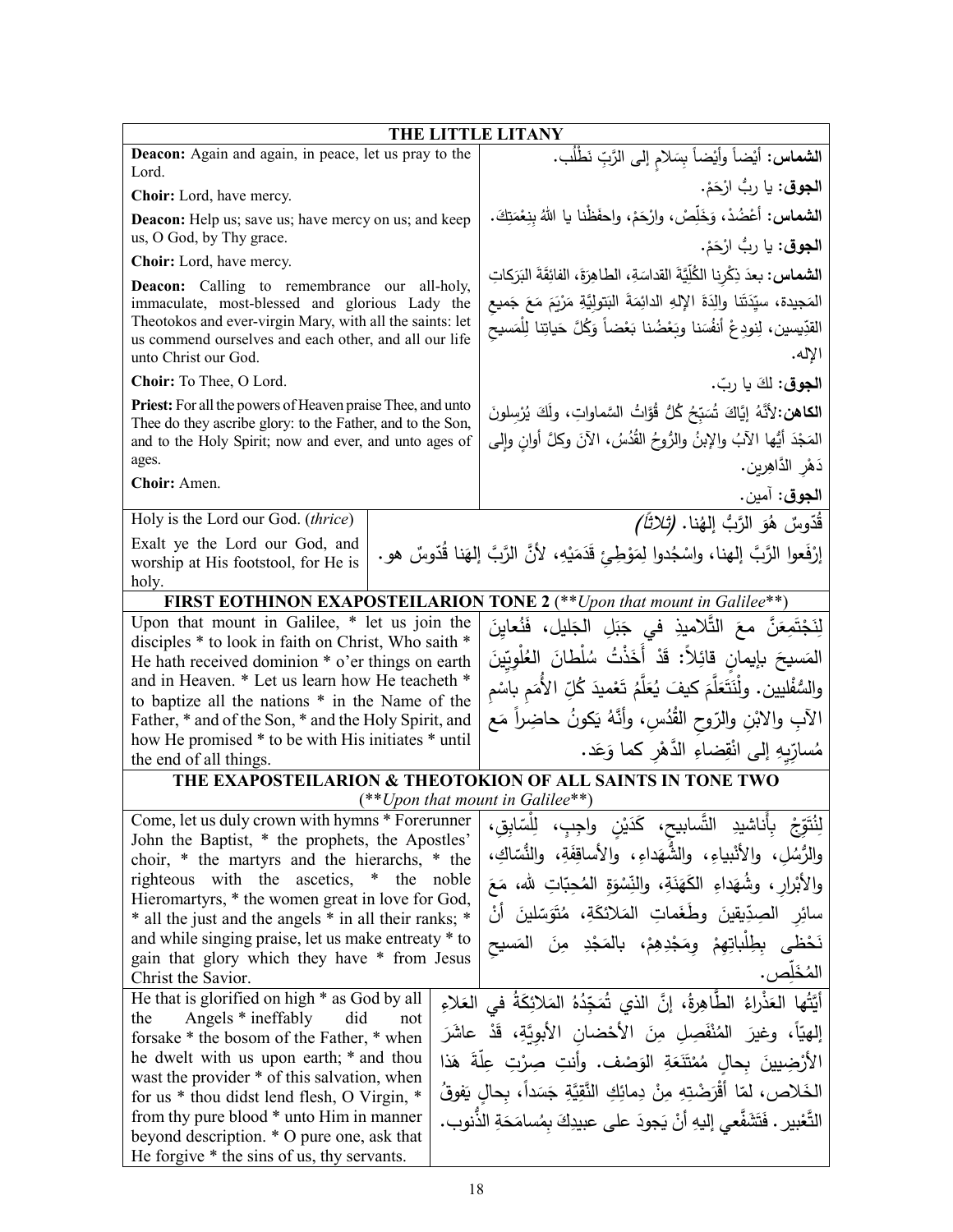| THE LITTLE LITANY                                                                                                    |  |                                                                                                                   |
|----------------------------------------------------------------------------------------------------------------------|--|-------------------------------------------------------------------------------------------------------------------|
| Deacon: Again and again, in peace, let us pray to the                                                                |  | ا <b>لشماس:</b> أيْضاً وأيْضاً بِسَلام إلى الرَّبِّ نَطْلُب.                                                      |
| Lord.                                                                                                                |  | ا <b>لجوق</b> : يا ربُ ارْحَمْ.                                                                                   |
| Choir: Lord, have mercy.                                                                                             |  |                                                                                                                   |
| Deacon: Help us; save us; have mercy on us; and keep<br>us, O God, by Thy grace.                                     |  | ا <b>لشماس:</b> أعْضُدْ، وَخَلِّصْ، وارْحَمْ، واحفَظْنا يا اللهُ بنِعْمَتِكَ.<br>ا <b>لجوق</b> : يا ربُّ ارْحَمْ. |
| Choir: Lord, have mercy.                                                                                             |  |                                                                                                                   |
| <b>Deacon:</b> Calling to remembrance our all-holy,                                                                  |  | ا <b>لشماس:</b> بعدَ ذِكْرِنا الكُلِّيَّةَ القداسَةِ، الطاهِرَةَ، الفائِقَةَ البَرَكاتِ                           |
| immaculate, most-blessed and glorious Lady the                                                                       |  | المَجيدة، سيِّدَتَنا والِدَةَ الإِلهِ الدائِمَةَ البَتولِيَّةِ مَرْيَمَ مَعَ جَميع                                |
| Theotokos and ever-virgin Mary, with all the saints: let<br>us commend ourselves and each other, and all our life    |  | القدِّيسين، لِنودِعْ أَنفُسَنا وبَعْضُنا بَعْضاً وَكُلَّ حَياتِنا لِلْمَسيح                                       |
| unto Christ our God.                                                                                                 |  | الإله.                                                                                                            |
| Choir: To Thee, O Lord.                                                                                              |  | ا <b>لجوق:</b> لكَ يا ربّ.                                                                                        |
| Priest: For all the powers of Heaven praise Thee, and unto                                                           |  | ا <b>لكاهن:</b> لأنَّهُ إِيَّاكَ شُمَبِّحُ كُلُّ قُوَّاتُ السَّماواتِ، ولَكَ يُرْسِلونَ                           |
| Thee do they ascribe glory: to the Father, and to the Son,<br>and to the Holy Spirit; now and ever, and unto ages of |  | المَجْدَ أَيُّها الآبُ والإبنُ والرُّوحُ القُدُسُ، الآنَ وكلَّ أوانٍ وإِلَى                                       |
| ages.                                                                                                                |  | دَهْرِ الدَّاهِرِينِ.                                                                                             |
| Choir: Amen.                                                                                                         |  | ا <b>لجوق</b> : آمين.                                                                                             |
| Holy is the Lord our God. (thrice)                                                                                   |  |                                                                                                                   |
| Exalt ye the Lord our God, and                                                                                       |  | قُدّوسٌ هُوَ الرَّبُّ إِلهُنا. <i>(تْلاثَاً)</i>                                                                  |
| worship at His footstool, for He is                                                                                  |  | إِرْفَعوا الرَّبَّ إلهنا، واسْجُدوا لِمَوْطِئٍ قَدَمَيْهِ، لأَنَّ الرَّبَّ إلهَنا قُدّوسٌ هو .                    |
| holy.                                                                                                                |  |                                                                                                                   |
|                                                                                                                      |  | FIRST EOTHINON EXAPOSTEILARION TONE 2 (**Vpon that mount in Galilee**)                                            |
| Upon that mount in Galilee, * let us join the                                                                        |  | لِنَجْتَمِعَنَّ معَ التَّلاميذِ في جَبَلِ الْجَليلِ، فَنُعايِنَ                                                   |
| disciples * to look in faith on Christ, Who saith *<br>He hath received dominion * o'er things on earth              |  | المَسيحَ بإيمان قائِلاً: قَدْ أَخَذْتُ سُلْطانَ العُلْوِيّينَ                                                     |
| and in Heaven. * Let us learn how He teacheth *                                                                      |  |                                                                                                                   |
| to baptize all the nations * in the Name of the                                                                      |  | والسُّفْليين. ولْنَتَعَلَّمَ كيفَ يُعَلَّمُ تَعْميدَ كُلِّ الأُمَم باسْم                                          |
| Father, * and of the Son, * and the Holy Spirit, and                                                                 |  | الآبِ والابْنِ والرّوح القُدُسِ، وأنَّهُ يَكونُ حاضِراً مَع                                                       |
| how He promised * to be with His initiates * until                                                                   |  | مُسارِّيهِ إلى انْقِضاءِ الدَّهْرِ كما وَعَد.                                                                     |
| the end of all things.                                                                                               |  |                                                                                                                   |
|                                                                                                                      |  | THE EXAPOSTEILARION & THEOTOKION OF ALL SAINTS IN TONE TWO<br>$(**Upon$ that mount in Galilee**)                  |
| Come, let us duly crown with hymns * Forerunner                                                                      |  | لِنُتَوِّجْ بِأَناشيدِ التَّسابيح، كَدَيْنِ واجِبٍ، لِلْسّابِقِ،                                                  |
| John the Baptist, * the prophets, the Apostles'                                                                      |  |                                                                                                                   |
| choir, * the martyrs and the hierarchs, * the                                                                        |  | والرُّسُل، والأنْبياءِ، والشُّهَداءِ، والأساقِفَةِ، والنُّسّاكِ،                                                  |
| righteous with the ascetics, * the<br>noble                                                                          |  | والأَبْرارِ ، وشُهَداءِ الكَهَنَةِ، والنِّسْوَةِ المُحِبّاتِ لله، مَعَ                                            |
| Hieromartyrs, * the women great in love for God,                                                                     |  | سائِر الصِدِّيقينَ وطَغَماتِ المَلائكَةِ، مُتَوَسِّلينَ أَنْ                                                      |
| * all the just and the angels * in all their ranks; *<br>and while singing praise, let us make entreaty * to         |  |                                                                                                                   |
| gain that glory which they have * from Jesus                                                                         |  | نَحْظَى بِطِلْباتِهِمْ وِمَجْدِهِمْ، بالمَجْدِ مِنَ الْمَسيح                                                      |
| Christ the Savior.                                                                                                   |  | المُخَلِّص.                                                                                                       |
| He that is glorified on high * as God by all                                                                         |  | أَيَّتُها العَذْراءُ الطَّاهِرةُ، إنَّ الذي تُمَجِّدُهُ المَلائِكَةُ في العَلاءِ                                  |
| Angels * ineffably<br>did<br>the<br>not<br>forsake * the bosom of the Father, * when                                 |  | إلهيّاً، وغيرَ  المُنْفَصِلِ  مِنَ  الأَحْضانِ  الأبويَّةِ،  قَدْ  عاشَرَ                                         |
| he dwelt with us upon earth; * and thou                                                                              |  | الأَرْضِيينَ بِحالِ مُمْتَنَعَةِ الوَصْفِ. وأنتِ صِرْتِ عِلَّةَ هَذا                                              |
| wast the provider * of this salvation, when                                                                          |  |                                                                                                                   |
| for us $*$ thou didst lend flesh, O Virgin, $*$                                                                      |  | الْخَلاص، لَمّا أَقْرَضْتِهِ مِنْ دِمائِكِ النَّقِيَّةِ جَسَداً، بِحالٍ يَفوقُ                                    |
| from thy pure blood * unto Him in manner                                                                             |  | النَّعْبيرِ . فَتَشَفَّعي إليهِ أَنْ يَجودَ على عبيدِكَ بِمُسامَحَةِ الذِّنوبِ .                                  |
| beyond description. * O pure one, ask that<br>He forgive * the sins of us, thy servants.                             |  |                                                                                                                   |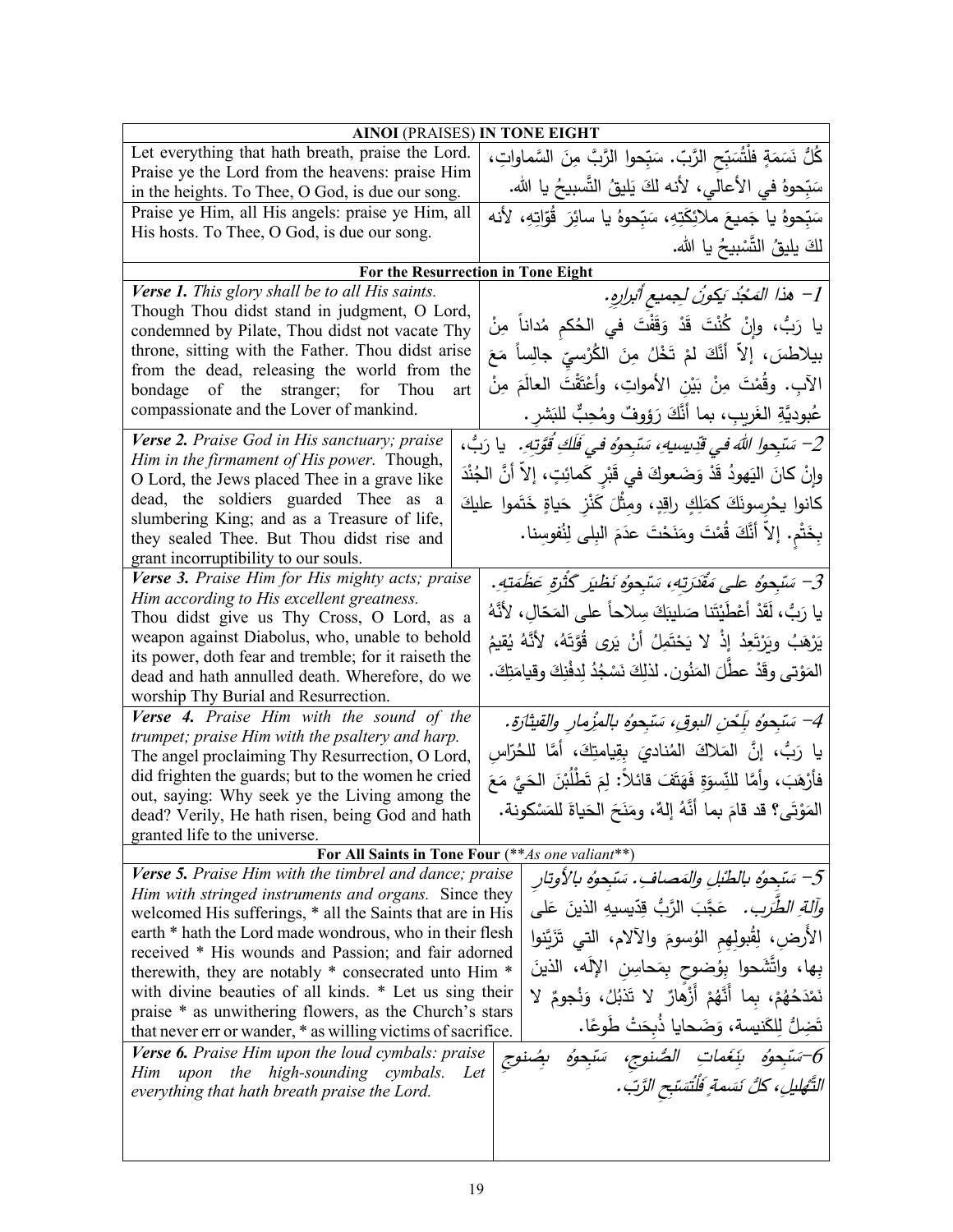| <b>AINOI (PRAISES) IN TONE EIGHT</b>                                                                                                                 |                                                                                |  |  |
|------------------------------------------------------------------------------------------------------------------------------------------------------|--------------------------------------------------------------------------------|--|--|
| Let everything that hath breath, praise the Lord.                                                                                                    | كُلٌ نَسَمَةٍ فلْتُسَبِّحِ الرَّبِّ. سَبِّحوا الرَّبَّ مِنَ السَّماواتِ،       |  |  |
| Praise ye the Lord from the heavens: praise Him                                                                                                      |                                                                                |  |  |
| in the heights. To Thee, O God, is due our song.                                                                                                     | سَبِّحوهُ في الأعالي، لأنه لكَ يَليقُ النَّسبيحُ يا الله.                      |  |  |
| Praise ye Him, all His angels: praise ye Him, all                                                                                                    | سَبّحوهُ يا جَميعَ ملائِكَتِهِ، سَبّحوهُ يا سائِرَ  قُوّاتِهِ،  لأنه           |  |  |
| His hosts. To Thee, O God, is due our song.                                                                                                          | لكَ يليقُ التَّسْبِيحُ يا الله.                                                |  |  |
|                                                                                                                                                      | For the Resurrection in Tone Eight                                             |  |  |
| Verse 1. This glory shall be to all His saints.                                                                                                      | 1− هذا المَحْدُ بَكونُ لجميع أُبرارِهِ.                                        |  |  |
| Though Thou didst stand in judgment, O Lord,                                                                                                         |                                                                                |  |  |
| condemned by Pilate, Thou didst not vacate Thy                                                                                                       | يا رَبُّ، وإِنْ كُنْتَ قَدْ وَقَفْتَ في الْحُكم مُداناً مِنْ                   |  |  |
| throne, sitting with the Father. Thou didst arise                                                                                                    | بيلاطسَ، إلاَّ أنَّكَ لمْ تَخْلُ مِنَ الكُرْسيِّ جالِساً مَعَ                  |  |  |
| from the dead, releasing the world from the                                                                                                          | الآبِ. وقُمْتَ مِنْ بَيْنِ الأَمواتِ، وأَعْتَقْتَ الْعالَمَ مِنْ               |  |  |
| bondage of the stranger; for Thou                                                                                                                    | art                                                                            |  |  |
| compassionate and the Lover of mankind.                                                                                                              | عُبوديَّةِ الغَريبِ، بما أنَّكَ رَؤوفٌ ومُحِبٌّ للبَشرِ .                      |  |  |
| Verse 2. Praise God in His sanctuary; praise                                                                                                         | 2– سَبْحوا اللهَ في قَدِيسِيهِ، سَبْحوُهِ في فَلَكِ قَوَّتِهِ.   يا رَبُّ،     |  |  |
| <i>Him in the firmament of His power.</i> Though,<br>O Lord, the Jews placed Thee in a grave like                                                    | وإِنْ كانَ اليَهودُ قَدْ وَضَعوكَ في قَبْرِ كَمائِتٍ، إلاَّ أَنَّ الجُنْدَ     |  |  |
| dead, the soldiers guarded Thee as a                                                                                                                 | كانوا يحْرِسونَكَ كمَلِكٍ راقِدٍ، ومِثْلَ كَنْزِ حَياةٍ خَتَموا عليكَ          |  |  |
| slumbering King; and as a Treasure of life,                                                                                                          | بِخَتْمِ. إلاَّ أَنَّكَ قُمْتَ ومَنَحْتَ عدَمَ البِلى لِنُفوسِنا.              |  |  |
| they sealed Thee. But Thou didst rise and<br>grant incorruptibility to our souls.                                                                    |                                                                                |  |  |
| Verse 3. Praise Him for His mighty acts; praise                                                                                                      |                                                                                |  |  |
| Him according to His excellent greatness.                                                                                                            | 3– سَبْحوُه على مَقْدَرتهِ، سَبْحوُه نَظْيَر كَثْرَةٍ عَظَمَتِهِ.              |  |  |
| Thou didst give us Thy Cross, O Lord, as a                                                                                                           | يا رَبُّ، لَقَدْ أَعْطَيْتَنا صَليبَكَ سِلاحاً على المَحّالِ، لأَنَّهُ         |  |  |
| weapon against Diabolus, who, unable to behold                                                                                                       | يَرْهَبُ وبَرْتَعِدُ إِذْ لا يَحْتَمِلُ أَنْ يَرِى قُوَّتَهُ، لأَنَّهُ يُقِيمُ |  |  |
| its power, doth fear and tremble; for it raiseth the                                                                                                 |                                                                                |  |  |
| dead and hath annulled death. Wherefore, do we                                                                                                       | المَوْتي وقَدْ عطَّلَ المَنُونِ. لذلِكَ نَسْجُدُ لِدفْنِكَ وقيامَتِكَ.         |  |  |
| worship Thy Burial and Resurrection.                                                                                                                 |                                                                                |  |  |
| Verse 4. Praise Him with the sound of the                                                                                                            | 4– سَبْحوهُ بِلَحْنِ البوقِ، سَبْحوهُ بالمزْمارِ والقيثارةِ.                   |  |  |
| trumpet; praise Him with the psaltery and harp.                                                                                                      | يا رَبُّ، إنَّ المَلاكَ المُناديَ بقِيامتِكَ، أمَّا للحُرّاس                   |  |  |
| The angel proclaiming Thy Resurrection, O Lord,<br>did frighten the guards; but to the women he cried                                                |                                                                                |  |  |
| out, saying: Why seek ye the Living among the                                                                                                        | فأَرْهَبَ، وأمَّا للنِّسوَةِ فَهَتَفَ قائلاً: لِمَ تَطْلُبْنَ الحَيَّ مَعَ     |  |  |
| dead? Verily, He hath risen, being God and hath                                                                                                      | ِ المَوْتَى؟ قد قامَ بما أنَّهُ إلهٌ، ومَنَحَ الحَياةَ للمَسْكونة              |  |  |
| granted life to the universe.                                                                                                                        |                                                                                |  |  |
| For All Saints in Tone Four (** As one valiant**)                                                                                                    |                                                                                |  |  |
| Verse 5. Praise Him with the timbrel and dance; praise                                                                                               | 5– سَبْحِوُه بالطُبْلِ والمَصلفِ. سَبْحِوُه بالأوتارِ                          |  |  |
| Him with stringed instruments and organs. Since they<br><i>وآلةِ الطَّرَبِ.</i> عَجَّبَ الرَّبُّ قِدّيسيهِ الذينَ عَلى                               |                                                                                |  |  |
| welcomed His sufferings, * all the Saints that are in His                                                                                            |                                                                                |  |  |
| earth * hath the Lord made wondrous, who in their flesh<br>الأرضِ، لِقُبولِهِم الوُسومَ والآلامِ، التي تَزَيَّنوا                                    |                                                                                |  |  |
| received * His wounds and Passion; and fair adorned<br>بِها، واتَّشَحوا بِوُضوحٍ بِمَحاسِنِ الإِلَه، الذينَ                                          |                                                                                |  |  |
| therewith, they are notably * consecrated unto Him *<br>with divine beauties of all kinds. * Let us sing their                                       |                                                                                |  |  |
| نَمْدَحُهُمْ، بما أَنَّهُمْ أَزْهارٌ  لا تَذبُلُ، وَنُجومٌ  لا<br>praise * as unwithering flowers, as the Church's stars                             |                                                                                |  |  |
| تَضِلُّ لِلكَنيسة، وَضَحايا ذُبحَتْ طَوعًا.<br>that never err or wander, * as willing victims of sacrifice.                                          |                                                                                |  |  |
| Verse 6. Praise Him upon the loud cymbals: praise                                                                                                    |                                                                                |  |  |
| 6–سَبِّحوُه بِنَغَماتِ الصُّنوجِ، سَبِّحوُه بِصُنوجِ<br>التَّهْليلِ، كلُّ نَسَمةٍ فَلْتُسَبِّحِ الزَّبِّ.<br>Him upon the high-sounding cymbals. Let |                                                                                |  |  |
| everything that hath breath praise the Lord.                                                                                                         |                                                                                |  |  |
|                                                                                                                                                      |                                                                                |  |  |
|                                                                                                                                                      |                                                                                |  |  |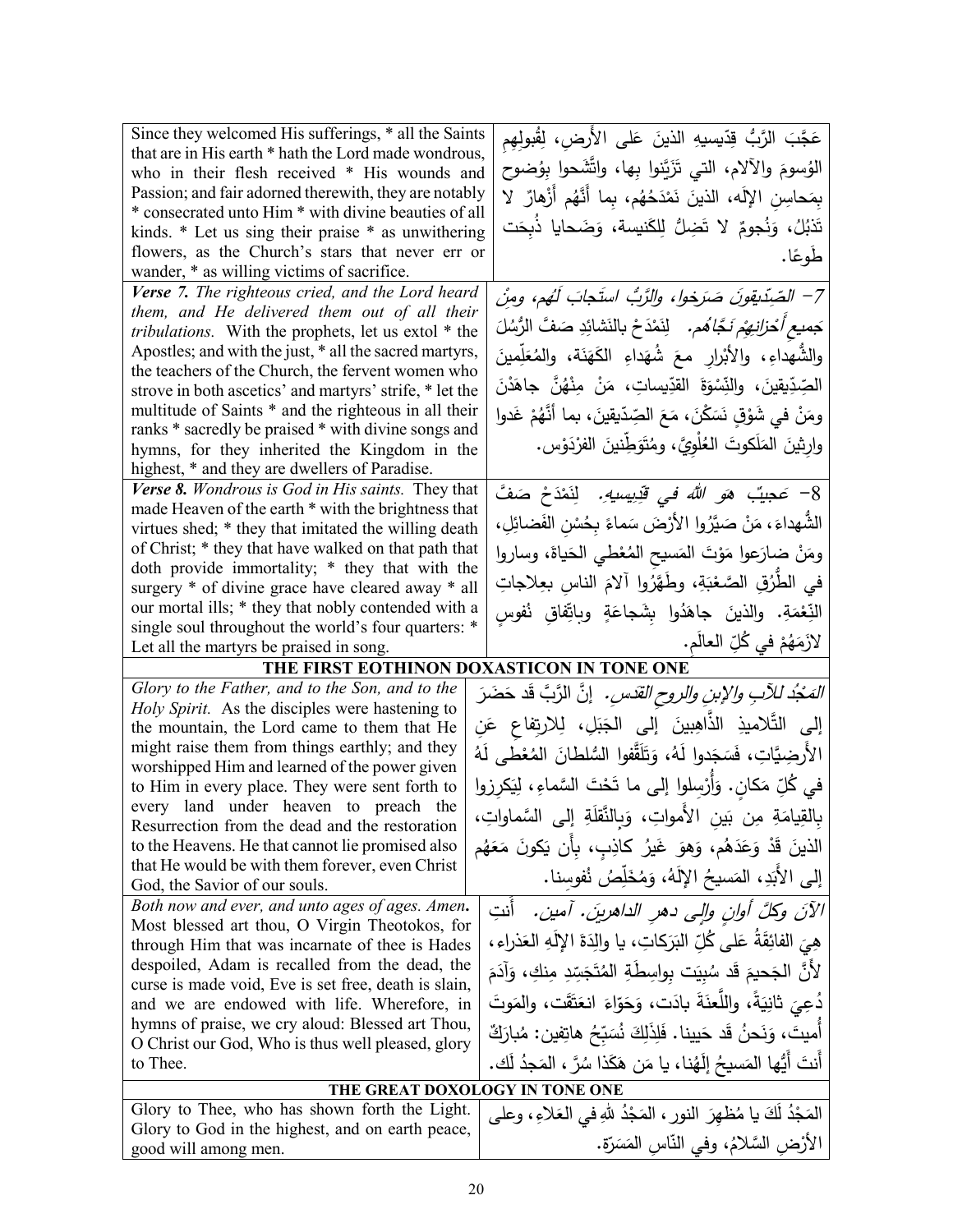| Since they welcomed His sufferings, * all the Saints<br>that are in His earth * hath the Lord made wondrous,<br>who in their flesh received * His wounds and<br>Passion; and fair adorned therewith, they are notably<br>* consecrated unto Him * with divine beauties of all                                                                                                                                                                 | عَجَّبَ الرَّبُّ قِدِّيسيهِ الذينَ عَلى الأرضِ، لِقُبولِهِم<br>الؤسومَ والآلام، التي تَزَيَّنوا بِها، واتَّشَحوا بِوُضوح<br>بِمَحاسِنِ الإِلَهِ، الذينَ نَمْدَحُهُم، بِما أَنَّهُم أَزْهارٌ لا                                                                                                                                                                                                                             |
|-----------------------------------------------------------------------------------------------------------------------------------------------------------------------------------------------------------------------------------------------------------------------------------------------------------------------------------------------------------------------------------------------------------------------------------------------|----------------------------------------------------------------------------------------------------------------------------------------------------------------------------------------------------------------------------------------------------------------------------------------------------------------------------------------------------------------------------------------------------------------------------|
| kinds. * Let us sing their praise * as unwithering<br>flowers, as the Church's stars that never err or<br>wander, * as willing victims of sacrifice.                                                                                                                                                                                                                                                                                          | تَذبُلُ، وَنُجومٌ لا تَضِلُّ لِلكَنيسة، وَضَحايا ذَبِحَت<br>طوعًا.                                                                                                                                                                                                                                                                                                                                                         |
| Verse 7. The righteous cried, and the Lord heard<br>them, and He delivered them out of all their<br>tribulations. With the prophets, let us extol * the<br>Apostles; and with the just, * all the sacred martyrs,                                                                                                                                                                                                                             | 7– الصّرّديقونَ صَرَخول، والرَّبُ استَجابَ لَهُم، ومنْ<br>َجمِيعِ <i>اُحْزَانِهِمْ نَجَّاهُم.</i> لِنَمْدَحْ بِالنَشَائِدِ صَفَّ الزُّسُلَ<br>والشُّهداءِ، والأَبْرارِ معَ شُهَداءِ الكَهَنَة، والمُعَلِّمينَ                                                                                                                                                                                                              |
| the teachers of the Church, the fervent women who<br>strove in both ascetics' and martyrs' strife, * let the<br>multitude of Saints * and the righteous in all their<br>ranks * sacredly be praised * with divine songs and<br>hymns, for they inherited the Kingdom in the<br>highest, * and they are dwellers of Paradise.                                                                                                                  | الْصِّدِّيقِينَ، والنِّسْوَةَ القدِّيساتِ، مَنْ مِنْهُنَّ جاهَدْنَ<br>ومَنْ في شَوْقٍ نَسَكْنَ، مَعَ الصِّدّيقينَ، بما أَنَّهُمْ غَدوا<br>وارثينَ المَلَكوتَ العُلْويَّ، ومُتَوَطِّنينَ الفرْدَوْس.                                                                                                                                                                                                                        |
| Verse 8. Wondrous is God in His saints. They that<br>made Heaven of the earth * with the brightness that<br>virtues shed; * they that imitated the willing death<br>of Christ; * they that have walked on that path that<br>doth provide immortality; * they that with the<br>surgery * of divine grace have cleared away * all<br>our mortal ills; * they that nobly contended with a<br>single soul throughout the world's four quarters: * | 8– عَجيبٌ      قو    اللهُ   في   قَدِيسِيهِ .      لِنَمْدَحْ   صَفَّ<br>الشُّهداءَ، مَنْ صَيَّرُوا الأَرْضَ سَماءً بِحُسْنِ الفَضائِلِ،<br>ومَنْ ضارَعوا مَوْتَ المَسيح المُعْطي الحَياةَ، وساروا<br>في الطَّرُقِ الصَّعْبَةِ، وطَّهَّرُوا ألامَ الناسِ بعِلاجاتِ<br>النَّعْمَةِ. والذينَ جاهَدُوا بِشَجاعَةٍ وباتِّفاقِ نُفوسِ                                                                                          |
| Let all the martyrs be praised in song.<br>THE FIRST EOTHINON DOXASTICON IN TONE ONE                                                                                                                                                                                                                                                                                                                                                          | لأَزَمَهُمْ في كُلِّ العالَمِ.                                                                                                                                                                                                                                                                                                                                                                                             |
| Glory to the Father, and to the Son, and to the                                                                                                                                                                                                                                                                                                                                                                                               | <i>المَجْدُ للآبِ والإبنِ والروحِ القدَسِ.</i> إنَّ الرَّبَّ قَد حَضَرَ                                                                                                                                                                                                                                                                                                                                                    |
| Holy Spirit. As the disciples were hastening to<br>the mountain, the Lord came to them that He<br>might raise them from things earthly; and they                                                                                                                                                                                                                                                                                              | إِلَى التَّلاميذِ الذَّاهِبِينَ إِلَى الْجَبَلِ، لِلارتِفاعِ عَنِ<br>الأرضِيَّاتِ، فَسَجَدوا لَهُ، وَتَلَقَّفوا السُّلطانَ المُعْطى لَهُ                                                                                                                                                                                                                                                                                   |
| worshipped Him and learned of the power given<br>to Him in every place. They were sent forth to<br>every land under heaven to preach the<br>Resurrection from the dead and the restoration                                                                                                                                                                                                                                                    | في كُلِّ مَكانٍ. وَأَرْسِلوا إلى ما تَحْتَ السَّماءِ، لِيَكرِزوا<br>بِالْقِيامَةِ مِن بَينِ الأَمواتِ، وَبِالنَّقَلَةِ إِلَى السَّماواتِ،                                                                                                                                                                                                                                                                                  |
| to the Heavens. He that cannot lie promised also<br>that He would be with them forever, even Christ<br>God, the Savior of our souls.                                                                                                                                                                                                                                                                                                          | الذينَ قَدْ وَعَدَهُم، وَهوَ غَيرُ كَاذِبٍ، بِأَن يَكُونَ مَعَهُم<br>إلى الأبَدِ، المَسيحُ الإِلَهُ، وَمُخَلِّصُ نُفوسنا.                                                                                                                                                                                                                                                                                                  |
| Both now and ever, and unto ages of ages. Amen.<br>Most blessed art thou, O Virgin Theotokos, for<br>through Him that was incarnate of thee is Hades<br>despoiled, Adam is recalled from the dead, the<br>curse is made void, Eve is set free, death is slain,<br>and we are endowed with life. Wherefore, in<br>hymns of praise, we cry aloud: Blessed art Thou,<br>O Christ our God, Who is thus well pleased, glory<br>to Thee.            | الآنَ وكلَّ أُوانِ وإلى دهرِ الداهرينَ. آمين.   أنتِ<br>هِيَ الفائِقَةُ عَلَى كُلِّ البَرَكاتِ، يا والِذَةَ الإِلَهِ العَذراءِ،<br>لأَنَّ الْجَحيمَ قَد سُبِيَت بواسِطَةِ الْمُتَجَسِّدِ مِنكِ، وَآدَمَ<br>دُعِيَ ثَانِيَةً، واللُّعنَةَ بادَت، وَحَوّاءَ انعَتَقَت، والمَوتَ<br>أُميتَ، وَنَحنُ قَد حَيينا. فَلِذَلِكَ نُسَبِّحُ هاتِفين: مُبارَكٌ<br>أنتَ أَيُّها المَسيحُ إِلَهُنا، يا مَن هَكَذا سُرَّ ، المَجِدُ لَك. |
| THE GREAT DOXOLOGY IN TONE ONE                                                                                                                                                                                                                                                                                                                                                                                                                |                                                                                                                                                                                                                                                                                                                                                                                                                            |
| Glory to Thee, who has shown forth the Light.<br>Glory to God in the highest, and on earth peace,<br>good will among men.                                                                                                                                                                                                                                                                                                                     | الْمَجْدُ لَكَ يا مُظْهِرَ النورِ ، الْمَجْدُ للَّهِ في الْعَلاءِ ، وعلى<br>الأرْضِ السَّلامُ، وفي النَّاسِ المَسَرَّةِ.                                                                                                                                                                                                                                                                                                   |